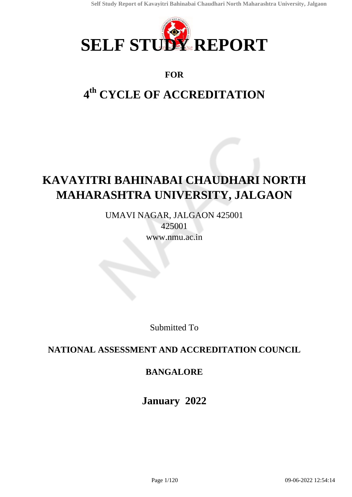

### **FOR**

# **4 th CYCLE OF ACCREDITATION**

# **KAVAYITRI BAHINABAI CHAUDHARI NORTH MAHARASHTRA UNIVERSITY, JALGAON**

UMAVI NAGAR, JALGAON 425001 425001 www.nmu.ac.in

Submitted To

### **NATIONAL ASSESSMENT AND ACCREDITATION COUNCIL**

## **BANGALORE**

**January 2022**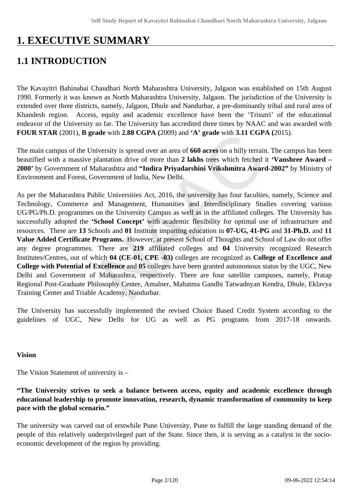# **1. EXECUTIVE SUMMARY**

## **1.1 INTRODUCTION**

The Kavayitri Bahinabai Chaudhari North Maharashtra University, Jalgaon was established on 15th August 1990. Formerly it was known as North Maharashtra University, Jalgaon. The jurisdiction of the University is extended over three districts, namely, Jalgaon, Dhule and Nandurbar, a pre-dominantly tribal and rural area of Khandesh region. Access, equity and academic excellence have been the 'Trisutri' of the educational endeavor of the University so far. The University has accredited three times by NAAC and was awarded with **FOUR STAR** (2001), **B grade** with **2.88 CGPA (**2009) and **'A' grade** with **3.11 CGPA (**2015).

The main campus of the University is spread over an area of **660 acres** on a hilly terrain. The campus has been beautified with a massive plantation drive of more than **2 lakhs** trees which fetched it **'Vanshree Award – 2000'** by Government of Maharashtra and **"Indira Priyadarshini Vrikshmitra Award-2002"** by Ministry of Environment and Forest, Government of India, New Delhi.

As per the Maharashtra Public Universities Act, 2016, the university has four faculties, namely, Science and Technology, Commerce and Management, Humanities and Interdisciplinary Studies covering various UG/PG/Ph.D. programmes on the University Campus as well as in the affiliated colleges. The University has successfully adopted the **'School Concept'** with academic flexibility for optimal use of infrastructure and resources. There are **13** Schools and **01** Institute imparting education in **07-UG, 41-PG** and **31-Ph.D.** and **11 Value Added Certificate Programs.** However, at present School of Thoughts and School of Law do not offer any degree programmes. There are **219** affiliated colleges and **04** University recognized Research Institutes/Centres, out of which **04 (CE-01, CPE -03)** colleges are recognized as **College of Excellence and College with Potential of Excellence** and **05** colleges have been granted autonomous status by the UGC, New Delhi and Government of Maharashtra, respectively. There are four satellite campuses, namely, Pratap Regional Post-Graduate Philosophy Center, Amalner, Mahatma Gandhi Tatwadnyan Kendra, Dhule, Eklavya Training Center and Triable Academy, Nandurbar.

The University has successfully implemented the revised Choice Based Credit System according to the guidelines of UGC, New Delhi for UG as well as PG programs from 2017-18 onwards.

#### **Vision**

The Vision Statement of university is –

#### **"The University strives to seek a balance between access, equity and academic excellence through educational leadership to promote innovation, research, dynamic transformation of community to keep pace with the global scenario."**

The university was carved out of erstwhile Pune University, Pune to fulfill the large standing demand of the people of this relatively underprivileged part of the State. Since then, it is serving as a catalyst in the socioeconomic development of the region by providing.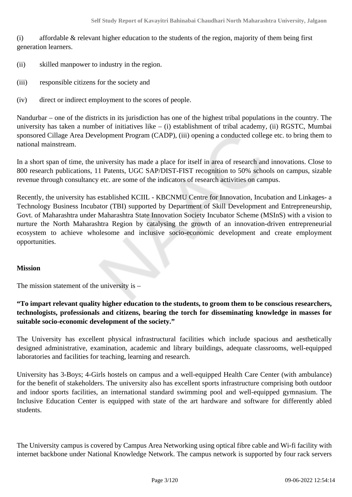(i) affordable & relevant higher education to the students of the region, majority of them being first generation learners.

- (ii) skilled manpower to industry in the region.
- (iii) responsible citizens for the society and
- (iv) direct or indirect employment to the scores of people.

Nandurbar – one of the districts in its jurisdiction has one of the highest tribal populations in the country. The university has taken a number of initiatives like  $-$  (i) establishment of tribal academy, (ii) RGSTC, Mumbai sponsored Cillage Area Development Program (CADP), (iii) opening a conducted college etc. to bring them to national mainstream.

In a short span of time, the university has made a place for itself in area of research and innovations. Close to 800 research publications, 11 Patents, UGC SAP/DIST-FIST recognition to 50% schools on campus, sizable revenue through consultancy etc. are some of the indicators of research activities on campus.

Recently, the university has established KCIIL - KBCNMU Centre for Innovation, Incubation and Linkages- a Technology Business Incubator (TBI) supported by Department of Skill Development and Entrepreneurship, Govt. of Maharashtra under Maharashtra State Innovation Society Incubator Scheme (MSInS) with a vision to nurture the North Maharashtra Region by catalysing the growth of an innovation-driven entrepreneurial ecosystem to achieve wholesome and inclusive socio-economic development and create employment opportunities.

#### **Mission**

The mission statement of the university is –

#### **"To impart relevant quality higher education to the students, to groom them to be conscious researchers, technologists, professionals and citizens, bearing the torch for disseminating knowledge in masses for suitable socio-economic development of the society."**

The University has excellent physical infrastructural facilities which include spacious and aesthetically designed administrative, examination, academic and library buildings, adequate classrooms, well-equipped laboratories and facilities for teaching, learning and research.

University has 3-Boys; 4-Girls hostels on campus and a well-equipped Health Care Center (with ambulance) for the benefit of stakeholders. The university also has excellent sports infrastructure comprising both outdoor and indoor sports facilities, an international standard swimming pool and well-equipped gymnasium. The Inclusive Education Center is equipped with state of the art hardware and software for differently abled students.

The University campus is covered by Campus Area Networking using optical fibre cable and Wi-fi facility with internet backbone under National Knowledge Network. The campus network is supported by four rack servers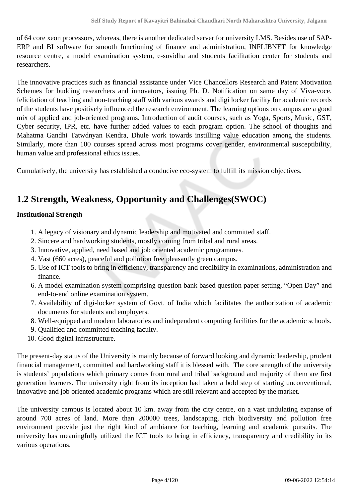of 64 core xeon processors, whereas, there is another dedicated server for university LMS. Besides use of SAP-ERP and BI software for smooth functioning of finance and administration, INFLIBNET for knowledge resource centre, a model examination system, e-suvidha and students facilitation center for students and researchers.

The innovative practices such as financial assistance under Vice Chancellors Research and Patent Motivation Schemes for budding researchers and innovators, issuing Ph. D. Notification on same day of Viva-voce, felicitation of teaching and non-teaching staff with various awards and digi locker facility for academic records of the students have positively influenced the research environment. The learning options on campus are a good mix of applied and job-oriented programs. Introduction of audit courses, such as Yoga, Sports, Music, GST, Cyber security, IPR, etc. have further added values to each program option. The school of thoughts and Mahatma Gandhi Tatwdnyan Kendra, Dhule work towards instilling value education among the students. Similarly, more than 100 courses spread across most programs cover gender, environmental susceptibility, human value and professional ethics issues.

Cumulatively, the university has established a conducive eco-system to fulfill its mission objectives.

## **1.2 Strength, Weakness, Opportunity and Challenges(SWOC)**

#### **Institutional Strength**

- 1. A legacy of visionary and dynamic leadership and motivated and committed staff.
- 2. Sincere and hardworking students, mostly coming from tribal and rural areas.
- 3. Innovative, applied, need based and job oriented academic programmes.
- 4. Vast (660 acres), peaceful and pollution free pleasantly green campus.
- 5. Use of ICT tools to bring in efficiency, transparency and credibility in examinations, administration and finance.
- 6. A model examination system comprising question bank based question paper setting, "Open Day" and end-to-end online examination system.
- 7. Availability of digi-locker system of Govt. of India which facilitates the authorization of academic documents for students and employers.
- 8. Well-equipped and modern laboratories and independent computing facilities for the academic schools.
- 9. Qualified and committed teaching faculty.
- 10. Good digital infrastructure.

The present-day status of the University is mainly because of forward looking and dynamic leadership, prudent financial management, committed and hardworking staff it is blessed with. The core strength of the university is students' populations which primary comes from rural and tribal background and majority of them are first generation learners. The university right from its inception had taken a bold step of starting unconventional, innovative and job oriented academic programs which are still relevant and accepted by the market.

The university campus is located about 10 km. away from the city centre, on a vast undulating expanse of around 700 acres of land. More than 200000 trees, landscaping, rich biodiversity and pollution free environment provide just the right kind of ambiance for teaching, learning and academic pursuits. The university has meaningfully utilized the ICT tools to bring in efficiency, transparency and credibility in its various operations.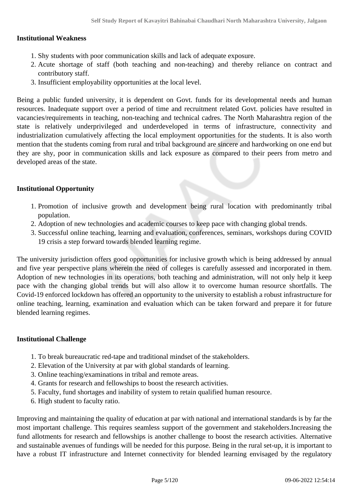#### **Institutional Weakness**

- 1. Shy students with poor communication skills and lack of adequate exposure.
- 2. Acute shortage of staff (both teaching and non-teaching) and thereby reliance on contract and contributory staff.
- 3. Insufficient employability opportunities at the local level.

Being a public funded university, it is dependent on Govt. funds for its developmental needs and human resources. Inadequate support over a period of time and recruitment related Govt. policies have resulted in vacancies/requirements in teaching, non-teaching and technical cadres. The North Maharashtra region of the state is relatively underprivileged and underdeveloped in terms of infrastructure, connectivity and industrialization cumulatively affecting the local employment opportunities for the students. It is also worth mention that the students coming from rural and tribal background are sincere and hardworking on one end but they are shy, poor in communication skills and lack exposure as compared to their peers from metro and developed areas of the state.

#### **Institutional Opportunity**

- 1. Promotion of inclusive growth and development being rural location with predominantly tribal population.
- 2. Adoption of new technologies and academic courses to keep pace with changing global trends.
- 3. Successful online teaching, learning and evaluation, conferences, seminars, workshops during COVID 19 crisis a step forward towards blended learning regime.

The university jurisdiction offers good opportunities for inclusive growth which is being addressed by annual and five year perspective plans wherein the need of colleges is carefully assessed and incorporated in them. Adoption of new technologies in its operations, both teaching and administration, will not only help it keep pace with the changing global trends but will also allow it to overcome human resource shortfalls. The Covid-19 enforced lockdown has offered an opportunity to the university to establish a robust infrastructure for online teaching, learning, examination and evaluation which can be taken forward and prepare it for future blended learning regimes.

#### **Institutional Challenge**

- 1. To break bureaucratic red-tape and traditional mindset of the stakeholders.
- 2. Elevation of the University at par with global standards of learning.
- 3. Online teaching/examinations in tribal and remote areas.
- 4. Grants for research and fellowships to boost the research activities.
- 5. Faculty, fund shortages and inability of system to retain qualified human resource.
- 6. High student to faculty ratio.

Improving and maintaining the quality of education at par with national and international standards is by far the most important challenge. This requires seamless support of the government and stakeholders.Increasing the fund allotments for research and fellowships is another challenge to boost the research activities. Alternative and sustainable avenues of fundings will be needed for this purpose. Being in the rural set-up, it is important to have a robust IT infrastructure and Internet connectivity for blended learning envisaged by the regulatory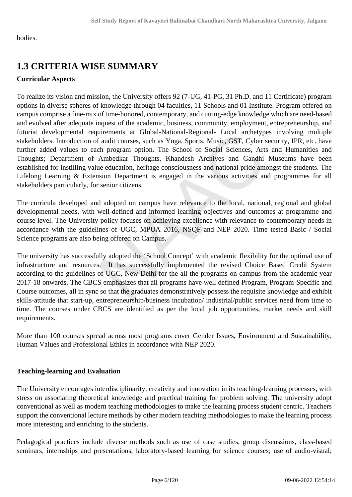bodies.

## **1.3 CRITERIA WISE SUMMARY**

#### **Curricular Aspects**

To realize its vision and mission, the University offers 92 (7-UG, 41-PG, 31 Ph.D. and 11 Certificate) program options in diverse spheres of knowledge through 04 faculties, 11 Schools and 01 Institute. Program offered on campus comprise a fine-mix of time-honored, contemporary, and cutting-edge knowledge which are need-based and evolved after adequate inquest of the academic, business, community, employment, entrepreneurship, and futurist developmental requirements at Global-National-Regional- Local archetypes involving multiple stakeholders. Introduction of audit courses, such as Yoga, Sports, Music, GST, Cyber security, IPR, etc. have further added values to each program option. The School of Social Sciences, Arts and Humanities and Thoughts; Department of Ambedkar Thoughts, Khandesh Archives and Gandhi Museums have been established for instilling value education, heritage consciousness and national pride amongst the students. The Lifelong Learning & Extension Department is engaged in the various activities and programmes for all stakeholders particularly, for senior citizens.

The curricula developed and adopted on campus have relevance to the local, national, regional and global developmental needs, with well-defined and informed learning objectives and outcomes at programme and course level. The University policy focuses on achieving excellence with relevance to contemporary needs in accordance with the guidelines of UGC, MPUA 2016, NSQF and NEP 2020. Time tested Basic / Social Science programs are also being offered on Campus.

The university has successfully adopted the 'School Concept' with academic flexibility for the optimal use of infrastructure and resources. It has successfully implemented the revised Choice Based Credit System according to the guidelines of UGC, New Delhi for the all the programs on campus from the academic year 2017-18 onwards. The CBCS emphasizes that all programs have well defined Program, Program-Specific and Course outcomes, all in sync so that the graduates demonstratively possess the requisite knowledge and exhibit skills-attitude that start-up, entrepreneurship/business incubation/ industrial/public services need from time to time. The courses under CBCS are identified as per the local job opportunities, market needs and skill requirements.

More than 100 courses spread across most programs cover Gender Issues, Environment and Sustainability, Human Values and Professional Ethics in accordance with NEP 2020.

#### **Teaching-learning and Evaluation**

The University encourages interdisciplinarity, creativity and innovation in its teaching-learning processes, with stress on associating theoretical knowledge and practical training for problem solving. The university adopt conventional as well as modern teaching methodologies to make the learning process student centric. Teachers support the conventional lecture methods by other modern teaching methodologies to make the learning process more interesting and enriching to the students.

Pedagogical practices include diverse methods such as use of case studies, group discussions, class-based seminars, internships and presentations, laboratory-based learning for science courses; use of audio-visual;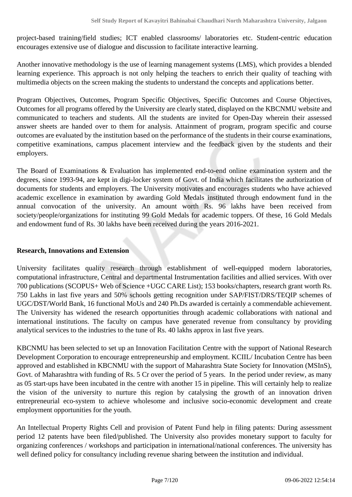project-based training/field studies; ICT enabled classrooms/ laboratories etc. Student-centric education encourages extensive use of dialogue and discussion to facilitate interactive learning.

Another innovative methodology is the use of learning management systems (LMS), which provides a blended learning experience. This approach is not only helping the teachers to enrich their quality of teaching with multimedia objects on the screen making the students to understand the concepts and applications better.

Program Objectives, Outcomes, Program Specific Objectives, Specific Outcomes and Course Objectives, Outcomes for all programs offered by the University are clearly stated, displayed on the KBCNMU website and communicated to teachers and students. All the students are invited for Open-Day wherein their assessed answer sheets are handed over to them for analysis. Attainment of program, program specific and course outcomes are evaluated by the institution based on the performance of the students in their course examinations, competitive examinations, campus placement interview and the feedback given by the students and their employers.

The Board of Examinations & Evaluation has implemented end-to-end online examination system and the degrees, since 1993-94, are kept in digi-locker system of Govt. of India which facilitates the authorization of documents for students and employers. The University motivates and encourages students who have achieved academic excellence in examination by awarding Gold Medals instituted through endowment fund in the annual convocation of the university. An amount worth Rs. 96 lakhs have been received from society/people/organizations for instituting 99 Gold Medals for academic toppers. Of these, 16 Gold Medals and endowment fund of Rs. 30 lakhs have been received during the years 2016-2021.

#### **Research, Innovations and Extension**

University facilitates quality research through establishment of well-equipped modern laboratories, computational infrastructure, Central and departmental Instrumentation facilities and allied services. With over 700 publications (SCOPUS+ Web of Science +UGC CARE List); 153 books/chapters, research grant worth Rs. 750 Lakhs in last five years and 50% schools getting recognition under SAP/FIST/DRS/TEQIP schemes of UGC/DST/World Bank, 16 functional MoUs and 240 Ph.Ds awarded is certainly a commendable achievement. The University has widened the research opportunities through academic collaborations with national and international institutions. The faculty on campus have generated revenue from consultancy by providing analytical services to the industries to the tune of Rs. 40 lakhs approx in last five years.

KBCNMU has been selected to set up an Innovation Facilitation Centre with the support of National Research Development Corporation to encourage entrepreneurship and employment. KCIIL/ Incubation Centre has been approved and established in KBCNMU with the support of Maharashtra State Society for Innovation (MSInS), Govt. of Maharashtra with funding of Rs. 5 Cr over the period of 5 years. In the period under review, as many as 05 start-ups have been incubated in the centre with another 15 in pipeline. This will certainly help to realize the vision of the university to nurture this region by catalysing the growth of an innovation driven entrepreneurial eco-system to achieve wholesome and inclusive socio-economic development and create employment opportunities for the youth.

An Intellectual Property Rights Cell and provision of Patent Fund help in filing patents: During assessment period 12 patents have been filed/published. The University also provides monetary support to faculty for organizing conferences / workshops and participation in international/national conferences. The university has well defined policy for consultancy including revenue sharing between the institution and individual.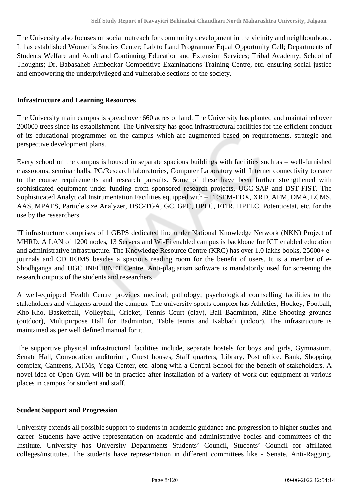The University also focuses on social outreach for community development in the vicinity and neighbourhood. It has established Women's Studies Center; Lab to Land Programme Equal Opportunity Cell; Departments of Students Welfare and Adult and Continuing Education and Extension Services; Tribal Academy, School of Thoughts; Dr. Babasaheb Ambedkar Competitive Examinations Training Centre, etc. ensuring social justice and empowering the underprivileged and vulnerable sections of the society.

#### **Infrastructure and Learning Resources**

The University main campus is spread over 660 acres of land. The University has planted and maintained over 200000 trees since its establishment. The University has good infrastructural facilities for the efficient conduct of its educational programmes on the campus which are augmented based on requirements, strategic and perspective development plans.

Every school on the campus is housed in separate spacious buildings with facilities such as – well-furnished classrooms, seminar halls, PG/Research laboratories, Computer Laboratory with Internet connectivity to cater to the course requirements and research pursuits. Some of these have been further strengthened with sophisticated equipment under funding from sponsored research projects, UGC-SAP and DST-FIST. The Sophisticated Analytical Instrumentation Facilities equipped with – FESEM-EDX, XRD, AFM, DMA, LCMS, AAS, MPAES, Particle size Analyzer, DSC-TGA, GC, GPC, HPLC, FTIR, HPTLC, Potentiostat, etc. for the use by the researchers.

IT infrastructure comprises of 1 GBPS dedicated line under National Knowledge Network (NKN) Project of MHRD. A LAN of 1200 nodes, 13 Servers and Wi-Fi enabled campus is backbone for ICT enabled education and administrative infrastructure. The Knowledge Resource Centre (KRC) has over 1.0 lakhs books, 25000+ ejournals and CD ROMS besides a spacious reading room for the benefit of users. It is a member of e-Shodhganga and UGC INFLIBNET Centre. Anti-plagiarism software is mandatorily used for screening the research outputs of the students and researchers.

A well-equipped Health Centre provides medical; pathology; psychological counselling facilities to the stakeholders and villagers around the campus. The university sports complex has Athletics, Hockey, Football, Kho-Kho, Basketball, Volleyball, Cricket, Tennis Court (clay), Ball Badminton, Rifle Shooting grounds (outdoor), Multipurpose Hall for Badminton, Table tennis and Kabbadi (indoor). The infrastructure is maintained as per well defined manual for it.

The supportive physical infrastructural facilities include, separate hostels for boys and girls, Gymnasium, Senate Hall, Convocation auditorium, Guest houses, Staff quarters, Library, Post office, Bank, Shopping complex, Canteens, ATMs, Yoga Center, etc. along with a Central School for the benefit of stakeholders. A novel idea of Open Gym will be in practice after installation of a variety of work-out equipment at various places in campus for student and staff.

#### **Student Support and Progression**

University extends all possible support to students in academic guidance and progression to higher studies and career. Students have active representation on academic and administrative bodies and committees of the Institute. University has University Departments Students' Council, Students' Council for affiliated colleges/institutes. The students have representation in different committees like - Senate, Anti-Ragging,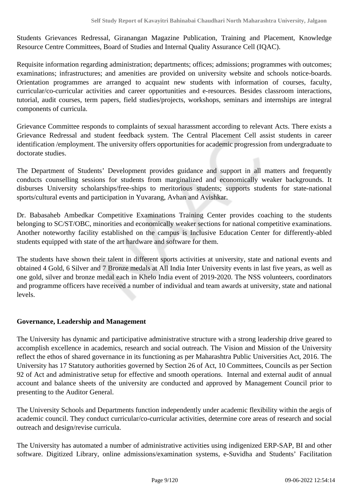Students Grievances Redressal, Giranangan Magazine Publication, Training and Placement, Knowledge Resource Centre Committees, Board of Studies and Internal Quality Assurance Cell (IQAC).

Requisite information regarding administration; departments; offices; admissions; programmes with outcomes; examinations; infrastructures; and amenities are provided on university website and schools notice-boards. Orientation programmes are arranged to acquaint new students with information of courses, faculty, curricular/co-curricular activities and career opportunities and e-resources. Besides classroom interactions, tutorial, audit courses, term papers, field studies/projects, workshops, seminars and internships are integral components of curricula.

Grievance Committee responds to complaints of sexual harassment according to relevant Acts. There exists a Grievance Redressal and student feedback system. The Central Placement Cell assist students in career identification /employment. The university offers opportunities for academic progression from undergraduate to doctorate studies.

The Department of Students' Development provides guidance and support in all matters and frequently conducts counselling sessions for students from marginalized and economically weaker backgrounds. It disburses University scholarships/free-ships to meritorious students; supports students for state-national sports/cultural events and participation in Yuvarang, Avhan and Avishkar.

Dr. Babasaheb Ambedkar Competitive Examinations Training Center provides coaching to the students belonging to SC/ST/OBC, minorities and economically weaker sections for national competitive examinations. Another noteworthy facility established on the campus is Inclusive Education Center for differently-abled students equipped with state of the art hardware and software for them.

The students have shown their talent in different sports activities at university, state and national events and obtained 4 Gold, 6 Silver and 7 Bronze medals at All India Inter University events in last five years, as well as one gold, silver and bronze medal each in Khelo India event of 2019-2020. The NSS volunteers, coordinators and programme officers have received a number of individual and team awards at university, state and national levels.

#### **Governance, Leadership and Management**

The University has dynamic and participative administrative structure with a strong leadership drive geared to accomplish excellence in academics, research and social outreach. The Vision and Mission of the University reflect the ethos of shared governance in its functioning as per Maharashtra Public Universities Act, 2016. The University has 17 Statutory authorities governed by Section 26 of Act, 10 Committees, Councils as per Section 92 of Act and administrative setup for effective and smooth operations. Internal and external audit of annual account and balance sheets of the university are conducted and approved by Management Council prior to presenting to the Auditor General.

The University Schools and Departments function independently under academic flexibility within the aegis of academic council. They conduct curricular/co-curricular activities, determine core areas of research and social outreach and design/revise curricula.

The University has automated a number of administrative activities using indigenized ERP-SAP, BI and other software. Digitized Library, online admissions/examination systems, e-Suvidha and Students' Facilitation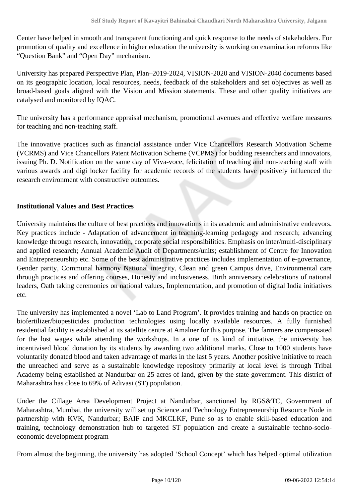Center have helped in smooth and transparent functioning and quick response to the needs of stakeholders. For promotion of quality and excellence in higher education the university is working on examination reforms like "Question Bank" and "Open Day" mechanism.

University has prepared Perspective Plan, Plan–2019-2024, VISION-2020 and VISION-2040 documents based on its geographic location, local resources, needs, feedback of the stakeholders and set objectives as well as broad-based goals aligned with the Vision and Mission statements. These and other quality initiatives are catalysed and monitored by IQAC.

The university has a performance appraisal mechanism, promotional avenues and effective welfare measures for teaching and non-teaching staff.

The innovative practices such as financial assistance under Vice Chancellors Research Motivation Scheme (VCRMS) and Vice Chancellors Patent Motivation Scheme (VCPMS) for budding researchers and innovators, issuing Ph. D. Notification on the same day of Viva-voce, felicitation of teaching and non-teaching staff with various awards and digi locker facility for academic records of the students have positively influenced the research environment with constructive outcomes.

#### **Institutional Values and Best Practices**

University maintains the culture of best practices and innovations in its academic and administrative endeavors. Key practices include - Adaptation of advancement in teaching-learning pedagogy and research; advancing knowledge through research, innovation, corporate social responsibilities. Emphasis on inter/multi-disciplinary and applied research; Annual Academic Audit of Departments/units; establishment of Centre for Innovation and Entrepreneurship etc. Some of the best administrative practices includes implementation of e-governance, Gender parity, Communal harmony National integrity, Clean and green Campus drive, Environmental care through practices and offering courses, Honesty and inclusiveness, Birth anniversary celebrations of national leaders, Oath taking ceremonies on national values, Implementation, and promotion of digital India initiatives etc.

The university has implemented a novel 'Lab to Land Program'. It provides training and hands on practice on biofertilizer/biopesticides production technologies using locally available resources. A fully furnished residential facility is established at its satellite centre at Amalner for this purpose. The farmers are compensated for the lost wages while attending the workshops. In a one of its kind of initiative, the university has incentivised blood donation by its students by awarding two additional marks. Close to 1000 students have voluntarily donated blood and taken advantage of marks in the last 5 years. Another positive initiative to reach the unreached and serve as a sustainable knowledge repository primarily at local level is through Tribal Academy being established at Nandurbar on 25 acres of land, given by the state government. This district of Maharashtra has close to 69% of Adivasi (ST) population.

Under the Cillage Area Development Project at Nandurbar, sanctioned by RGS&TC, Government of Maharashtra, Mumbai, the university will set up Science and Technology Entrepreneurship Resource Node in partnership with KVK, Nandurbar; BAIF and MKCLKF, Pune so as to enable skill-based education and training, technology demonstration hub to targeted ST population and create a sustainable techno-socioeconomic development program

From almost the beginning, the university has adopted 'School Concept' which has helped optimal utilization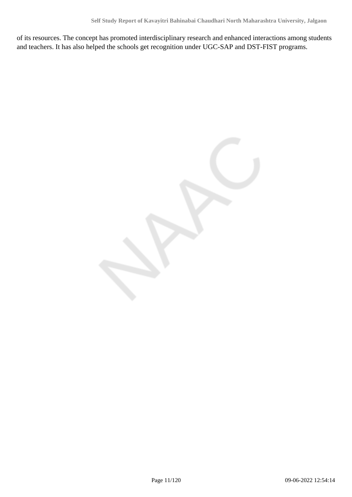of its resources. The concept has promoted interdisciplinary research and enhanced interactions among students and teachers. It has also helped the schools get recognition under UGC-SAP and DST-FIST programs.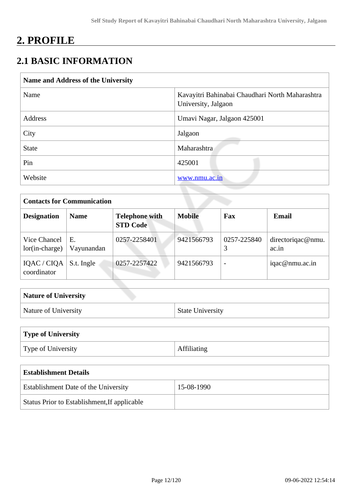## **2. PROFILE**

## **2.1 BASIC INFORMATION**

| Name and Address of the University |                                                                        |  |  |  |  |
|------------------------------------|------------------------------------------------------------------------|--|--|--|--|
| Name                               | Kavayitri Bahinabai Chaudhari North Maharashtra<br>University, Jalgaon |  |  |  |  |
| Address                            | Umavi Nagar, Jalgaon 425001                                            |  |  |  |  |
| City                               | Jalgaon                                                                |  |  |  |  |
| <b>State</b>                       | Maharashtra                                                            |  |  |  |  |
| Pin                                | 425001                                                                 |  |  |  |  |
| Website                            | www.nmu.ac.in                                                          |  |  |  |  |

| <b>Contacts for Communication</b>                                             |                  |               |            |                          |                            |  |  |  |
|-------------------------------------------------------------------------------|------------------|---------------|------------|--------------------------|----------------------------|--|--|--|
| <b>Designation</b><br><b>Telephone with</b><br><b>Name</b><br><b>STD Code</b> |                  | <b>Mobile</b> | Fax        | Email                    |                            |  |  |  |
| Vice Chancel<br>$lor(in-charge)$                                              | E.<br>Vayunandan | 0257-2258401  | 9421566793 | 0257-225840              | directoriqac@nmu.<br>ac.in |  |  |  |
| IQAC / CIQA<br>coordinator                                                    | S.t. Ingle       | 0257-2257422  | 9421566793 | $\overline{\phantom{a}}$ | iqac@nmu.ac.in             |  |  |  |

| <b>Nature of University</b> |                         |
|-----------------------------|-------------------------|
| Nature of University        | <b>State University</b> |

## **Type of University**

| Type of University |  |
|--------------------|--|
|                    |  |

| <b>Establishment Details</b>                 |            |  |  |  |  |  |
|----------------------------------------------|------------|--|--|--|--|--|
| Establishment Date of the University         | 15-08-1990 |  |  |  |  |  |
| Status Prior to Establishment, If applicable |            |  |  |  |  |  |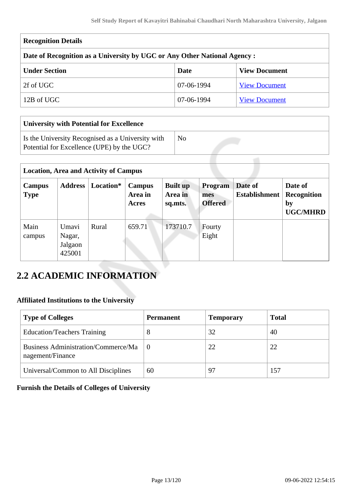| <b>Recognition Details</b>                                                |            |                      |  |  |  |  |  |  |
|---------------------------------------------------------------------------|------------|----------------------|--|--|--|--|--|--|
| Date of Recognition as a University by UGC or Any Other National Agency : |            |                      |  |  |  |  |  |  |
| <b>Under Section</b><br><b>View Document</b><br>Date                      |            |                      |  |  |  |  |  |  |
| 2f of UGC                                                                 | 07-06-1994 | <b>View Document</b> |  |  |  |  |  |  |
| 12B of UGC                                                                | 07-06-1994 | <b>View Document</b> |  |  |  |  |  |  |

| University with Potential for Excellence                                                        |    |  |  |  |  |  |  |  |
|-------------------------------------------------------------------------------------------------|----|--|--|--|--|--|--|--|
| Is the University Recognised as a University with<br>Potential for Excellence (UPE) by the UGC? | No |  |  |  |  |  |  |  |

| <b>Location, Area and Activity of Campus</b> |                                      |           |                            |                                       |                                         |                                 |                                                        |  |  |
|----------------------------------------------|--------------------------------------|-----------|----------------------------|---------------------------------------|-----------------------------------------|---------------------------------|--------------------------------------------------------|--|--|
| Campus<br><b>Type</b>                        | <b>Address</b>                       | Location* | Campus<br>Area in<br>Acres | <b>Built up</b><br>Area in<br>sq.mts. | <b>Program</b><br>mes<br><b>Offered</b> | Date of<br><b>Establishment</b> | Date of<br><b>Recognition</b><br>by<br><b>UGC/MHRD</b> |  |  |
| Main<br>campus                               | Umavi<br>Nagar,<br>Jalgaon<br>425001 | Rural     | 659.71                     | 173710.7                              | Fourty<br>Eight                         |                                 |                                                        |  |  |

## **2.2 ACADEMIC INFORMATION**

#### **Affiliated Institutions to the University**

| <b>Type of Colleges</b>                                        | <b>Permanent</b> | <b>Temporary</b> | <b>Total</b> |
|----------------------------------------------------------------|------------------|------------------|--------------|
| <b>Education/Teachers Training</b>                             |                  | 32               | 40           |
| <b>Business Administration/Commerce/Ma</b><br>nagement/Finance | 0                | 22               | 22           |
| Universal/Common to All Disciplines                            | 60               | 97               | 157          |

#### **Furnish the Details of Colleges of University**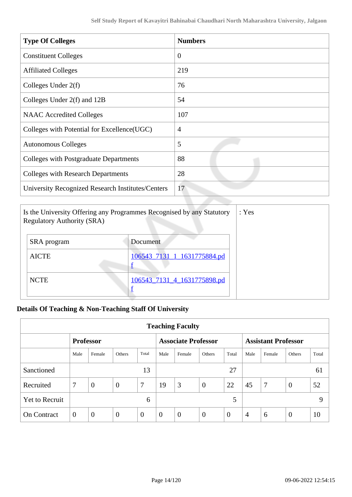| <b>Type Of Colleges</b>                           | <b>Numbers</b> |
|---------------------------------------------------|----------------|
| <b>Constituent Colleges</b>                       | $\overline{0}$ |
| <b>Affiliated Colleges</b>                        | 219            |
| Colleges Under $2(f)$                             | 76             |
| Colleges Under 2(f) and 12B                       | 54             |
| <b>NAAC</b> Accredited Colleges                   | 107            |
| Colleges with Potential for Excellence (UGC)      | $\overline{4}$ |
| <b>Autonomous Colleges</b>                        | 5              |
| Colleges with Postgraduate Departments            | 88             |
| <b>Colleges with Research Departments</b>         | 28             |
| University Recognized Research Institutes/Centers | 17             |

| Is the University Offering any Programmes Recognised by any Statutory<br><b>Regulatory Authority (SRA)</b> | : Yes                       |  |
|------------------------------------------------------------------------------------------------------------|-----------------------------|--|
| SRA program                                                                                                | Document                    |  |
| <b>AICTE</b>                                                                                               | 106543 7131 1 1631775884.pd |  |
| <b>NCTE</b>                                                                                                | 106543_7131_4_1631775898.pd |  |

### **Details Of Teaching & Non-Teaching Staff Of University**

| <b>Teaching Faculty</b> |                |                  |                |              |              |                            |                |                |                            |                |                |       |
|-------------------------|----------------|------------------|----------------|--------------|--------------|----------------------------|----------------|----------------|----------------------------|----------------|----------------|-------|
|                         |                | <b>Professor</b> |                |              |              | <b>Associate Professor</b> |                |                | <b>Assistant Professor</b> |                |                |       |
|                         | Male           | Female           | Others         | Total        | Male         | Female                     | Others         | Total          | Male                       | Female         | Others         | Total |
| Sanctioned              |                |                  |                | 13           |              |                            |                | 27             |                            |                |                | 61    |
| Recruited               | $\overline{7}$ | $\overline{0}$   | $\overline{0}$ | 7            | 19           | 3                          | $\overline{0}$ | 22             | 45                         | $\overline{7}$ | $\overline{0}$ | 52    |
| <b>Yet to Recruit</b>   |                |                  |                | 6            |              |                            |                | 5              |                            |                |                | 9     |
| <b>On Contract</b>      | $\overline{0}$ | $\overline{0}$   | $\overline{0}$ | $\mathbf{0}$ | $\mathbf{0}$ | $\theta$                   | $\overline{0}$ | $\overline{0}$ | 4                          | 6              | $\overline{0}$ | 10    |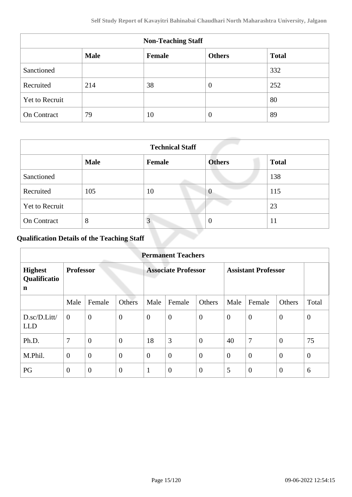| <b>Non-Teaching Staff</b> |             |        |               |              |  |  |  |
|---------------------------|-------------|--------|---------------|--------------|--|--|--|
|                           | <b>Male</b> | Female | <b>Others</b> | <b>Total</b> |  |  |  |
| Sanctioned                |             |        |               | 332          |  |  |  |
| Recruited                 | 214         | 38     | $\theta$      | 252          |  |  |  |
| Yet to Recruit            |             |        |               | 80           |  |  |  |
| <b>On Contract</b>        | 79          | 10     | $\theta$      | 89           |  |  |  |

| <b>Technical Staff</b> |             |               |               |              |  |  |  |  |
|------------------------|-------------|---------------|---------------|--------------|--|--|--|--|
|                        | <b>Male</b> | <b>Female</b> | <b>Others</b> | <b>Total</b> |  |  |  |  |
| Sanctioned             |             |               |               | 138          |  |  |  |  |
| Recruited              | 105         | 10            | $\theta$      | 115          |  |  |  |  |
| <b>Yet to Recruit</b>  |             |               |               | 23           |  |  |  |  |
| On Contract            | 8           | 3             | $\theta$      | 11           |  |  |  |  |

## **Qualification Details of the Teaching Staff**

| <b>Permanent Teachers</b>           |                  |                  |                            |                |                            |                  |                |                  |                |          |
|-------------------------------------|------------------|------------------|----------------------------|----------------|----------------------------|------------------|----------------|------------------|----------------|----------|
| <b>Highest</b><br>Qualificatio<br>n | <b>Professor</b> |                  | <b>Associate Professor</b> |                | <b>Assistant Professor</b> |                  |                |                  |                |          |
|                                     | Male             | Female           | Others                     | Male           | Female                     | Others           | Male           | Female           | Others         | Total    |
| D.sc/D.Litt/<br><b>LLD</b>          | $\boldsymbol{0}$ | $\mathbf{0}$     | $\overline{0}$             | $\overline{0}$ | $\boldsymbol{0}$           | $\overline{0}$   | $\overline{0}$ | $\boldsymbol{0}$ | $\theta$       | $\theta$ |
| Ph.D.                               | 7                | $\overline{0}$   | $\overline{0}$             | 18             | 3                          | $\boldsymbol{0}$ | 40             | 7                | $\overline{0}$ | 75       |
| M.Phil.                             | $\mathbf{0}$     | $\overline{0}$   | $\overline{0}$             | $\overline{0}$ | $\overline{0}$             | $\overline{0}$   | $\overline{0}$ | $\overline{0}$   | $\overline{0}$ | $\theta$ |
| PG                                  | $\theta$         | $\boldsymbol{0}$ | $\theta$                   | 1              | $\boldsymbol{0}$           | $\overline{0}$   | 5              | $\overline{0}$   | $\overline{0}$ | 6        |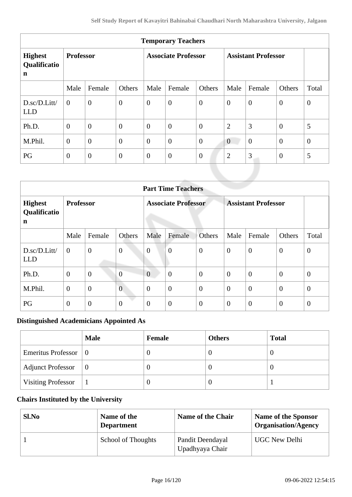| <b>Temporary Teachers</b>                     |                  |                  |                            |                |                            |                |                  |                  |                  |                  |
|-----------------------------------------------|------------------|------------------|----------------------------|----------------|----------------------------|----------------|------------------|------------------|------------------|------------------|
| <b>Highest</b><br>Qualificatio<br>$\mathbf n$ | <b>Professor</b> |                  | <b>Associate Professor</b> |                | <b>Assistant Professor</b> |                |                  |                  |                  |                  |
|                                               | Male             | Female           | Others                     | Male           | Female                     | Others         | Male             | Female           | Others           | Total            |
| D.sc/D.Litt/<br><b>LLD</b>                    | $\mathbf{0}$     | $\boldsymbol{0}$ | $\boldsymbol{0}$           | $\overline{0}$ | $\boldsymbol{0}$           | $\overline{0}$ | $\boldsymbol{0}$ | $\mathbf{0}$     | $\boldsymbol{0}$ | $\boldsymbol{0}$ |
| Ph.D.                                         | $\boldsymbol{0}$ | $\overline{0}$   | $\boldsymbol{0}$           | $\mathbf{0}$   | $\mathbf{0}$               | $\mathbf{0}$   | $\overline{2}$   | 3                | $\mathbf{0}$     | 5                |
| M.Phil.                                       | $\boldsymbol{0}$ | $\boldsymbol{0}$ | $\boldsymbol{0}$           | $\mathbf{0}$   | $\theta$                   | $\overline{0}$ | $\overline{0}$   | $\boldsymbol{0}$ | $\boldsymbol{0}$ | $\mathbf{0}$     |
| PG                                            | $\overline{0}$   | $\boldsymbol{0}$ | $\boldsymbol{0}$           | $\overline{0}$ | $\boldsymbol{0}$           | $\mathbf{0}$   | $\overline{2}$   | 3                | $\boldsymbol{0}$ | 5                |
|                                               |                  |                  |                            |                |                            |                |                  |                  |                  |                  |

|                                     | <b>Part Time Teachers</b> |                |                  |                            |                  |                  |                            |                |                |                |  |
|-------------------------------------|---------------------------|----------------|------------------|----------------------------|------------------|------------------|----------------------------|----------------|----------------|----------------|--|
| <b>Highest</b><br>Qualificatio<br>n | <b>Professor</b>          |                |                  | <b>Associate Professor</b> |                  |                  | <b>Assistant Professor</b> |                |                |                |  |
|                                     | Male                      | Female         | Others           | Male                       | Female           | Others           | Male                       | Female         | Others         | Total          |  |
| D.sc/D.Litt/<br><b>LLD</b>          | $\mathbf{0}$              | $\overline{0}$ | $\boldsymbol{0}$ | $\boldsymbol{0}$           | $\overline{0}$   | $\boldsymbol{0}$ | $\overline{0}$             | $\overline{0}$ | $\theta$       | $\theta$       |  |
| Ph.D.                               | $\boldsymbol{0}$          | $\mathbf{0}$   | $\overline{0}$   | $\overline{0}$             | $\overline{0}$   | $\overline{0}$   | $\overline{0}$             | $\overline{0}$ | $\overline{0}$ | $\theta$       |  |
| M.Phil.                             | $\theta$                  | $\overline{0}$ | $\overline{0}$   | $\overline{0}$             | $\boldsymbol{0}$ | $\overline{0}$   | $\overline{0}$             | $\overline{0}$ | $\theta$       | $\theta$       |  |
| PG                                  | $\mathbf{0}$              | $\mathbf{0}$   | $\boldsymbol{0}$ | $\theta$                   | $\boldsymbol{0}$ | $\overline{0}$   | $\theta$                   | $\overline{0}$ | $\overline{0}$ | $\overline{0}$ |  |

#### **Distinguished Academicians Appointed As**

|                                      | <b>Male</b> | Female | <b>Others</b> | <b>Total</b> |
|--------------------------------------|-------------|--------|---------------|--------------|
| Emeritus Professor $\vert 0 \rangle$ |             |        | U             | U            |
| <b>Adjunct Professor</b>             | $\vert 0$   |        | U             | U            |
| <b>Visiting Professor</b>            |             |        | U             |              |

#### **Chairs Instituted by the University**

| Sl.No | Name of the<br><b>Department</b> | Name of the Chair                   | <b>Name of the Sponsor</b><br><b>Organisation/Agency</b> |
|-------|----------------------------------|-------------------------------------|----------------------------------------------------------|
|       | School of Thoughts               | Pandit Deendayal<br>Upadhyaya Chair | <b>UGC New Delhi</b>                                     |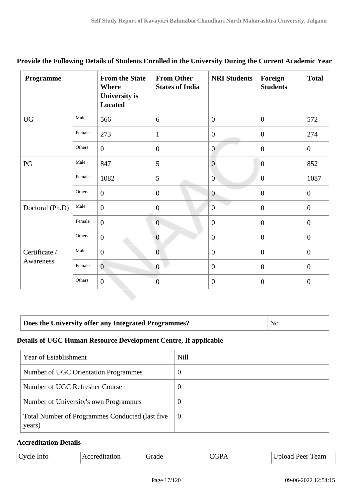| Programme       |        | <b>From the State</b><br><b>Where</b><br><b>University is</b><br><b>Located</b> | <b>From Other</b><br><b>States of India</b> | <b>NRI Students</b> | Foreign<br><b>Students</b> | <b>Total</b>     |
|-----------------|--------|---------------------------------------------------------------------------------|---------------------------------------------|---------------------|----------------------------|------------------|
| <b>UG</b>       | Male   | 566                                                                             | 6                                           | $\overline{0}$      | $\mathbf{0}$               | 572              |
|                 | Female | 273                                                                             | $\mathbf{1}$                                | $\overline{0}$      | $\mathbf{0}$               | 274              |
|                 | Others | $\boldsymbol{0}$                                                                | $\overline{0}$                              | $\overline{0}$      | $\boldsymbol{0}$           | $\mathbf{0}$     |
| PG              | Male   | 847                                                                             | 5                                           | $\overline{0}$      | $\overline{0}$             | 852              |
|                 | Female | 1082                                                                            | 5                                           | $\overline{0}$      | $\boldsymbol{0}$           | 1087             |
|                 | Others | $\boldsymbol{0}$                                                                | $\overline{0}$                              | $\mathbf{0}$        | $\overline{0}$             | $\mathbf{0}$     |
| Doctoral (Ph.D) | Male   | $\boldsymbol{0}$                                                                | $\boldsymbol{0}$                            | $\boldsymbol{0}$    | $\boldsymbol{0}$           | $\boldsymbol{0}$ |
|                 | Female | $\boldsymbol{0}$                                                                | $\theta$                                    | $\overline{0}$      | $\overline{0}$             | $\mathbf{0}$     |
|                 | Others | $\boldsymbol{0}$                                                                | $\boldsymbol{0}$                            | $\overline{0}$      | $\mathbf{0}$               | $\boldsymbol{0}$ |
| Certificate /   | Male   | $\overline{0}$                                                                  | $\overline{0}$                              | $\overline{0}$      | $\mathbf{0}$               | $\overline{0}$   |
| Awareness       | Female | $\overline{0}$                                                                  | $\overline{0}$                              | $\theta$            | $\mathbf{0}$               | $\overline{0}$   |
|                 | Others | $\boldsymbol{0}$                                                                | $\overline{0}$                              | $\overline{0}$      | $\boldsymbol{0}$           | $\overline{0}$   |

#### **Provide the Following Details of Students Enrolled in the University During the Current Academic Year**

#### **Does the University offer any Integrated Programmes?** No

#### **Details of UGC Human Resource Development Centre, If applicable**

| Year of Establishment                                      | <b>Nill</b> |
|------------------------------------------------------------|-------------|
| Number of UGC Orientation Programmes                       | $\theta$    |
| Number of UGC Refresher Course                             | $\theta$    |
| Number of University's own Programmes                      | $\theta$    |
| Total Number of Programmes Conducted (last five)<br>years) | -0          |

#### **Accreditation Details**

| Cycle Info | Accreditation | <b>Trade</b> | 7GD A | Upload Peer Team |
|------------|---------------|--------------|-------|------------------|
|            |               |              |       |                  |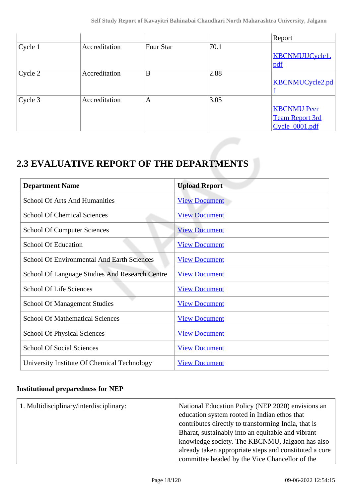|         |               |           |      | Report                 |
|---------|---------------|-----------|------|------------------------|
| Cycle 1 | Accreditation | Four Star | 70.1 |                        |
|         |               |           |      | <b>KBCNMUUCycle1.</b>  |
|         |               |           |      | pdf                    |
| Cycle 2 | Accreditation | B         | 2.88 |                        |
|         |               |           |      | <b>KBCNMUCycle2.pd</b> |
|         |               |           |      | Ī                      |
| Cycle 3 | Accreditation | A         | 3.05 |                        |
|         |               |           |      | <b>KBCNMU Peer</b>     |
|         |               |           |      | <b>Team Report 3rd</b> |
|         |               |           |      | Cycle 0001.pdf         |

## **2.3 EVALUATIVE REPORT OF THE DEPARTMENTS**

| <b>Department Name</b>                                | <b>Upload Report</b> |
|-------------------------------------------------------|----------------------|
| <b>School Of Arts And Humanities</b>                  | <b>View Document</b> |
| <b>School Of Chemical Sciences</b>                    | <b>View Document</b> |
| <b>School Of Computer Sciences</b>                    | <b>View Document</b> |
| <b>School Of Education</b>                            | <b>View Document</b> |
| <b>School Of Environmental And Earth Sciences</b>     | <b>View Document</b> |
| <b>School Of Language Studies And Research Centre</b> | <b>View Document</b> |
| <b>School Of Life Sciences</b>                        | <b>View Document</b> |
| <b>School Of Management Studies</b>                   | <b>View Document</b> |
| <b>School Of Mathematical Sciences</b>                | <b>View Document</b> |
| <b>School Of Physical Sciences</b>                    | <b>View Document</b> |
| <b>School Of Social Sciences</b>                      | <b>View Document</b> |
| University Institute Of Chemical Technology           | <b>View Document</b> |

#### **Institutional preparedness for NEP**

| 1. Multidisciplinary/interdisciplinary: | National Education Policy (NEP 2020) envisions an<br>education system rooted in Indian ethos that<br>contributes directly to transforming India, that is<br>Bharat, sustainably into an equitable and vibrant<br>knowledge society. The KBCNMU, Jalgaon has also<br>already taken appropriate steps and constituted a core |
|-----------------------------------------|----------------------------------------------------------------------------------------------------------------------------------------------------------------------------------------------------------------------------------------------------------------------------------------------------------------------------|
|                                         | committee headed by the Vice Chancellor of the                                                                                                                                                                                                                                                                             |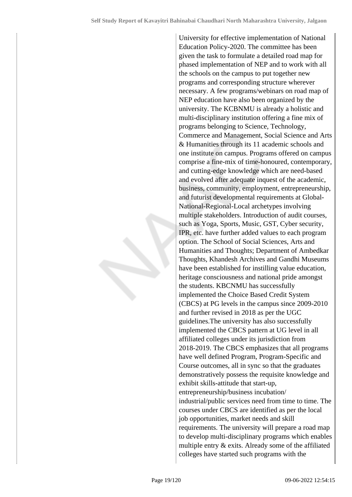University for effective implementation of National Education Policy-2020. The committee has been given the task to formulate a detailed road map for phased implementation of NEP and to work with all the schools on the campus to put together new programs and corresponding structure wherever necessary. A few programs/webinars on road map of NEP education have also been organized by the university. The KCBNMU is already a holistic and multi-disciplinary institution offering a fine mix of programs belonging to Science, Technology, Commerce and Management, Social Science and Arts & Humanities through its 11 academic schools and one institute on campus. Programs offered on campus comprise a fine-mix of time-honoured, contemporary, and cutting-edge knowledge which are need-based and evolved after adequate inquest of the academic, business, community, employment, entrepreneurship, and futurist developmental requirements at Global-National-Regional-Local archetypes involving multiple stakeholders. Introduction of audit courses, such as Yoga, Sports, Music, GST, Cyber security, IPR, etc. have further added values to each program option. The School of Social Sciences, Arts and Humanities and Thoughts; Department of Ambedkar Thoughts, Khandesh Archives and Gandhi Museums have been established for instilling value education, heritage consciousness and national pride amongst the students. KBCNMU has successfully implemented the Choice Based Credit System (CBCS) at PG levels in the campus since 2009-2010 and further revised in 2018 as per the UGC guidelines.The university has also successfully implemented the CBCS pattern at UG level in all affiliated colleges under its jurisdiction from 2018-2019. The CBCS emphasizes that all programs have well defined Program, Program-Specific and Course outcomes, all in sync so that the graduates demonstratively possess the requisite knowledge and exhibit skills-attitude that start-up, entrepreneurship/business incubation/ industrial/public services need from time to time. The courses under CBCS are identified as per the local job opportunities, market needs and skill requirements. The university will prepare a road map to develop multi-disciplinary programs which enables multiple entry & exits. Already some of the affiliated colleges have started such programs with the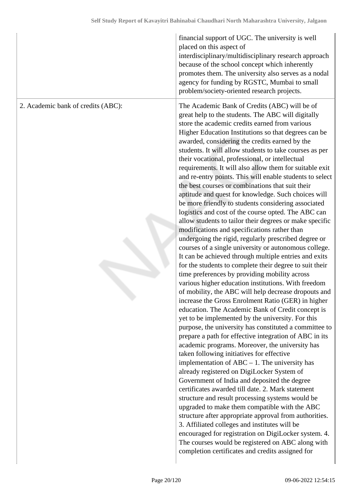|                                    | financial support of UGC. The university is well<br>placed on this aspect of<br>interdisciplinary/multidisciplinary research approach<br>because of the school concept which inherently<br>promotes them. The university also serves as a nodal<br>agency for funding by RGSTC, Mumbai to small<br>problem/society-oriented research projects.                                                                                                                                                                                                                                                                                                                                                                                                                                                                                                                                                                                                                                                                                                                                                                                                                                                                                                                                                                                                                                                                                                                                                                                                                                                                                                                                                                                                                                                                                                                                                                                                                                                                                                                                                                                                                                                                            |
|------------------------------------|---------------------------------------------------------------------------------------------------------------------------------------------------------------------------------------------------------------------------------------------------------------------------------------------------------------------------------------------------------------------------------------------------------------------------------------------------------------------------------------------------------------------------------------------------------------------------------------------------------------------------------------------------------------------------------------------------------------------------------------------------------------------------------------------------------------------------------------------------------------------------------------------------------------------------------------------------------------------------------------------------------------------------------------------------------------------------------------------------------------------------------------------------------------------------------------------------------------------------------------------------------------------------------------------------------------------------------------------------------------------------------------------------------------------------------------------------------------------------------------------------------------------------------------------------------------------------------------------------------------------------------------------------------------------------------------------------------------------------------------------------------------------------------------------------------------------------------------------------------------------------------------------------------------------------------------------------------------------------------------------------------------------------------------------------------------------------------------------------------------------------------------------------------------------------------------------------------------------------|
| 2. Academic bank of credits (ABC): | The Academic Bank of Credits (ABC) will be of<br>great help to the students. The ABC will digitally<br>store the academic credits earned from various<br>Higher Education Institutions so that degrees can be<br>awarded, considering the credits earned by the<br>students. It will allow students to take courses as per<br>their vocational, professional, or intellectual<br>requirements. It will also allow them for suitable exit<br>and re-entry points. This will enable students to select<br>the best courses or combinations that suit their<br>aptitude and quest for knowledge. Such choices will<br>be more friendly to students considering associated<br>logistics and cost of the course opted. The ABC can<br>allow students to tailor their degrees or make specific<br>modifications and specifications rather than<br>undergoing the rigid, regularly prescribed degree or<br>courses of a single university or autonomous college.<br>It can be achieved through multiple entries and exits<br>for the students to complete their degree to suit their<br>time preferences by providing mobility across<br>various higher education institutions. With freedom<br>of mobility, the ABC will help decrease dropouts and<br>increase the Gross Enrolment Ratio (GER) in higher<br>education. The Academic Bank of Credit concept is<br>yet to be implemented by the university. For this<br>purpose, the university has constituted a committee to<br>prepare a path for effective integration of ABC in its<br>academic programs. Moreover, the university has<br>taken following initiatives for effective<br>implementation of $ABC - 1$ . The university has<br>already registered on DigiLocker System of<br>Government of India and deposited the degree<br>certificates awarded till date. 2. Mark statement<br>structure and result processing systems would be<br>upgraded to make them compatible with the ABC<br>structure after appropriate approval from authorities.<br>3. Affiliated colleges and institutes will be<br>encouraged for registration on DigiLocker system. 4.<br>The courses would be registered on ABC along with<br>completion certificates and credits assigned for |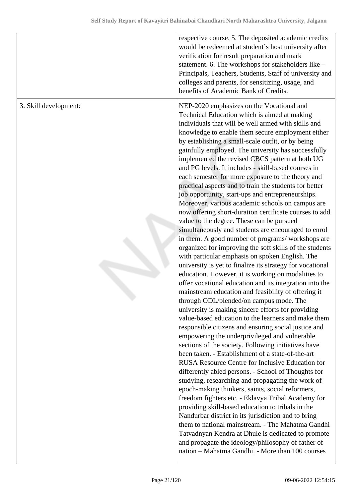|                       | respective course. 5. The deposited academic credits<br>would be redeemed at student's host university after<br>verification for result preparation and mark<br>statement. 6. The workshops for stakeholders like -<br>Principals, Teachers, Students, Staff of university and<br>colleges and parents, for sensitizing, usage, and<br>benefits of Academic Bank of Credits.                                                                                                                                                                                                                                                                                                                                                                                                                                                                                                                                                                                                                                                                                                                                                                                                                                                                                                                                                                                                                                                                                                                                                                                                                                                                                                                                                                                                                                                                                                                                                                                                                                                                                                                                                                                                                                     |
|-----------------------|------------------------------------------------------------------------------------------------------------------------------------------------------------------------------------------------------------------------------------------------------------------------------------------------------------------------------------------------------------------------------------------------------------------------------------------------------------------------------------------------------------------------------------------------------------------------------------------------------------------------------------------------------------------------------------------------------------------------------------------------------------------------------------------------------------------------------------------------------------------------------------------------------------------------------------------------------------------------------------------------------------------------------------------------------------------------------------------------------------------------------------------------------------------------------------------------------------------------------------------------------------------------------------------------------------------------------------------------------------------------------------------------------------------------------------------------------------------------------------------------------------------------------------------------------------------------------------------------------------------------------------------------------------------------------------------------------------------------------------------------------------------------------------------------------------------------------------------------------------------------------------------------------------------------------------------------------------------------------------------------------------------------------------------------------------------------------------------------------------------------------------------------------------------------------------------------------------------|
| 3. Skill development: | NEP-2020 emphasizes on the Vocational and<br>Technical Education which is aimed at making<br>individuals that will be well armed with skills and<br>knowledge to enable them secure employment either<br>by establishing a small-scale outfit, or by being<br>gainfully employed. The university has successfully<br>implemented the revised CBCS pattern at both UG<br>and PG levels. It includes - skill-based courses in<br>each semester for more exposure to the theory and<br>practical aspects and to train the students for better<br>job opportunity, start-ups and entrepreneurships.<br>Moreover, various academic schools on campus are<br>now offering short-duration certificate courses to add<br>value to the degree. These can be pursued<br>simultaneously and students are encouraged to enrol<br>in them. A good number of programs/workshops are<br>organized for improving the soft skills of the students<br>with particular emphasis on spoken English. The<br>university is yet to finalize its strategy for vocational<br>education. However, it is working on modalities to<br>offer vocational education and its integration into the<br>mainstream education and feasibility of offering it<br>through ODL/blended/on campus mode. The<br>university is making sincere efforts for providing<br>value-based education to the learners and make them<br>responsible citizens and ensuring social justice and<br>empowering the underprivileged and vulnerable<br>sections of the society. Following initiatives have<br>been taken. - Establishment of a state-of-the-art<br>RUSA Resource Centre for Inclusive Education for<br>differently abled persons. - School of Thoughts for<br>studying, researching and propagating the work of<br>epoch-making thinkers, saints, social reformers,<br>freedom fighters etc. - Eklavya Tribal Academy for<br>providing skill-based education to tribals in the<br>Nandurbar district in its jurisdiction and to bring<br>them to national mainstream. - The Mahatma Gandhi<br>Tatvadnyan Kendra at Dhule is dedicated to promote<br>and propagate the ideology/philosophy of father of<br>nation - Mahatma Gandhi. - More than 100 courses |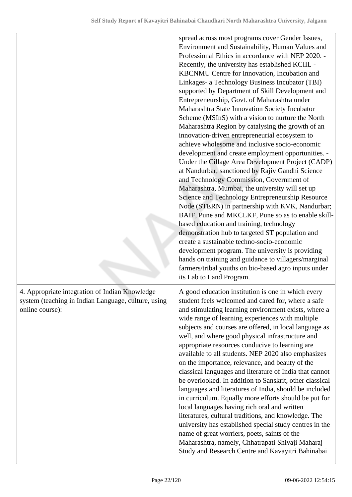|                                                                                                                          | spread across most programs cover Gender Issues,<br>Environment and Sustainability, Human Values and<br>Professional Ethics in accordance with NEP 2020. -<br>Recently, the university has established KCIIL -<br>KBCNMU Centre for Innovation, Incubation and<br>Linkages- a Technology Business Incubator (TBI)<br>supported by Department of Skill Development and<br>Entrepreneurship, Govt. of Maharashtra under<br>Maharashtra State Innovation Society Incubator<br>Scheme (MSInS) with a vision to nurture the North<br>Maharashtra Region by catalysing the growth of an<br>innovation-driven entrepreneurial ecosystem to<br>achieve wholesome and inclusive socio-economic<br>development and create employment opportunities. -<br>Under the Cillage Area Development Project (CADP)<br>at Nandurbar, sanctioned by Rajiv Gandhi Science<br>and Technology Commission, Government of<br>Maharashtra, Mumbai, the university will set up<br>Science and Technology Entrepreneurship Resource<br>Node (STERN) in partnership with KVK, Nandurbar;<br>BAIF, Pune and MKCLKF, Pune so as to enable skill-<br>based education and training, technology<br>demonstration hub to targeted ST population and<br>create a sustainable techno-socio-economic<br>development program. The university is providing<br>hands on training and guidance to villagers/marginal<br>farmers/tribal youths on bio-based agro inputs under<br>its Lab to Land Program. |
|--------------------------------------------------------------------------------------------------------------------------|----------------------------------------------------------------------------------------------------------------------------------------------------------------------------------------------------------------------------------------------------------------------------------------------------------------------------------------------------------------------------------------------------------------------------------------------------------------------------------------------------------------------------------------------------------------------------------------------------------------------------------------------------------------------------------------------------------------------------------------------------------------------------------------------------------------------------------------------------------------------------------------------------------------------------------------------------------------------------------------------------------------------------------------------------------------------------------------------------------------------------------------------------------------------------------------------------------------------------------------------------------------------------------------------------------------------------------------------------------------------------------------------------------------------------------------------------------------|
| 4. Appropriate integration of Indian Knowledge<br>system (teaching in Indian Language, culture, using<br>online course): | A good education institution is one in which every<br>student feels welcomed and cared for, where a safe<br>and stimulating learning environment exists, where a<br>wide range of learning experiences with multiple<br>subjects and courses are offered, in local language as<br>well, and where good physical infrastructure and<br>appropriate resources conducive to learning are<br>available to all students. NEP 2020 also emphasizes<br>on the importance, relevance, and beauty of the<br>classical languages and literature of India that cannot<br>be overlooked. In addition to Sanskrit, other classical<br>languages and literatures of India, should be included<br>in curriculum. Equally more efforts should be put for<br>local languages having rich oral and written<br>literatures, cultural traditions, and knowledge. The<br>university has established special study centres in the<br>name of great worriers, poets, saints of the<br>Maharashtra, namely, Chhatrapati Shivaji Maharaj<br>Study and Research Centre and Kavayitri Bahinabai                                                                                                                                                                                                                                                                                                                                                                                           |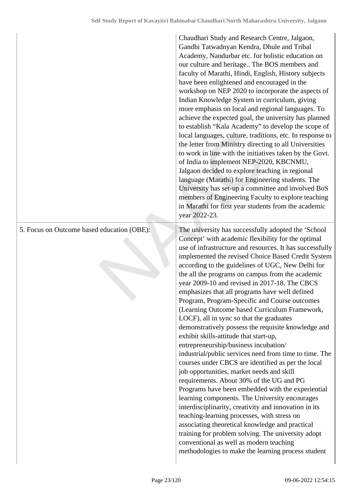|                                            | Chaudhari Study and Research Centre, Jalgaon,<br>Gandhi Tatwadnyan Kendra, Dhule and Tribal<br>Academy, Nandurbar etc. for holistic education on<br>our culture and heritage The BOS members and<br>faculty of Marathi, Hindi, English, History subjects<br>have been enlightened and encouraged in the<br>workshop on NEP 2020 to incorporate the aspects of<br>Indian Knowledge System in curriculum, giving<br>more emphasis on local and regional languages. To<br>achieve the expected goal, the university has planned<br>to establish "Kala Academy" to develop the scope of<br>local languages, culture, traditions, etc. In response to<br>the letter from Ministry directing to all Universities<br>to work in line with the initiatives taken by the Govt.<br>of India to implement NEP-2020, KBCNMU,<br>Jalgaon decided to explore teaching in regional<br>language (Marathi) for Engineering students. The<br>University has set-up a committee and involved BoS<br>members of Engineering Faculty to explore teaching<br>in Marathi for first year students from the academic<br>year 2022-23.                                                                                                                                                                                                                                                      |
|--------------------------------------------|-------------------------------------------------------------------------------------------------------------------------------------------------------------------------------------------------------------------------------------------------------------------------------------------------------------------------------------------------------------------------------------------------------------------------------------------------------------------------------------------------------------------------------------------------------------------------------------------------------------------------------------------------------------------------------------------------------------------------------------------------------------------------------------------------------------------------------------------------------------------------------------------------------------------------------------------------------------------------------------------------------------------------------------------------------------------------------------------------------------------------------------------------------------------------------------------------------------------------------------------------------------------------------------------------------------------------------------------------------------------|
| 5. Focus on Outcome based education (OBE): | The university has successfully adopted the 'School<br>Concept' with academic flexibility for the optimal<br>use of infrastructure and resources. It has successfully<br>implemented the revised Choice Based Credit System<br>according to the guidelines of UGC, New Delhi for<br>the all the programs on campus from the academic<br>year 2009-10 and revised in 2017-18. The CBCS<br>emphasizes that all programs have well defined<br>Program, Program-Specific and Course outcomes<br>(Learning Outcome based Curriculum Framework,<br>LOCF), all in sync so that the graduates<br>demonstratively possess the requisite knowledge and<br>exhibit skills-attitude that start-up,<br>entrepreneurship/business incubation/<br>industrial/public services need from time to time. The<br>courses under CBCS are identified as per the local<br>job opportunities, market needs and skill<br>requirements. About 30% of the UG and PG<br>Programs have been embedded with the experiential<br>learning components. The University encourages<br>interdisciplinarity, creativity and innovation in its<br>teaching-learning processes, with stress on<br>associating theoretical knowledge and practical<br>training for problem solving. The university adopt<br>conventional as well as modern teaching<br>methodologies to make the learning process student |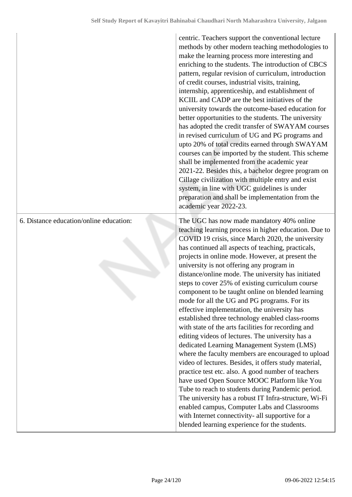|                                         | centric. Teachers support the conventional lecture<br>methods by other modern teaching methodologies to<br>make the learning process more interesting and<br>enriching to the students. The introduction of CBCS<br>pattern, regular revision of curriculum, introduction<br>of credit courses, industrial visits, training,<br>internship, apprenticeship, and establishment of<br>KCIIL and CADP are the best initiatives of the<br>university towards the outcome-based education for<br>better opportunities to the students. The university<br>has adopted the credit transfer of SWAYAM courses<br>in revised curriculum of UG and PG programs and<br>upto 20% of total credits earned through SWAYAM<br>courses can be imported by the student. This scheme<br>shall be implemented from the academic year<br>2021-22. Besides this, a bachelor degree program on<br>Cillage civilization with multiple entry and exist<br>system, in line with UGC guidelines is under<br>preparation and shall be implementation from the<br>academic year 2022-23.                                                                                                                                                                                                                       |
|-----------------------------------------|------------------------------------------------------------------------------------------------------------------------------------------------------------------------------------------------------------------------------------------------------------------------------------------------------------------------------------------------------------------------------------------------------------------------------------------------------------------------------------------------------------------------------------------------------------------------------------------------------------------------------------------------------------------------------------------------------------------------------------------------------------------------------------------------------------------------------------------------------------------------------------------------------------------------------------------------------------------------------------------------------------------------------------------------------------------------------------------------------------------------------------------------------------------------------------------------------------------------------------------------------------------------------------|
| 6. Distance education/online education: | The UGC has now made mandatory 40% online<br>teaching learning process in higher education. Due to<br>COVID 19 crisis, since March 2020, the university<br>has continued all aspects of teaching, practicals,<br>projects in online mode. However, at present the<br>university is not offering any program in<br>distance/online mode. The university has initiated<br>steps to cover 25% of existing curriculum course<br>component to be taught online on blended learning<br>mode for all the UG and PG programs. For its<br>effective implementation, the university has<br>established three technology enabled class-rooms<br>with state of the arts facilities for recording and<br>editing videos of lectures. The university has a<br>dedicated Learning Management System (LMS)<br>where the faculty members are encouraged to upload<br>video of lectures. Besides, it offers study material,<br>practice test etc. also. A good number of teachers<br>have used Open Source MOOC Platform like You<br>Tube to reach to students during Pandemic period.<br>The university has a robust IT Infra-structure, Wi-Fi<br>enabled campus, Computer Labs and Classrooms<br>with Internet connectivity- all supportive for a<br>blended learning experience for the students. |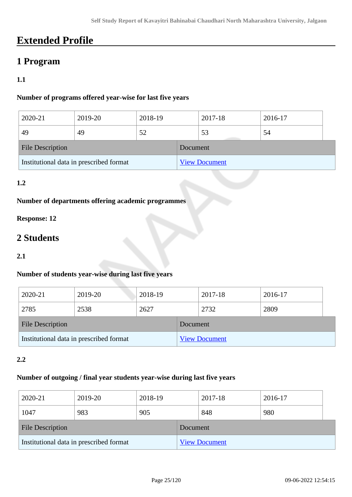## **Extended Profile**

## **1 Program**

#### **1.1**

#### **Number of programs offered year-wise for last five years**

| 2020-21                                 | 2019-20 | 2018-19              |  | 2017-18 | 2016-17 |  |
|-----------------------------------------|---------|----------------------|--|---------|---------|--|
| 49                                      | 49      | 52                   |  | 53      | 54      |  |
| <b>File Description</b>                 |         | Document             |  |         |         |  |
| Institutional data in prescribed format |         | <b>View Document</b> |  |         |         |  |

#### **1.2**

#### **Number of departments offering academic programmes**

#### **Response: 12**

## **2 Students**

#### **2.1**

#### **Number of students year-wise during last five years**

| 2020-21                                 | 2019-20 | 2018-19              |  | 2017-18 |      | 2016-17 |  |
|-----------------------------------------|---------|----------------------|--|---------|------|---------|--|
| 2785                                    | 2538    | 2627                 |  | 2732    | 2809 |         |  |
| <b>File Description</b>                 |         | Document             |  |         |      |         |  |
| Institutional data in prescribed format |         | <b>View Document</b> |  |         |      |         |  |

#### **2.2**

#### **Number of outgoing / final year students year-wise during last five years**

| 2020-21                                 | 2019-20 | 2018-19              |  | 2017-18 | 2016-17 |  |
|-----------------------------------------|---------|----------------------|--|---------|---------|--|
| 1047                                    | 983     | 905                  |  | 848     | 980     |  |
| <b>File Description</b>                 |         | Document             |  |         |         |  |
| Institutional data in prescribed format |         | <b>View Document</b> |  |         |         |  |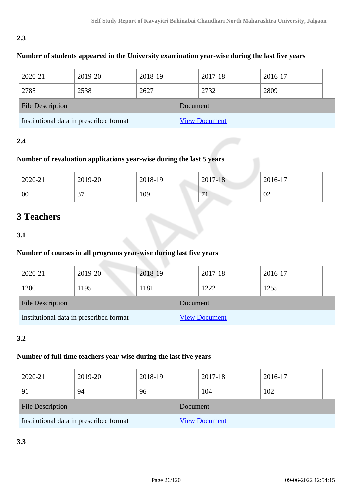#### **2.3**

#### **Number of students appeared in the University examination year-wise during the last five years**

| 2020-21                                 | 2019-20 | 2018-19  |                      | 2017-18 |  | 2016-17 |  |
|-----------------------------------------|---------|----------|----------------------|---------|--|---------|--|
| 2785                                    | 2538    | 2627     |                      | 2732    |  | 2809    |  |
| <b>File Description</b>                 |         | Document |                      |         |  |         |  |
| Institutional data in prescribed format |         |          | <b>View Document</b> |         |  |         |  |

#### **2.4**

#### **Number of revaluation applications year-wise during the last 5 years**

| 2020-21 | 2019-20     | 2018-19 | 2017-18                        | 2016-17 |
|---------|-------------|---------|--------------------------------|---------|
| 00      | $\sim$<br>◡ | 109     | $\overline{ }$<br>$\mathbf{r}$ | 02      |

### **3 Teachers**

#### **3.1**

### **Number of courses in all programs year-wise during last five years**

| 2020-21                                 | 2019-20 | 2018-19  |                      | 2017-18 | 2016-17 |
|-----------------------------------------|---------|----------|----------------------|---------|---------|
| 1200                                    | 1195    | 1181     |                      | 1222    | 1255    |
| <b>File Description</b>                 |         | Document |                      |         |         |
| Institutional data in prescribed format |         |          | <b>View Document</b> |         |         |

#### **3.2**

#### **Number of full time teachers year-wise during the last five years**

| 2020-21                                 | 2019-20 | 2018-19 |          | 2017-18              | 2016-17 |  |
|-----------------------------------------|---------|---------|----------|----------------------|---------|--|
| 91                                      | 94      | 96      |          | 104                  | 102     |  |
| <b>File Description</b>                 |         |         | Document |                      |         |  |
| Institutional data in prescribed format |         |         |          | <b>View Document</b> |         |  |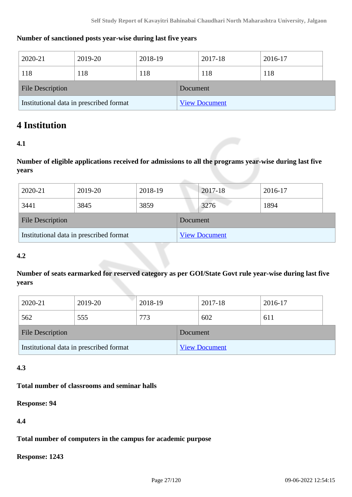#### **Number of sanctioned posts year-wise during last five years**

| 2020-21                                 | 2019-20 | 2018-19 |          | 2017-18              | 2016-17 |
|-----------------------------------------|---------|---------|----------|----------------------|---------|
| 118                                     | 118     | 118     |          | 118                  | 118     |
| <b>File Description</b>                 |         |         | Document |                      |         |
| Institutional data in prescribed format |         |         |          | <b>View Document</b> |         |

### **4 Institution**

#### **4.1**

**Number of eligible applications received for admissions to all the programs year-wise during last five years**

| 2020-21                                 | 2019-20 | 2018-19 |          | 2017-18              | 2016-17 |
|-----------------------------------------|---------|---------|----------|----------------------|---------|
| 3441                                    | 3845    | 3859    |          | 3276                 | 1894    |
| <b>File Description</b>                 |         |         | Document |                      |         |
| Institutional data in prescribed format |         |         |          | <b>View Document</b> |         |

#### **4.2**

**Number of seats earmarked for reserved category as per GOI/State Govt rule year-wise during last five years**

| 2020-21                                 | 2019-20 | 2018-19 |          | 2017-18              | 2016-17 |  |
|-----------------------------------------|---------|---------|----------|----------------------|---------|--|
| 562                                     | 555     | 773     |          | 602                  | 611     |  |
| <b>File Description</b>                 |         |         | Document |                      |         |  |
| Institutional data in prescribed format |         |         |          | <b>View Document</b> |         |  |

#### **4.3**

#### **Total number of classrooms and seminar halls**

**Response: 94**

**4.4**

**Total number of computers in the campus for academic purpose**

**Response: 1243**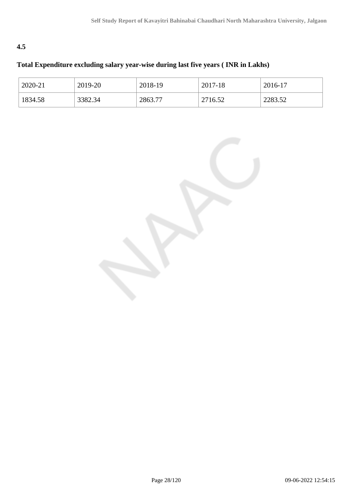#### **4.5**

### **Total Expenditure excluding salary year-wise during last five years ( INR in Lakhs)**

| 2020-21 | 2019-20 | 2018-19 | 2017-18 | 2016-17 |
|---------|---------|---------|---------|---------|
| 1834.58 | 3382.34 | 2863.77 | 2716.52 | 2283.52 |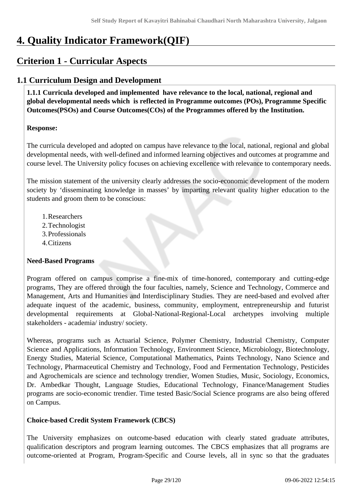## **4. Quality Indicator Framework(QIF)**

## **Criterion 1 - Curricular Aspects**

### **1.1 Curriculum Design and Development**

 **1.1.1 Curricula developed and implemented have relevance to the local, national, regional and global developmental needs which is reflected in Programme outcomes (POs), Programme Specific Outcomes(PSOs) and Course Outcomes(COs) of the Programmes offered by the Institution.**

#### **Response:**

The curricula developed and adopted on campus have relevance to the local, national, regional and global developmental needs, with well-defined and informed learning objectives and outcomes at programme and course level. The University policy focuses on achieving excellence with relevance to contemporary needs.

The mission statement of the university clearly addresses the socio-economic development of the modern society by 'disseminating knowledge in masses' by imparting relevant quality higher education to the students and groom them to be conscious:

- 1.Researchers
- 2.Technologist
- 3.Professionals
- 4.Citizens

#### **Need-Based Programs**

Program offered on campus comprise a fine-mix of time-honored, contemporary and cutting-edge programs, They are offered through the four faculties, namely, Science and Technology, Commerce and Management, Arts and Humanities and Interdisciplinary Studies. They are need-based and evolved after adequate inquest of the academic, business, community, employment, entrepreneurship and futurist developmental requirements at Global-National-Regional-Local archetypes involving multiple stakeholders - academia/ industry/ society.

Whereas, programs such as Actuarial Science, Polymer Chemistry, Industrial Chemistry, Computer Science and Applications, Information Technology, Environment Science, Microbiology, Biotechnology, Energy Studies, Material Science, Computational Mathematics, Paints Technology, Nano Science and Technology, Pharmaceutical Chemistry and Technology, Food and Fermentation Technology, Pesticides and Agrochemicals are science and technology trendier, Women Studies, Music, Sociology, Economics, Dr. Ambedkar Thought, Language Studies, Educational Technology, Finance/Management Studies programs are socio-economic trendier. Time tested Basic/Social Science programs are also being offered on Campus.

#### **Choice-based Credit System Framework (CBCS)**

The University emphasizes on outcome-based education with clearly stated graduate attributes, qualification descriptors and program learning outcomes. The CBCS emphasizes that all programs are outcome-oriented at Program, Program-Specific and Course levels, all in sync so that the graduates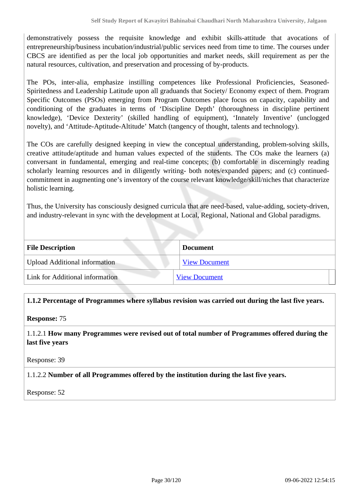demonstratively possess the requisite knowledge and exhibit skills-attitude that avocations of entrepreneurship/business incubation/industrial/public services need from time to time. The courses under CBCS are identified as per the local job opportunities and market needs, skill requirement as per the natural resources, cultivation, and preservation and processing of by-products.

The POs, inter-alia, emphasize instilling competences like Professional Proficiencies, Seasoned-Spiritedness and Leadership Latitude upon all graduands that Society/ Economy expect of them. Program Specific Outcomes (PSOs) emerging from Program Outcomes place focus on capacity, capability and conditioning of the graduates in terms of 'Discipline Depth' (thoroughness in discipline pertinent knowledge), 'Device Dexterity' (skilled handling of equipment), 'Innately Inventive' (unclogged novelty), and 'Attitude-Aptitude-Altitude' Match (tangency of thought, talents and technology).

The COs are carefully designed keeping in view the conceptual understanding, problem-solving skills, creative attitude/aptitude and human values expected of the students. The COs make the learners (a) conversant in fundamental, emerging and real-time concepts; (b) comfortable in discerningly reading scholarly learning resources and in diligently writing- both notes/expanded papers; and (c) continuedcommitment in augmenting one's inventory of the course relevant knowledge/skill/niches that characterize holistic learning.

Thus, the University has consciously designed curricula that are need-based, value-adding, society-driven, and industry-relevant in sync with the development at Local, Regional, National and Global paradigms.

| <b>File Description</b>              | <b>Document</b>      |
|--------------------------------------|----------------------|
| <b>Upload Additional information</b> | <b>View Document</b> |
| Link for Additional information      | <b>View Document</b> |

**1.1.2 Percentage of Programmes where syllabus revision was carried out during the last five years.**

#### **Response:** 75

1.1.2.1 **How many Programmes were revised out of total number of Programmes offered during the last five years**

Response: 39

#### 1.1.2.2 **Number of all Programmes offered by the institution during the last five years.**

Response: 52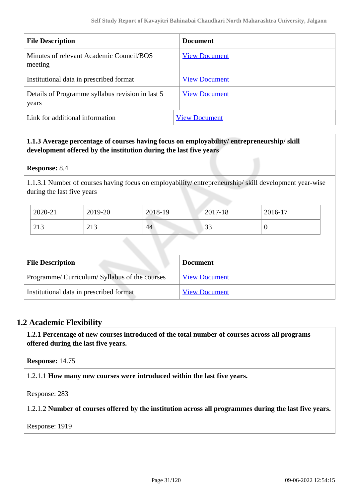| <b>File Description</b>                                   | <b>Document</b>      |  |
|-----------------------------------------------------------|----------------------|--|
| Minutes of relevant Academic Council/BOS<br>meeting       | <b>View Document</b> |  |
| Institutional data in prescribed format                   | <b>View Document</b> |  |
| Details of Programme syllabus revision in last 5<br>years | <b>View Document</b> |  |
| Link for additional information                           | <b>View Document</b> |  |

#### **1.1.3 Average percentage of courses having focus on employability/ entrepreneurship/ skill development offered by the institution during the last five years**

#### **Response:** 8.4

1.1.3.1 Number of courses having focus on employability/ entrepreneurship/ skill development year-wise during the last five years

| 2020-21                              | 2019-20                        | 2018-19 | 2017-18       | 2016-17 |
|--------------------------------------|--------------------------------|---------|---------------|---------|
| $\bigcap$ 1 $\bigcap$<br>$\angle$ 19 | $\bigcap$ 1 $\bigcap$<br>ل 1 ک | 44      | $\sim$<br>ر ر |         |

| <b>File Description</b>                        | <b>Document</b>      |
|------------------------------------------------|----------------------|
| Programme/ Curriculum/ Syllabus of the courses | <b>View Document</b> |
| Institutional data in prescribed format        | <b>View Document</b> |

#### **1.2 Academic Flexibility**

 **1.2.1 Percentage of new courses introduced of the total number of courses across all programs offered during the last five years.**

**Response:** 14.75

1.2.1.1 **How many new courses were introduced within the last five years.**

Response: 283

1.2.1.2 **Number of courses offered by the institution across all programmes during the last five years.**

Response: 1919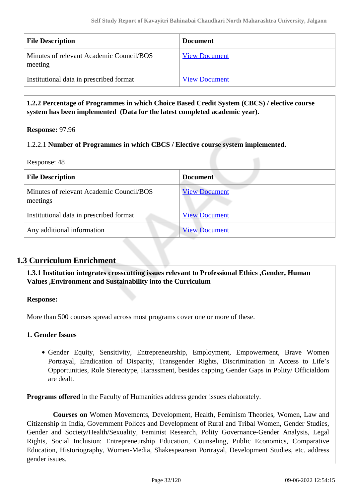| <b>File Description</b>                             | <b>Document</b>      |
|-----------------------------------------------------|----------------------|
| Minutes of relevant Academic Council/BOS<br>meeting | <b>View Document</b> |
| Institutional data in prescribed format             | <b>View Document</b> |

#### **1.2.2 Percentage of Programmes in which Choice Based Credit System (CBCS) / elective course system has been implemented (Data for the latest completed academic year).**

**Response:** 97.96

#### 1.2.2.1 **Number of Programmes in which CBCS / Elective course system implemented.**

Response: 48

| <b>File Description</b>                              | <b>Document</b>      |
|------------------------------------------------------|----------------------|
| Minutes of relevant Academic Council/BOS<br>meetings | <b>View Document</b> |
| Institutional data in prescribed format              | <b>View Document</b> |
| Any additional information                           | <b>View Document</b> |

#### **1.3 Curriculum Enrichment**

 **1.3.1 Institution integrates crosscutting issues relevant to Professional Ethics ,Gender, Human Values ,Environment and Sustainability into the Curriculum**

**Response:** 

More than 500 courses spread across most programs cover one or more of these.

#### **1. Gender Issues**

Gender Equity, Sensitivity, Entrepreneurship, Employment, Empowerment, Brave Women Portrayal, Eradication of Disparity, Transgender Rights, Discrimination in Access to Life's Opportunities, Role Stereotype, Harassment, besides capping Gender Gaps in Polity/ Officialdom are dealt.

**Programs offered** in the Faculty of Humanities address gender issues elaborately.

 **Courses on** Women Movements, Development, Health, Feminism Theories, Women, Law and Citizenship in India, Government Polices and Development of Rural and Tribal Women, Gender Studies, Gender and Society/Health/Sexuality, Feminist Research, Polity Governance-Gender Analysis, Legal Rights, Social Inclusion: Entrepreneurship Education, Counseling, Public Economics, Comparative Education, Historiography, Women-Media, Shakespearean Portrayal, Development Studies, etc. address gender issues.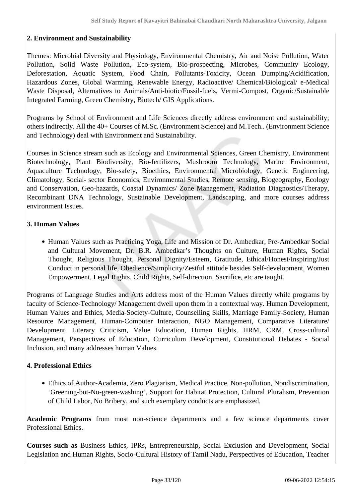#### **2. Environment and Sustainability**

Themes: Microbial Diversity and Physiology, Environmental Chemistry, Air and Noise Pollution, Water Pollution, Solid Waste Pollution, Eco-system, Bio-prospecting, Microbes, Community Ecology, Deforestation, Aquatic System, Food Chain, Pollutants-Toxicity, Ocean Dumping/Acidification, Hazardous Zones, Global Warming, Renewable Energy, Radioactive/ Chemical/Biological/ e-Medical Waste Disposal, Alternatives to Animals/Anti-biotic/Fossil-fuels, Vermi-Compost, Organic/Sustainable Integrated Farming, Green Chemistry, Biotech/ GIS Applications.

Programs by School of Environment and Life Sciences directly address environment and sustainability; others indirectly. All the 40+ Courses of M.Sc. (Environment Science) and M.Tech.. (Environment Science and Technology) deal with Environment and Sustainability.

Courses in Science stream such as Ecology and Environmental Sciences, Green Chemistry, Environment Biotechnology, Plant Biodiversity, Bio-fertilizers, Mushroom Technology, Marine Environment, Aquaculture Technology, Bio-safety, Bioethics, Environmental Microbiology, Genetic Engineering, Climatology, Social- sector Economics, Environmental Studies, Remote sensing, Biogeography, Ecology and Conservation, Geo-hazards, Coastal Dynamics/ Zone Management, Radiation Diagnostics/Therapy, Recombinant DNA Technology, Sustainable Development, Landscaping, and more courses address environment Issues.

#### **3. Human Values**

Human Values such as Practicing Yoga, Life and Mission of Dr. Ambedkar, Pre-Ambedkar Social and Cultural Movement, Dr. B.R. Ambedkar's Thoughts on Culture, Human Rights, Social Thought, Religious Thought, Personal Dignity/Esteem, Gratitude, Ethical/Honest/Inspiring/Just Conduct in personal life, Obedience/Simplicity/Zestful attitude besides Self-development, Women Empowerment, Legal Rights, Child Rights, Self-direction, Sacrifice, etc are taught.

Programs of Language Studies and Arts address most of the Human Values directly while programs by faculty of Science-Technology/ Management dwell upon them in a contextual way. Human Development, Human Values and Ethics, Media-Society-Culture, Counselling Skills, Marriage Family-Society, Human Resource Management, Human-Computer Interaction, NGO Management, Comparative Literature/ Development, Literary Criticism, Value Education, Human Rights, HRM, CRM, Cross-cultural Management, Perspectives of Education, Curriculum Development, Constitutional Debates - Social Inclusion, and many addresses human Values.

#### **4. Professional Ethics**

Ethics of Author-Academia, Zero Plagiarism, Medical Practice, Non-pollution, Nondiscrimination, 'Greening-but-No-green-washing', Support for Habitat Protection, Cultural Pluralism, Prevention of Child Labor, No Bribery, and such exemplary conducts are emphasized.

**Academic Programs** from most non-science departments and a few science departments cover Professional Ethics.

**Courses such as** Business Ethics, IPRs, Entrepreneurship, Social Exclusion and Development, Social Legislation and Human Rights, Socio-Cultural History of Tamil Nadu, Perspectives of Education, Teacher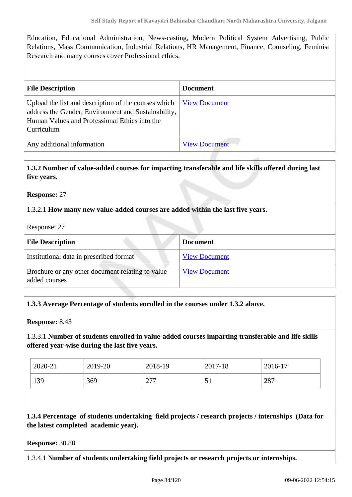Education, Educational Administration, News-casting, Modern Political System Advertising, Public Relations, Mass Communication, Industrial Relations, HR Management, Finance, Counseling, Feminist Research and many courses cover Professional ethics.

| <b>File Description</b>                                                                                                                                                    | <b>Document</b>      |
|----------------------------------------------------------------------------------------------------------------------------------------------------------------------------|----------------------|
| Upload the list and description of the courses which<br>address the Gender, Environment and Sustainability,<br>Human Values and Professional Ethics into the<br>Curriculum | <b>View Document</b> |
| Any additional information                                                                                                                                                 | <b>View Document</b> |

#### **1.3.2 Number of value-added courses for imparting transferable and life skills offered during last five years.**

**Response:** 27

1.3.2.1 **How many new value-added courses are added within the last five years.**

Response: 27

| <b>File Description</b>                                           | <b>Document</b>      |
|-------------------------------------------------------------------|----------------------|
| Institutional data in prescribed format                           | <b>View Document</b> |
| Brochure or any other document relating to value<br>added courses | <b>View Document</b> |

#### **1.3.3 Average Percentage of students enrolled in the courses under 1.3.2 above.**

**Response:** 8.43

1.3.3.1 **Number of students enrolled in value-added courses imparting transferable and life skills offered year-wise during the last five years.**

| 2020-21 | 2019-20 | 2018-19            | 2017-18 | 2016-17 |
|---------|---------|--------------------|---------|---------|
| 139     | 369     | $\cap$<br>$\sim$ 1 | ◡       | 287     |

 **1.3.4 Percentage of students undertaking field projects / research projects / internships (Data for the latest completed academic year).**

#### **Response:** 30.88

1.3.4.1 **Number of students undertaking field projects or research projects or internships.**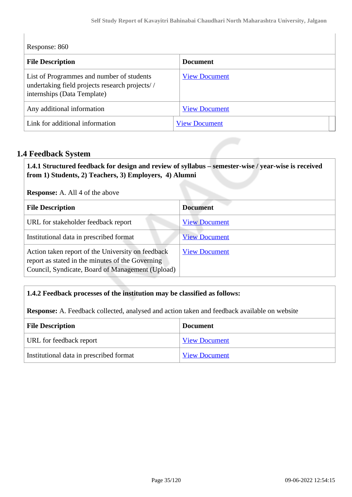Response: 860

| <b>File Description</b>                                                                                                    | <b>Document</b>      |
|----------------------------------------------------------------------------------------------------------------------------|----------------------|
| List of Programmes and number of students<br>undertaking field projects research projects//<br>internships (Data Template) | <b>View Document</b> |
| Any additional information                                                                                                 | <b>View Document</b> |
| Link for additional information                                                                                            | <b>View Document</b> |

#### **1.4 Feedback System**

 **1.4.1 Structured feedback for design and review of syllabus – semester-wise / year-wise is received from 1) Students, 2) Teachers, 3) Employers, 4) Alumni**

**Response:** A. All 4 of the above

| <b>File Description</b>                                                                                                                                   | <b>Document</b>      |
|-----------------------------------------------------------------------------------------------------------------------------------------------------------|----------------------|
| URL for stakeholder feedback report                                                                                                                       | <b>View Document</b> |
| Institutional data in prescribed format                                                                                                                   | <b>View Document</b> |
| Action taken report of the University on feedback<br>report as stated in the minutes of the Governing<br>Council, Syndicate, Board of Management (Upload) | <b>View Document</b> |

#### **1.4.2 Feedback processes of the institution may be classified as follows:**

**Response:** A. Feedback collected, analysed and action taken and feedback available on website

| <b>File Description</b>                 | <b>Document</b>      |
|-----------------------------------------|----------------------|
| URL for feedback report                 | <b>View Document</b> |
| Institutional data in prescribed format | <b>View Document</b> |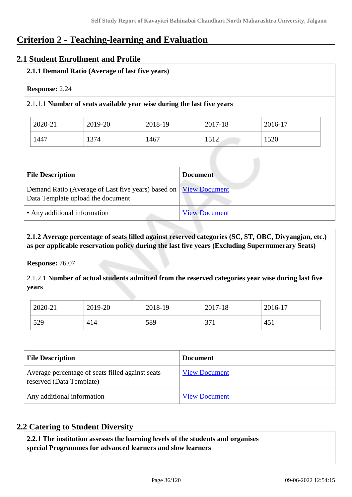## **Criterion 2 - Teaching-learning and Evaluation**

#### **2.1 Student Enrollment and Profile**

| <b>Response: 2.24</b>        |                                                                                         |                      |                      |         |
|------------------------------|-----------------------------------------------------------------------------------------|----------------------|----------------------|---------|
|                              | 2.1.1.1 Number of seats available year wise during the last five years                  |                      |                      |         |
| 2020-21                      | 2019-20                                                                                 | 2018-19              | 2017-18              | 2016-17 |
| 1447                         | 1374                                                                                    | 1467                 | 1512                 | 1520    |
|                              |                                                                                         |                      |                      |         |
| <b>File Description</b>      |                                                                                         |                      | <b>Document</b>      |         |
|                              | Demand Ratio (Average of Last five years) based on<br>Data Template upload the document |                      | <b>View Document</b> |         |
| • Any additional information |                                                                                         | <b>View Document</b> |                      |         |

#### **2.1.2 Average percentage of seats filled against reserved categories (SC, ST, OBC, Divyangjan, etc.) as per applicable reservation policy during the last five years (Excluding Supernumerary Seats)**

**Response:** 76.07

2.1.2.1 **Number of actual students admitted from the reserved categories year wise during last five years**

| 2020-21 | 2019-20 | 2018-19 | 2017-18              | 2016-17 |
|---------|---------|---------|----------------------|---------|
| 529     | 414     | 589     | $\sim$<br>ا ب<br>- 1 | 451     |

| <b>File Description</b>                                                      | <b>Document</b>      |
|------------------------------------------------------------------------------|----------------------|
| Average percentage of seats filled against seats<br>reserved (Data Template) | <b>View Document</b> |
| Any additional information                                                   | <b>View Document</b> |

### **2.2 Catering to Student Diversity**

 **2.2.1 The institution assesses the learning levels of the students and organises special Programmes for advanced learners and slow learners**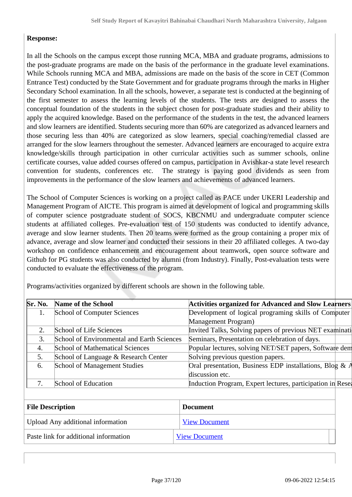# **Response:**

In all the Schools on the campus except those running MCA, MBA and graduate programs, admissions to the post-graduate programs are made on the basis of the performance in the graduate level examinations. While Schools running MCA and MBA, admissions are made on the basis of the score in CET (Common Entrance Test) conducted by the State Government and for graduate programs through the marks in Higher Secondary School examination. In all the schools, however, a separate test is conducted at the beginning of the first semester to assess the learning levels of the students. The tests are designed to assess the conceptual foundation of the students in the subject chosen for post-graduate studies and their ability to apply the acquired knowledge. Based on the performance of the students in the test, the advanced learners and slow learners are identified. Students securing more than 60% are categorized as advanced learners and those securing less than 40% are categorized as slow learners, special coaching/remedial classed are arranged for the slow learners throughout the semester. Advanced learners are encouraged to acquire extra knowledge/skills through participation in other curricular activities such as summer schools, online certificate courses, value added courses offered on campus, participation in Avishkar-a state level research convention for students, conferences etc. The strategy is paying good dividends as seen from improvements in the performance of the slow learners and achievements of advanced learners.

The School of Computer Sciences is working on a project called as PACE under UKERI Leadership and Management Program of AICTE. This program is aimed at development of logical and programming skills of computer science postgraduate student of SOCS, KBCNMU and undergraduate computer science students at affiliated colleges. Pre-evaluation test of 150 students was conducted to identify advance, average and slow learner students. Then 20 teams were formed as the group containing a proper mix of advance, average and slow learner and conducted their sessions in their 20 affiliated colleges. A two-day workshop on confidence enhancement and encouragement about teamwork, open source software and Github for PG students was also conducted by alumni (from Industry). Finally, Post-evaluation tests were conducted to evaluate the effectiveness of the program.

| Sr. No. | <b>Name of the School</b>                  | Activities organized for Advanced and Slow Learners        |  |
|---------|--------------------------------------------|------------------------------------------------------------|--|
|         | School of Computer Sciences                | Development of logical programing skills of Computer       |  |
|         |                                            | Management Program)                                        |  |
|         | School of Life Sciences                    | Invited Talks, Solving papers of previous NET examinati    |  |
| 3.      | School of Environmental and Earth Sciences | Seminars, Presentation on celebration of days.             |  |
| 4.      | <b>School of Mathematical Sciences</b>     | Popular lectures, solving NET/SET papers, Software dem     |  |
| 5.      | School of Language & Research Center       | Solving previous question papers.                          |  |
| 6.      | <b>School of Management Studies</b>        | Oral presentation, Business EDP installations, Blog & $A$  |  |
|         |                                            | discussion etc.                                            |  |
|         | School of Education                        | Induction Program, Expert lectures, participation in Resea |  |
|         |                                            |                                                            |  |

Programs/activities organized by different schools are shown in the following table.

| <b>File Description</b>               | <b>Document</b>      |  |
|---------------------------------------|----------------------|--|
| Upload Any additional information     | <b>View Document</b> |  |
| Paste link for additional information | <b>View Document</b> |  |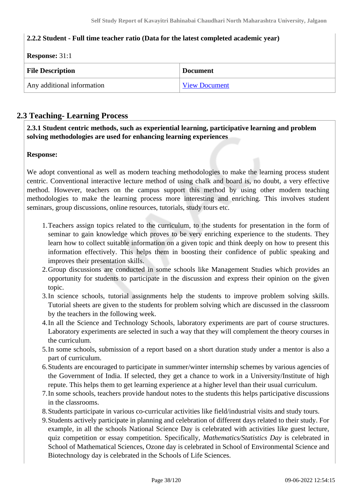# **2.2.2 Student - Full time teacher ratio (Data for the latest completed academic year)**

| <b>Response:</b> $31:1$    |                      |  |  |
|----------------------------|----------------------|--|--|
| <b>File Description</b>    | <b>Document</b>      |  |  |
| Any additional information | <b>View Document</b> |  |  |

# **2.3 Teaching- Learning Process**

 **2.3.1 Student centric methods, such as experiential learning, participative learning and problem solving methodologies are used for enhancing learning experiences**

### **Response:**

We adopt conventional as well as modern teaching methodologies to make the learning process student centric. Conventional interactive lecture method of using chalk and board is, no doubt, a very effective method. However, teachers on the campus support this method by using other modern teaching methodologies to make the learning process more interesting and enriching. This involves student seminars, group discussions, online resources, tutorials, study tours etc.

- 1.Teachers assign topics related to the curriculum, to the students for presentation in the form of seminar to gain knowledge which proves to be very enriching experience to the students. They learn how to collect suitable information on a given topic and think deeply on how to present this information effectively. This helps them in boosting their confidence of public speaking and improves their presentation skills.
- 2.Group discussions are conducted in some schools like Management Studies which provides an opportunity for students to participate in the discussion and express their opinion on the given topic.
- 3.In science schools, tutorial assignments help the students to improve problem solving skills. Tutorial sheets are given to the students for problem solving which are discussed in the classroom by the teachers in the following week.
- 4.In all the Science and Technology Schools, laboratory experiments are part of course structures. Laboratory experiments are selected in such a way that they will complement the theory courses in the curriculum.
- 5.In some schools, submission of a report based on a short duration study under a mentor is also a part of curriculum.
- 6.Students are encouraged to participate in summer/winter internship schemes by various agencies of the Government of India. If selected, they get a chance to work in a University/Institute of high repute. This helps them to get learning experience at a higher level than their usual curriculum.
- 7.In some schools, teachers provide handout notes to the students this helps participative discussions in the classrooms.
- 8.Students participate in various co-curricular activities like field/industrial visits and study tours.
- 9.Students actively participate in planning and celebration of different days related to their study. For example, in all the schools National Science Day is celebrated with activities like guest lecture, quiz competition or essay competition. Specifically, *Mathematics/Statistics Day* is celebrated in School of Mathematical Sciences, Ozone day is celebrated in School of Environmental Science and Biotechnology day is celebrated in the Schools of Life Sciences.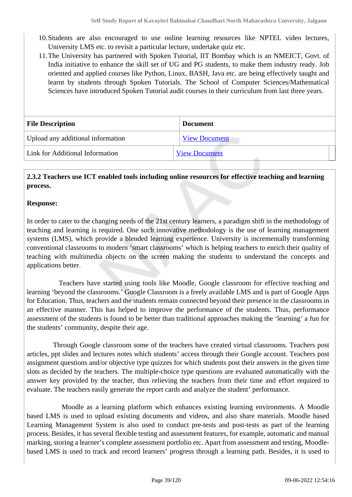- 10.Students are also encouraged to use online learning resources like NPTEL video lectures, University LMS etc. to revisit a particular lecture, undertake quiz etc.
- 11.The University has partnered with Spoken Tutorial, IIT Bombay which is an NMEICT, Govt. of India initiative to enhance the skill set of UG and PG students, to make them industry ready. Job oriented and applied courses like Python, Linux, BASH, Java etc. are being effectively taught and learnt by students through Spoken Tutorials. The School of Computer Sciences/Mathematical Sciences have introduced Spoken Tutorial audit courses in their curriculum from last three years.

| <b>File Description</b>           | <b>Document</b>      |  |
|-----------------------------------|----------------------|--|
| Upload any additional information | <b>View Document</b> |  |
| Link for Additional Information   | <b>View Document</b> |  |

# **2.3.2 Teachers use ICT enabled tools including online resources for effective teaching and learning process.**

### **Response:**

In order to cater to the changing needs of the 21st century learners, a paradigm shift in the methodology of teaching and learning is required. One such innovative methodology is the use of learning management systems (LMS), which provide a blended learning experience. University is incrementally transforming conventional classrooms to modern 'smart classrooms' which is helping teachers to enrich their quality of teaching with multimedia objects on the screen making the students to understand the concepts and applications better.

 Teachers have started using tools like Moodle, Google classroom for effective teaching and learning 'beyond the classrooms.' Google Classroom is a freely available LMS and is part of Google Apps for Education. Thus, teachers and the students remain connected beyond their presence in the classrooms in an effective manner. This has helped to improve the performance of the students. Thus, performance assessment of the students is found to be better than traditional approaches making the 'learning' a fun for the students' community, despite their age.

 Through Google classroom some of the teachers have created virtual classrooms. Teachers post articles, ppt slides and lectures notes which students' access through their Google account. Teachers post assignment questions and/or objective type quizzes for which students post their answers in the given time slots as decided by the teachers. The multiple-choice type questions are evaluated automatically with the answer key provided by the teacher, thus relieving the teachers from their time and effort required to evaluate. The teachers easily generate the report cards and analyze the student' performance.

 Moodle as a learning platform which enhances existing learning environments. A Moodle based LMS is used to upload existing documents and videos, and also share materials. Moodle based Learning Management System is also used to conduct pre-tests and post-tests as part of the learning process. Besides, it has several flexible testing and assessment features, for example, automatic and manual marking, storing a learner's complete assessment portfolio etc. Apart from assessment and testing, Moodlebased LMS is used to track and record learners' progress through a learning path. Besides, it is used to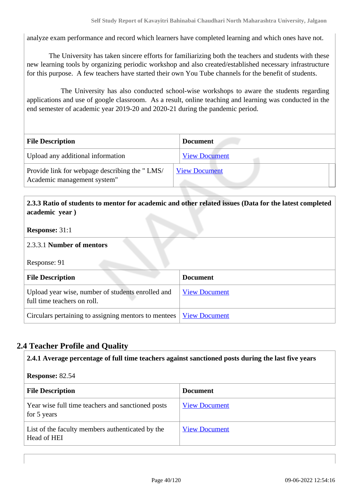analyze exam performance and record which learners have completed learning and which ones have not.

 The University has taken sincere efforts for familiarizing both the teachers and students with these new learning tools by organizing periodic workshop and also created/established necessary infrastructure for this purpose. A few teachers have started their own You Tube channels for the benefit of students.

 The University has also conducted school-wise workshops to aware the students regarding applications and use of google classroom. As a result, online teaching and learning was conducted in the end semester of academic year 2019-20 and 2020-21 during the pandemic period.

| <b>File Description</b>                                                      | <b>Document</b>      |
|------------------------------------------------------------------------------|----------------------|
| Upload any additional information                                            | <b>View Document</b> |
| Provide link for webpage describing the "LMS/<br>Academic management system" | <b>View Document</b> |

# **2.3.3 Ratio of students to mentor for academic and other related issues (Data for the latest completed academic year )**

#### **Response:** 31:1

### 2.3.3.1 **Number of mentors**

Response: 91

| <b>File Description</b>                                                          | <b>Document</b>      |
|----------------------------------------------------------------------------------|----------------------|
| Upload year wise, number of students enrolled and<br>full time teachers on roll. | <b>View Document</b> |
| Circulars pertaining to assigning mentors to mentees <u>View Document</u>        |                      |

# **2.4 Teacher Profile and Quality**

 **2.4.1 Average percentage of full time teachers against sanctioned posts during the last five years Response:** 82.54 **File Description Document** Year wise full time teachers and sanctioned posts for 5 years [View Document](https://assessmentonline.naac.gov.in/storage/app/hei/SSR/106543/2.4.1_1640688852_7131.xlsx) List of the faculty members authenticated by the Head of HEI [View Document](https://assessmentonline.naac.gov.in/storage/app/hei/SSR/106543/2.4.1_1640689008_7131.pdf)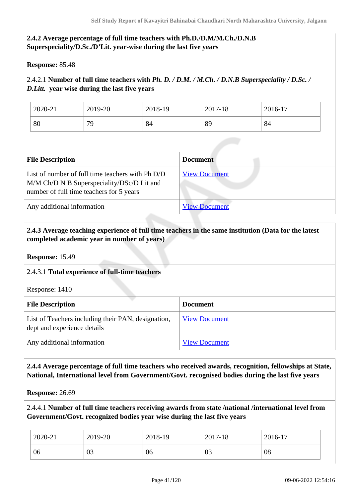# **2.4.2 Average percentage of full time teachers with Ph.D./D.M/M.Ch./D.N.B Superspeciality/D.Sc./D'Lit. year-wise during the last five years**

**Response:** 85.48

# 2.4.2.1 **Number of full time teachers with** *Ph. D. / D.M. / M.Ch. / D.N.B Superspeciality / D.Sc. / D.Litt.* **year wise during the last five years**

| 2020-21 | 2019-20 | 2018-19 | 2017-18 | $2016-17$ |
|---------|---------|---------|---------|-----------|
| 80      | 70      | 84      | 89      | 84        |

| <b>File Description</b>                                                                                                                    | <b>Document</b>      |
|--------------------------------------------------------------------------------------------------------------------------------------------|----------------------|
| List of number of full time teachers with Ph D/D<br>M/M Ch/D N B Superspeciality/DSc/D Lit and<br>number of full time teachers for 5 years | <b>View Document</b> |
| Any additional information                                                                                                                 | <b>View Document</b> |

# **2.4.3 Average teaching experience of full time teachers in the same institution (Data for the latest completed academic year in number of years)**

**Response:** 15.49

### 2.4.3.1 **Total experience of full-time teachers**

Response: 1410

| <b>File Description</b>                                                           | <b>Document</b>      |
|-----------------------------------------------------------------------------------|----------------------|
| List of Teachers including their PAN, designation,<br>dept and experience details | <b>View Document</b> |
| Any additional information                                                        | <b>View Document</b> |

# **2.4.4 Average percentage of full time teachers who received awards, recognition, fellowships at State, National, International level from Government/Govt. recognised bodies during the last five years**

**Response:** 26.69

2.4.4.1 **Number of full time teachers receiving awards from state /national /international level from Government/Govt. recognized bodies year wise during the last five years** 

| 2020-21 | 2019-20      | 2018-19 | 2017-18 | 2016-17 |
|---------|--------------|---------|---------|---------|
| 06      | $\cap$<br>U3 | 06      | 03      | 08      |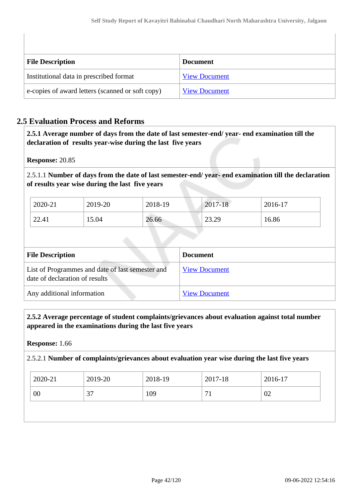| <b>File Description</b>                          | <b>Document</b>      |
|--------------------------------------------------|----------------------|
| Institutional data in prescribed format          | <b>View Document</b> |
| e-copies of award letters (scanned or soft copy) | <b>View Document</b> |

# **2.5 Evaluation Process and Reforms**

 **2.5.1 Average number of days from the date of last semester-end/ year- end examination till the declaration of results year-wise during the last five years**

**Response:** 20.85

2.5.1.1 **Number of days from the date of last semester-end/ year- end examination till the declaration of results year wise during the last five years** 

| 2020-21 | 2019-20 | 2018-19 | 2017-18 | 2016-17 |
|---------|---------|---------|---------|---------|
| 22.41   | 15.04   | 26.66   | 23.29   | 16.86   |

| <b>File Description</b>                                                            | <b>Document</b>      |
|------------------------------------------------------------------------------------|----------------------|
| List of Programmes and date of last semester and<br>date of declaration of results | <b>View Document</b> |
| Any additional information                                                         | <b>View Document</b> |

 **2.5.2 Average percentage of student complaints/grievances about evaluation against total number appeared in the examinations during the last five years**

**Response:** 1.66

2.5.2.1 **Number of complaints/grievances about evaluation year wise during the last five years** 

| 2020-21 | 2019-20       | 2018-19 | 2017-18 | 2016-17 |
|---------|---------------|---------|---------|---------|
| 00      | $\sim$<br>، ب | 109     | -       | 02      |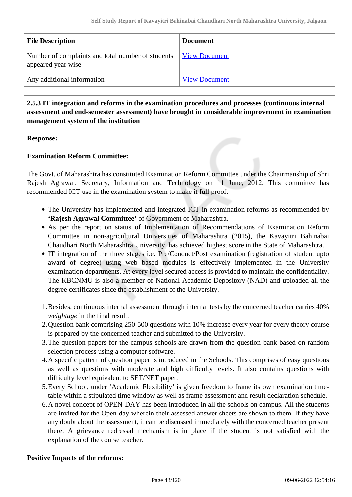| <b>File Description</b>                                                 | <b>Document</b>      |
|-------------------------------------------------------------------------|----------------------|
| Number of complaints and total number of students<br>appeared year wise | <b>View Document</b> |
| Any additional information                                              | <b>View Document</b> |

# **2.5.3 IT integration and reforms in the examination procedures and processes (continuous internal assessment and end-semester assessment) have brought in considerable improvement in examination management system of the institution**

**Response:** 

# **Examination Reform Committee:**

The Govt. of Maharashtra has constituted Examination Reform Committee under the Chairmanship of Shri Rajesh Agrawal, Secretary, Information and Technology on 11 June, 2012. This committee has recommended ICT use in the examination system to make it full proof.

- The University has implemented and integrated ICT in examination reforms as recommended by **'Rajesh Agrawal Committee'** of Government of Maharashtra.
- As per the report on status of Implementation of Recommendations of Examination Reform Committee in non-agricultural Universities of Maharashtra (2015), the Kavayitri Bahinabai Chaudhari North Maharashtra University, has achieved highest score in the State of Maharashtra.
- IT integration of the three stages i.e. Pre/Conduct/Post examination (registration of student upto award of degree) using web based modules is effectively implemented in the University examination departments. At every level secured access is provided to maintain the confidentiality. The KBCNMU is also a member of National Academic Depository (NAD) and uploaded all the degree certificates since the establishment of the University.
- 1.Besides, continuous internal assessment through internal tests by the concerned teacher carries 40% *weightage* in the final result.
- 2.Question bank comprising 250-500 questions with 10% increase every year for every theory course is prepared by the concerned teacher and submitted to the University.
- 3.The question papers for the campus schools are drawn from the question bank based on random selection process using a computer software.
- 4.A specific pattern of question paper is introduced in the Schools. This comprises of easy questions as well as questions with moderate and high difficulty levels. It also contains questions with difficulty level equivalent to SET/NET paper.
- 5.Every School, under 'Academic Flexibility' is given freedom to frame its own examination timetable within a stipulated time window as well as frame assessment and result declaration schedule.
- 6.A novel concept of OPEN-DAY has been introduced in all the schools on campus. All the students are invited for the Open-day wherein their assessed answer sheets are shown to them. If they have any doubt about the assessment, it can be discussed immediately with the concerned teacher present there. A grievance redressal mechanism is in place if the student is not satisfied with the explanation of the course teacher.

### **Positive Impacts of the reforms:**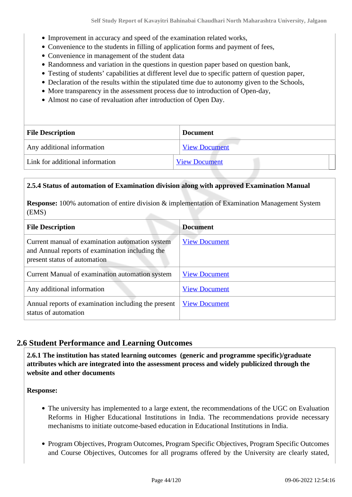- Improvement in accuracy and speed of the examination related works,
- Convenience to the students in filling of application forms and payment of fees,
- Convenience in management of the student data
- Randomness and variation in the questions in question paper based on question bank,
- Testing of students' capabilities at different level due to specific pattern of question paper,
- Declaration of the results within the stipulated time due to autonomy given to the Schools,
- More transparency in the assessment process due to introduction of Open-day,
- Almost no case of revaluation after introduction of Open Day.

| <b>File Description</b>         | <b>Document</b>      |  |
|---------------------------------|----------------------|--|
| Any additional information      | <b>View Document</b> |  |
| Link for additional information | <b>View Document</b> |  |

### **2.5.4 Status of automation of Examination division along with approved Examination Manual**

**Response:** 100% automation of entire division & implementation of Examination Management System (EMS)

| <b>File Description</b>                                                                                                            | <b>Document</b>      |
|------------------------------------------------------------------------------------------------------------------------------------|----------------------|
| Current manual of examination automation system<br>and Annual reports of examination including the<br>present status of automation | <b>View Document</b> |
| Current Manual of examination automation system                                                                                    | <b>View Document</b> |
| Any additional information                                                                                                         | <b>View Document</b> |
| Annual reports of examination including the present<br>status of automation                                                        | <b>View Document</b> |

# **2.6 Student Performance and Learning Outcomes**

 **2.6.1 The institution has stated learning outcomes (generic and programme specific)/graduate attributes which are integrated into the assessment process and widely publicized through the website and other documents**

**Response:** 

- The university has implemented to a large extent, the recommendations of the UGC on Evaluation Reforms in Higher Educational Institutions in India. The recommendations provide necessary mechanisms to initiate outcome-based education in Educational Institutions in India.
- Program Objectives, Program Outcomes, Program Specific Objectives, Program Specific Outcomes and Course Objectives, Outcomes for all programs offered by the University are clearly stated,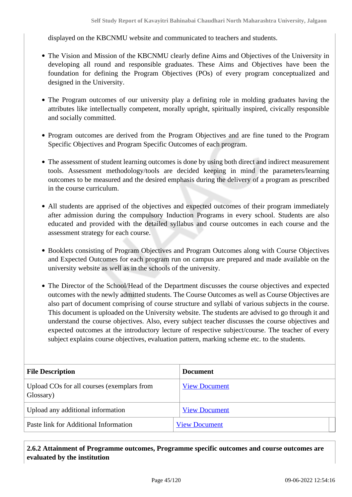displayed on the KBCNMU website and communicated to teachers and students.

- The Vision and Mission of the KBCNMU clearly define Aims and Objectives of the University in developing all round and responsible graduates. These Aims and Objectives have been the foundation for defining the Program Objectives (POs) of every program conceptualized and designed in the University.
- The Program outcomes of our university play a defining role in molding graduates having the attributes like intellectually competent, morally upright, spiritually inspired, civically responsible and socially committed.
- Program outcomes are derived from the Program Objectives and are fine tuned to the Program Specific Objectives and Program Specific Outcomes of each program.
- The assessment of student learning outcomes is done by using both direct and indirect measurement tools. Assessment methodology/tools are decided keeping in mind the parameters/learning outcomes to be measured and the desired emphasis during the delivery of a program as prescribed in the course curriculum.
- All students are apprised of the objectives and expected outcomes of their program immediately after admission during the compulsory Induction Programs in every school. Students are also educated and provided with the detailed syllabus and course outcomes in each course and the assessment strategy for each course.
- Booklets consisting of Program Objectives and Program Outcomes along with Course Objectives and Expected Outcomes for each program run on campus are prepared and made available on the university website as well as in the schools of the university.
- The Director of the School/Head of the Department discusses the course objectives and expected outcomes with the newly admitted students. The Course Outcomes as well as Course Objectives are also part of document comprising of course structure and syllabi of various subjects in the course. This document is uploaded on the University website. The students are advised to go through it and understand the course objectives. Also, every subject teacher discusses the course objectives and expected outcomes at the introductory lecture of respective subject/course. The teacher of every subject explains course objectives, evaluation pattern, marking scheme etc. to the students.

| <b>File Description</b>                                 | <b>Document</b>      |
|---------------------------------------------------------|----------------------|
| Upload COs for all courses (exemplars from<br>Glossary) | <b>View Document</b> |
| Upload any additional information                       | <b>View Document</b> |
| Paste link for Additional Information                   | <b>View Document</b> |

 **2.6.2 Attainment of Programme outcomes, Programme specific outcomes and course outcomes are evaluated by the institution**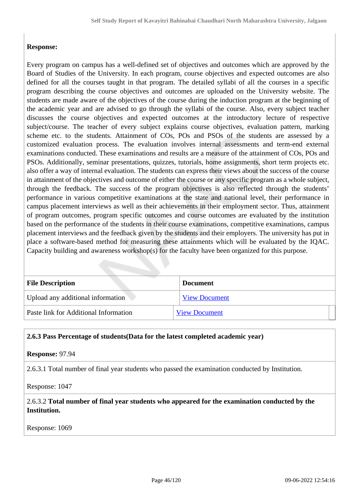# **Response:**

Every program on campus has a well-defined set of objectives and outcomes which are approved by the Board of Studies of the University. In each program, course objectives and expected outcomes are also defined for all the courses taught in that program. The detailed syllabi of all the courses in a specific program describing the course objectives and outcomes are uploaded on the University website. The students are made aware of the objectives of the course during the induction program at the beginning of the academic year and are advised to go through the syllabi of the course. Also, every subject teacher discusses the course objectives and expected outcomes at the introductory lecture of respective subject/course. The teacher of every subject explains course objectives, evaluation pattern, marking scheme etc. to the students. Attainment of COs, POs and PSOs of the students are assessed by a customized evaluation process. The evaluation involves internal assessments and term-end external examinations conducted. These examinations and results are a measure of the attainment of COs, POs and PSOs. Additionally, seminar presentations, quizzes, tutorials, home assignments, short term projects etc. also offer a way of internal evaluation. The students can express their views about the success of the course in attainment of the objectives and outcome of either the course or any specific program as a whole subject, through the feedback. The success of the program objectives is also reflected through the students' performance in various competitive examinations at the state and national level, their performance in campus placement interviews as well as their achievements in their employment sector. Thus, attainment of program outcomes, program specific outcomes and course outcomes are evaluated by the institution based on the performance of the students in their course examinations, competitive examinations, campus placement interviews and the feedback given by the students and their employers. The university has put in place a software-based method for measuring these attainments which will be evaluated by the IQAC. Capacity building and awareness workshop(s) for the faculty have been organized for this purpose.

| <b>File Description</b>               | <b>Document</b>      |
|---------------------------------------|----------------------|
| Upload any additional information     | <b>View Document</b> |
| Paste link for Additional Information | <b>View Document</b> |

#### **2.6.3 Pass Percentage of students(Data for the latest completed academic year)**

**Response:** 97.94

2.6.3.1 Total number of final year students who passed the examination conducted by Institution.

Response: 1047

2.6.3.2 **Total number of final year students who appeared for the examination conducted by the Institution.**

Response: 1069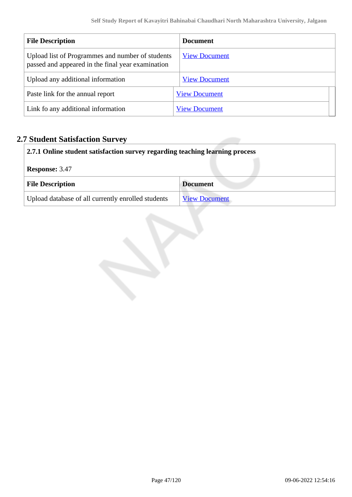| <b>File Description</b>                                                                               | <b>Document</b>      |
|-------------------------------------------------------------------------------------------------------|----------------------|
| Upload list of Programmes and number of students<br>passed and appeared in the final year examination | <b>View Document</b> |
| Upload any additional information                                                                     | <b>View Document</b> |
| Paste link for the annual report                                                                      | <b>View Document</b> |
| Link fo any additional information                                                                    | <b>View Document</b> |

# **2.7 Student Satisfaction Survey**

| 2.7.1 Online student satisfaction survey regarding teaching learning process |                      |  |
|------------------------------------------------------------------------------|----------------------|--|
| <b>Response: 3.47</b>                                                        |                      |  |
| <b>File Description</b><br><b>Document</b>                                   |                      |  |
| Upload database of all currently enrolled students                           | <b>View Document</b> |  |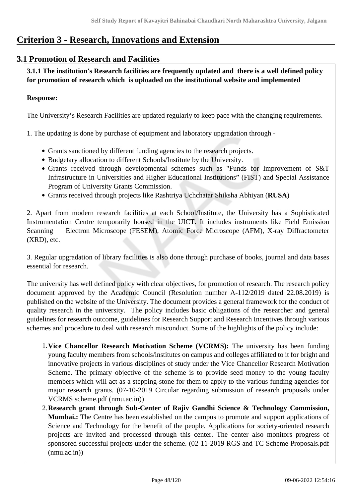# **Criterion 3 - Research, Innovations and Extension**

# **3.1 Promotion of Research and Facilities**

 **3.1.1 The institution's Research facilities are frequently updated and there is a well defined policy for promotion of research which is uploaded on the institutional website and implemented**

# **Response:**

The University's Research Facilities are updated regularly to keep pace with the changing requirements.

1. The updating is done by purchase of equipment and laboratory upgradation through -

- Grants sanctioned by different funding agencies to the research projects.
- Budgetary allocation to different Schools/Institute by the University.
- Grants received through developmental schemes such as "Funds for Improvement of S&T Infrastructure in Universities and Higher Educational Institutions" (FIST) and Special Assistance Program of University Grants Commission.
- Grants received through projects like Rashtriya Uchchatar Shiksha Abhiyan (**RUSA**)

2. Apart from modern research facilities at each School/Institute, the University has a Sophisticated Instrumentation Centre temporarily housed in the UICT. It includes instruments like Field Emission Scanning Electron Microscope (FESEM), Atomic Force Microscope (AFM), X-ray Diffractometer (XRD), etc.

3. Regular upgradation of library facilities is also done through purchase of books, journal and data bases essential for research.

The university has well defined policy with clear objectives, for promotion of research. The research policy document approved by the Academic Council (Resolution number A-112/2019 dated 22.08.2019) is published on the website of the University. The document provides a general framework for the conduct of quality research in the university. The policy includes basic obligations of the researcher and general guidelines for research outcome, guidelines for Research Support and Research Incentives through various schemes and procedure to deal with research misconduct. Some of the highlights of the policy include:

- 1.**Vice Chancellor Research Motivation Scheme (VCRMS):** The university has been funding young faculty members from schools/institutes on campus and colleges affiliated to it for bright and innovative projects in various disciplines of study under the Vice Chancellor Research Motivation Scheme. The primary objective of the scheme is to provide seed money to the young faculty members which will act as a stepping-stone for them to apply to the various funding agencies for major research grants. (07-10-2019 Circular regarding submission of research proposals under VCRMS scheme.pdf (nmu.ac.in))
- 2.**Research grant through Sub-Center of Rajiv Gandhi Science & Technology Commission, Mumbai.:** The Centre has been established on the campus to promote and support applications of Science and Technology for the benefit of the people. Applications for society-oriented research projects are invited and processed through this center. The center also monitors progress of sponsored successful projects under the scheme. (02-11-2019 RGS and TC Scheme Proposals.pdf  $(mmu.ac.in))$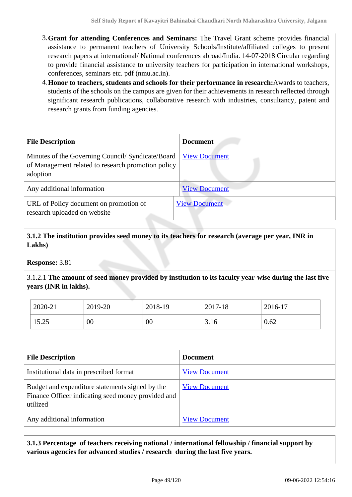- 3.**Grant for attending Conferences and Seminars:** The Travel Grant scheme provides financial assistance to permanent teachers of University Schools/Institute/affiliated colleges to present research papers at international/ National conferences abroad/India. 14-07-2018 Circular regarding to provide financial assistance to university teachers for participation in international workshops, conferences, seminars etc. pdf (nmu.ac.in).
- 4.**Honor to teachers, students and schools for their performance in research:**Awards to teachers, students of the schools on the campus are given for their achievements in research reflected through significant research publications, collaborative research with industries, consultancy, patent and research grants from funding agencies.

| <b>File Description</b>                                                                                            | <b>Document</b>      |
|--------------------------------------------------------------------------------------------------------------------|----------------------|
| Minutes of the Governing Council/Syndicate/Board<br>of Management related to research promotion policy<br>adoption | <b>View Document</b> |
| Any additional information                                                                                         | <b>View Document</b> |
| URL of Policy document on promotion of<br>research uploaded on website                                             | <b>View Document</b> |

# **3.1.2 The institution provides seed money to its teachers for research (average per year, INR in Lakhs)**

**Response:** 3.81

3.1.2.1 **The amount of seed money provided by institution to its faculty year-wise during the last five years (INR in lakhs).**

| 2020-21         | 2019-20 | 2018-19 | 2017-18 | 2016-17 |
|-----------------|---------|---------|---------|---------|
| 15 75<br>رے.د د | 00      | 00      | 3.10    | 0.62    |

| <b>File Description</b>                                                                                           | Document             |
|-------------------------------------------------------------------------------------------------------------------|----------------------|
| Institutional data in prescribed format                                                                           | <b>View Document</b> |
| Budget and expenditure statements signed by the<br>Finance Officer indicating seed money provided and<br>utilized | <b>View Document</b> |
| Any additional information                                                                                        | <b>View Document</b> |

# **3.1.3 Percentage of teachers receiving national / international fellowship / financial support by various agencies for advanced studies / research during the last five years.**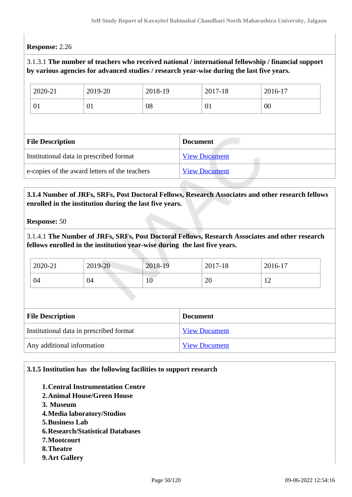# **Response:** 2.26

# 3.1.3.1 **The number of teachers who received national / international fellowship / financial support by various agencies for advanced studies / research year-wise during the last five years.**

| 2020-21                                 | 2019-20 | 2018-19 |                 | 2017-18              | 2016-17 |
|-----------------------------------------|---------|---------|-----------------|----------------------|---------|
| 01                                      | 01      | 08      |                 | 01                   | 00      |
|                                         |         |         |                 |                      |         |
|                                         |         |         |                 |                      |         |
| <b>File Description</b>                 |         |         | <b>Document</b> |                      |         |
| Institutional data in prescribed format |         |         |                 | <b>View Document</b> |         |

### **3.1.4 Number of JRFs, SRFs, Post Doctoral Fellows, Research Associates and other research fellows enrolled in the institution during the last five years.**

**Response:** 50

3.1.4.1 **The Number of JRFs, SRFs, Post Doctoral Fellows, Research Associates and other research fellows enrolled in the institution year-wise during the last five years.**

| 2020-21 | 2019-20 | 2018-19                        | 2017-18  | 2016-17      |
|---------|---------|--------------------------------|----------|--------------|
| 04      | 04      | <b>Contract Contract</b><br>10 | oc<br>∠∪ | $\sim$<br>-- |

| <b>File Description</b>                 | <b>Document</b>      |  |
|-----------------------------------------|----------------------|--|
| Institutional data in prescribed format | <b>View Document</b> |  |
| Any additional information              | <b>View Document</b> |  |

### **3.1.5 Institution has the following facilities to support research**

- **1.Central Instrumentation Centre**
- **2.Animal House/Green House**
- **3. Museum**
- **4.Media laboratory/Studios**
- **5.Business Lab**
- **6.Research/Statistical Databases**
- **7.Mootcourt**
- **8.Theatre**
- **9.Art Gallery**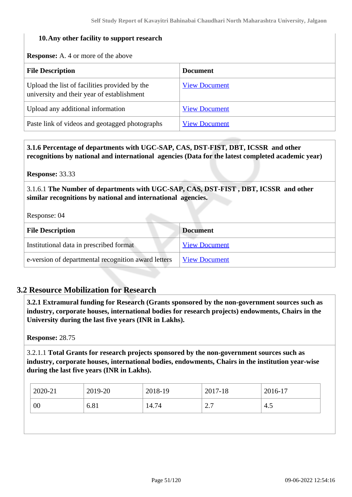### **10.Any other facility to support research**

**Response:** A. 4 or more of the above

| <b>File Description</b>                                                                     | <b>Document</b>      |
|---------------------------------------------------------------------------------------------|----------------------|
| Upload the list of facilities provided by the<br>university and their year of establishment | <b>View Document</b> |
| Upload any additional information                                                           | <b>View Document</b> |
| Paste link of videos and geotagged photographs                                              | <b>View Document</b> |

 **3.1.6 Percentage of departments with UGC-SAP, CAS, DST-FIST, DBT, ICSSR and other recognitions by national and international agencies (Data for the latest completed academic year)**

**Response:** 33.33

3.1.6.1 **The Number of departments with UGC-SAP, CAS, DST-FIST , DBT, ICSSR and other similar recognitions by national and international agencies.**

Response: 04

| <b>File Description</b>                             | <b>Document</b>      |
|-----------------------------------------------------|----------------------|
| Institutional data in prescribed format             | <b>View Document</b> |
| e-version of departmental recognition award letters | <b>View Document</b> |

# **3.2 Resource Mobilization for Research**

 **3.2.1 Extramural funding for Research (Grants sponsored by the non-government sources such as industry, corporate houses, international bodies for research projects) endowments, Chairs in the University during the last five years (INR in Lakhs).**

**Response:** 28.75

3.2.1.1 **Total Grants for research projects sponsored by the non-government sources such as industry, corporate houses, international bodies, endowments, Chairs in the institution year-wise during the last five years (INR in Lakhs).**

| 2020-21 | 2019-20 | 2018-19 | 2017-18              | 2016-17 |
|---------|---------|---------|----------------------|---------|
| 00      | 6.81    | 14.74   | $\sim$ $\sim$<br>، ، | -4.5    |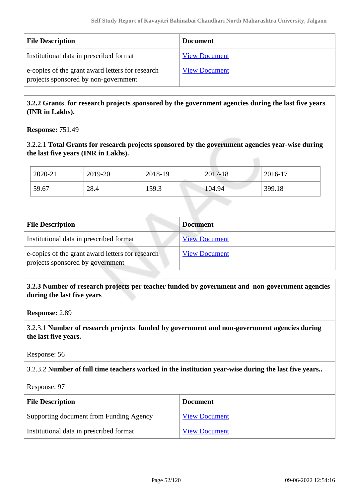| <b>File Description</b>                                                                  | <b>Document</b>      |
|------------------------------------------------------------------------------------------|----------------------|
| Institutional data in prescribed format                                                  | <b>View Document</b> |
| e-copies of the grant award letters for research<br>projects sponsored by non-government | <b>View Document</b> |

 **3.2.2 Grants for research projects sponsored by the government agencies during the last five years (INR in Lakhs).**

**Response:** 751.49

3.2.2.1 **Total Grants for research projects sponsored by the government agencies year-wise during the last five years (INR in Lakhs).**

| 2020-21 | 2019-20 | 2018-19 | 2017-18 | 2016-17 |
|---------|---------|---------|---------|---------|
| 59.67   | 28.4    | 159.3   | 104.94  | 399.18  |

| <b>File Description</b>                                                              | <b>Document</b>      |
|--------------------------------------------------------------------------------------|----------------------|
| Institutional data in prescribed format                                              | <b>View Document</b> |
| e-copies of the grant award letters for research<br>projects sponsored by government | <b>View Document</b> |

# **3.2.3 Number of research projects per teacher funded by government and non-government agencies during the last five years**

**Response:** 2.89

3.2.3.1 **Number of research projects funded by government and non-government agencies during the last five years.**

Response: 56

3.2.3.2 **Number of full time teachers worked in the institution year-wise during the last five years..**

Response: 97

| <b>File Description</b>                 | <b>Document</b>      |
|-----------------------------------------|----------------------|
| Supporting document from Funding Agency | <b>View Document</b> |
| Institutional data in prescribed format | <b>View Document</b> |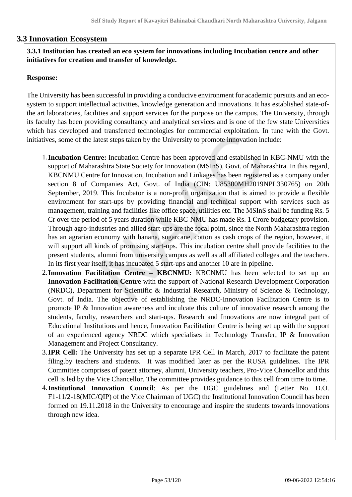# **3.3 Innovation Ecosystem**

# **3.3.1 Institution has created an eco system for innovations including Incubation centre and other initiatives for creation and transfer of knowledge.**

### **Response:**

The University has been successful in providing a conducive environment for academic pursuits and an ecosystem to support intellectual activities, knowledge generation and innovations. It has established state-ofthe art laboratories, facilities and support services for the purpose on the campus. The University, through its faculty has been providing consultancy and analytical services and is one of the few state Universities which has developed and transferred technologies for commercial exploitation. In tune with the Govt. initiatives, some of the latest steps taken by the University to promote innovation include:

- 1.**Incubation Centre:** Incubation Centre has been approved and established in KBC-NMU with the support of Maharashtra State Society for Innovation (MSInS), Govt. of Maharashtra. In this regard, KBCNMU Centre for Innovation, Incubation and Linkages has been registered as a company under section 8 of Companies Act, Govt. of India (CIN: U85300MH2019NPL330765) on 20th September, 2019. This Incubator is a non-profit organization that is aimed to provide a flexible environment for start-ups by providing financial and technical support with services such as management, training and facilities like office space, utilities etc. The MSInS shall be funding Rs. 5 Cr over the period of 5 years duration while KBC-NMU has made Rs. 1 Crore budgetary provision. Through agro-industries and allied start-ups are the focal point, since the North Maharashtra region has an agrarian economy with banana, sugarcane, cotton as cash crops of the region, however, it will support all kinds of promising start-ups. This incubation centre shall provide facilities to the present students, alumni from university campus as well as all affiliated colleges and the teachers. In its first year itself, it has incubated 5 start-ups and another 10 are in pipeline.
- 2.**Innovation Facilitation Centre KBCNMU:** KBCNMU has been selected to set up an **Innovation Facilitation Centre** with the support of National Research Development Corporation (NRDC), Department for Scientific & Industrial Research, Ministry of Science & Technology, Govt. of India. The objective of establishing the NRDC-Innovation Facilitation Centre is to promote IP & Innovation awareness and inculcate this culture of innovative research among the students, faculty, researchers and start-ups. Research and Innovations are now integral part of Educational Institutions and hence, Innovation Facilitation Centre is being set up with the support of an experienced agency NRDC which specialises in Technology Transfer, IP & Innovation Management and Project Consultancy.
- 3.**IPR Cell:** The University has set up a separate IPR Cell in March, 2017 to facilitate the patent filing.by teachers and students. It was modified later as per the RUSA guidelines. The IPR Committee comprises of patent attorney, alumni, University teachers, Pro-Vice Chancellor and this cell is led by the Vice Chancellor. The committee provides guidance to this cell from time to time.
- 4.**Institutional Innovation Council**: As per the UGC guidelines and (Letter No. D.O. F1-11/2-18(MIC/QIP) of the Vice Chairman of UGC) the Institutional Innovation Council has been formed on 19.11.2018 in the University to encourage and inspire the students towards innovations through new idea.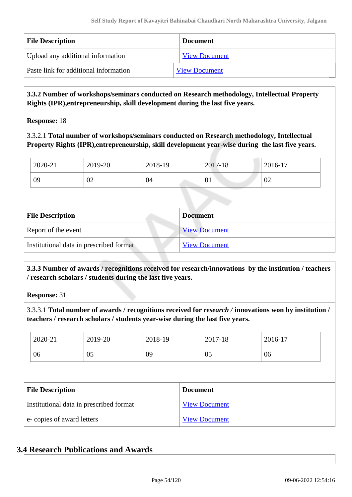| <b>File Description</b>               | <b>Document</b>      |
|---------------------------------------|----------------------|
| Upload any additional information     | <b>View Document</b> |
| Paste link for additional information | <b>View Document</b> |

 **3.3.2 Number of workshops/seminars conducted on Research methodology, Intellectual Property Rights (IPR),entrepreneurship, skill development during the last five years.**

**Response:** 18

3.3.2.1 **Total number of workshops/seminars conducted on Research methodology, Intellectual Property Rights (IPR),entrepreneurship, skill development year-wise during the last five years.**

| 2020-21 | 2019-20 | 2018-19 | 2017-18 | 2016-17 |
|---------|---------|---------|---------|---------|
| 09      | 02      | 04      | 01      | 02      |

| <b>File Description</b>                 | <b>Document</b>      |
|-----------------------------------------|----------------------|
| Report of the event                     | <b>View Document</b> |
| Institutional data in prescribed format | <b>View Document</b> |

 **3.3.3 Number of awards / recognitions received for research/innovations by the institution / teachers / research scholars / students during the last five years.**

**Response:** 31

3.3.3.1 **Total number of awards / recognitions received for** *research /* **innovations won by institution / teachers / research scholars / students year-wise during the last five years.**

| 2020-21                 | 2019-20                                 | 2018-19 |                 | 2017-18              | 2016-17 |  |
|-------------------------|-----------------------------------------|---------|-----------------|----------------------|---------|--|
| 06                      | 05                                      | 09      |                 | 05                   | 06      |  |
|                         |                                         |         |                 |                      |         |  |
|                         |                                         |         |                 |                      |         |  |
| <b>File Description</b> |                                         |         | <b>Document</b> |                      |         |  |
|                         | Institutional data in prescribed format |         |                 | <b>View Document</b> |         |  |

# **3.4 Research Publications and Awards**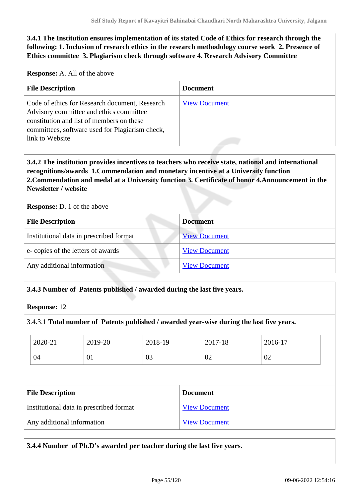**3.4.1 The Institution ensures implementation of its stated Code of Ethics for research through the following: 1. Inclusion of research ethics in the research methodology course work 2. Presence of Ethics committee 3. Plagiarism check through software 4. Research Advisory Committee**

**Response:** A. All of the above

| <b>File Description</b>                                                                                                                                                                                      | <b>Document</b>      |
|--------------------------------------------------------------------------------------------------------------------------------------------------------------------------------------------------------------|----------------------|
| Code of ethics for Research document, Research<br>Advisory committee and ethics committee<br>constitution and list of members on these<br>committees, software used for Plagiarism check,<br>link to Website | <b>View Document</b> |

# **3.4.2 The institution provides incentives to teachers who receive state, national and international recognitions/awards 1.Commendation and monetary incentive at a University function 2.Commendation and medal at a University function 3. Certificate of honor 4.Announcement in the Newsletter / website**

**Response:** D. 1 of the above

| <b>File Description</b>                 | <b>Document</b>      |
|-----------------------------------------|----------------------|
| Institutional data in prescribed format | <b>View Document</b> |
| e-copies of the letters of awards       | <b>View Document</b> |
| Any additional information              | <b>View Document</b> |
|                                         |                      |

#### **3.4.3 Number of Patents published / awarded during the last five years.**

**Response:** 12

#### 3.4.3.1 **Total number of Patents published / awarded year-wise during the last five years.**

| 2020-21                                 | 2019-20 | 2018-19 |                 | 2017-18              | 2016-17 |
|-----------------------------------------|---------|---------|-----------------|----------------------|---------|
| 04                                      | 01      | 03      |                 | 02                   | 02      |
|                                         |         |         |                 |                      |         |
| <b>File Description</b>                 |         |         | <b>Document</b> |                      |         |
| Institutional data in prescribed format |         |         |                 |                      |         |
|                                         |         |         |                 | <b>View Document</b> |         |

**3.4.4 Number of Ph.D's awarded per teacher during the last five years.**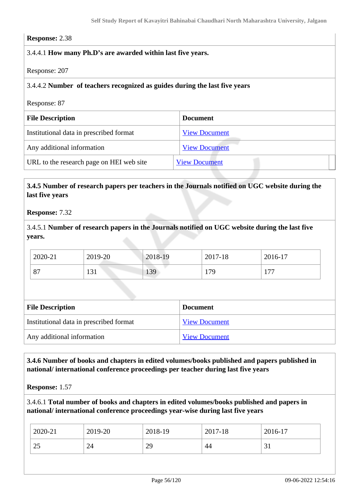#### **Response:** 2.38

### 3.4.4.1 **How many Ph.D's are awarded within last five years.**

Response: 207

#### 3.4.4.2 **Number of teachers recognized as guides during the last five years**

Response: 87

| <b>File Description</b>                  | <b>Document</b>      |
|------------------------------------------|----------------------|
| Institutional data in prescribed format  | <b>View Document</b> |
| Any additional information               | <b>View Document</b> |
| URL to the research page on HEI web site | <b>View Document</b> |

# **3.4.5 Number of research papers per teachers in the Journals notified on UGC website during the last five years**

**Response:** 7.32

3.4.5.1 **Number of research papers in the Journals notified on UGC website during the last five years.**

| 2020-21                   | 2019-20              | 2018-19 | 2017-18 | 2016-17 |
|---------------------------|----------------------|---------|---------|---------|
| O <sub>7</sub><br>$\circ$ | $\bigcap$ 1<br>1 J 1 | 139     | 179     | . 77    |

| <b>File Description</b>                 | <b>Document</b>      |
|-----------------------------------------|----------------------|
| Institutional data in prescribed format | <b>View Document</b> |
| Any additional information              | <b>View Document</b> |

 **3.4.6 Number of books and chapters in edited volumes/books published and papers published in national/ international conference proceedings per teacher during last five years**

**Response:** 1.57

3.4.6.1 **Total number of books and chapters in edited volumes/books published and papers in national/ international conference proceedings year-wise during last five years**

| 2020-21         | 2019-20 | 2018-19 | 2017-18 | 2016-17      |
|-----------------|---------|---------|---------|--------------|
| $\gamma$<br>ر ے | 24      | 29      | 44      | $\sim$<br>◡▴ |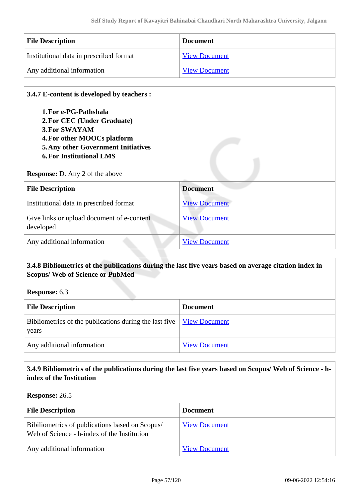| <b>File Description</b>                 | <b>Document</b>      |
|-----------------------------------------|----------------------|
| Institutional data in prescribed format | <b>View Document</b> |
| Any additional information              | <b>View Document</b> |

### **3.4.7 E-content is developed by teachers :**

**1.For e-PG-Pathshala 2.For CEC (Under Graduate) 3.For SWAYAM 4.For other MOOCs platform 5.Any other Government Initiatives 6.For Institutional LMS**

#### **Response:** D. Any 2 of the above

| <b>File Description</b>                                 | <b>Document</b>      |
|---------------------------------------------------------|----------------------|
| Institutional data in prescribed format                 | <b>View Document</b> |
| Give links or upload document of e-content<br>developed | <b>View Document</b> |
| Any additional information                              | <b>View Document</b> |

### **3.4.8 Bibliometrics of the publications during the last five years based on average citation index in Scopus/ Web of Science or PubMed**

**Response:** 6.3

| <b>File Description</b>                                                                    | <b>Document</b>      |
|--------------------------------------------------------------------------------------------|----------------------|
| Bibliometrics of the publications during the last five $\frac{V_i}{V_i}$ Document<br>years |                      |
| Any additional information                                                                 | <b>View Document</b> |

# **3.4.9 Bibliometrics of the publications during the last five years based on Scopus/ Web of Science - hindex of the Institution**

#### **Response:** 26.5

| <b>File Description</b>                                                                        | <b>Document</b>      |
|------------------------------------------------------------------------------------------------|----------------------|
| Bibiliometrics of publications based on Scopus/<br>Web of Science - h-index of the Institution | <b>View Document</b> |
| Any additional information                                                                     | <b>View Document</b> |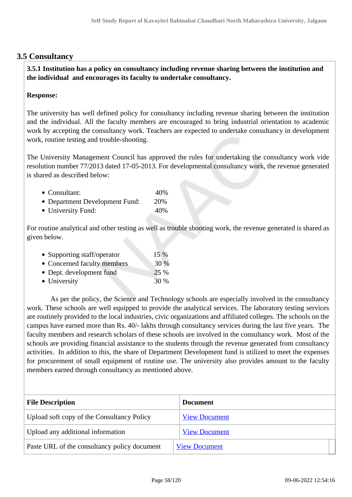# **3.5 Consultancy**

 **3.5.1 Institution has a policy on consultancy including revenue sharing between the institution and the individual and encourages its faculty to undertake consultancy.**

### **Response:**

The university has well defined policy for consultancy including revenue sharing between the institution and the individual. All the faculty members are encouraged to bring industrial orientation to academic work by accepting the consultancy work. Teachers are expected to undertake consultancy in development work, routine testing and trouble-shooting.

The University Management Council has approved the rules for undertaking the consultancy work vide resolution number 77/2013 dated 17-05-2013. For developmental consultancy work, the revenue generated is shared as described below:

| • Consultant:                  | 40%  |
|--------------------------------|------|
| • Department Development Fund: | 20%  |
| • University Fund:             | 40\% |

For routine analytical and other testing as well as trouble shooting work, the revenue generated is shared as given below.

| • Supporting staff/operator | 15 % |
|-----------------------------|------|
| • Concerned faculty members | 30 % |
| • Dept. development fund    | 25 % |
| • University                | 30 % |

 As per the policy, the Science and Technology schools are especially involved in the consultancy work. These schools are well equipped to provide the analytical services. The laboratory testing services are routinely provided to the local industries, civic organizations and affiliated colleges. The schools on the campus have earned more than Rs. 40/- lakhs through consultancy services during the last five years. The faculty members and research scholars of these schools are involved in the consultancy work. Most of the schools are providing financial assistance to the students through the revenue generated from consultancy activities. In addition to this, the share of Department Development fund is utilized to meet the expenses for procurement of small equipment of routine use. The university also provides amount to the faculty members earned through consultancy as mentioned above.

| <b>File Description</b>                      | <b>Document</b>      |
|----------------------------------------------|----------------------|
| Upload soft copy of the Consultancy Policy   | <b>View Document</b> |
| Upload any additional information            | <b>View Document</b> |
| Paste URL of the consultancy policy document | <b>View Document</b> |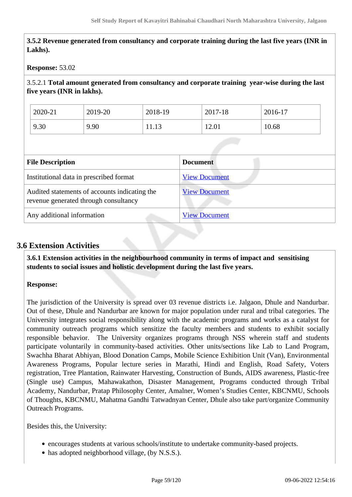**3.5.2 Revenue generated from consultancy and corporate training during the last five years (INR in Lakhs).**

#### **Response:** 53.02

3.5.2.1 **Total amount generated from consultancy and corporate training year-wise during the last five years (INR in lakhs).**

| 2020-21 | 2019-20 | 2018-19 | 2017-18 | 2016-17 |
|---------|---------|---------|---------|---------|
| 9.30    | 9.90    | 11.13   | 12.01   | 10.68   |

| <b>File Description</b>                                                                | <b>Document</b>      |
|----------------------------------------------------------------------------------------|----------------------|
| Institutional data in prescribed format                                                | <b>View Document</b> |
| Audited statements of accounts indicating the<br>revenue generated through consultancy | <b>View Document</b> |
| Any additional information                                                             | <b>View Document</b> |

# **3.6 Extension Activities**

 **3.6.1 Extension activities in the neighbourhood community in terms of impact and sensitising students to social issues and holistic development during the last five years.**

#### **Response:**

The jurisdiction of the University is spread over 03 revenue districts i.e. Jalgaon, Dhule and Nandurbar. Out of these, Dhule and Nandurbar are known for major population under rural and tribal categories. The University integrates social responsibility along with the academic programs and works as a catalyst for community outreach programs which sensitize the faculty members and students to exhibit socially responsible behavior. The University organizes programs through NSS wherein staff and students participate voluntarily in community-based activities. Other units/sections like Lab to Land Program, Swachha Bharat Abhiyan, Blood Donation Camps, Mobile Science Exhibition Unit (Van), Environmental Awareness Programs, Popular lecture series in Marathi, Hindi and English, Road Safety, Voters registration, Tree Plantation, Rainwater Harvesting, Construction of Bunds, AIDS awareness, Plastic-free (Single use) Campus, Mahawakathon, Disaster Management, Programs conducted through Tribal Academy, Nandurbar, Pratap Philosophy Center, Amalner, Women's Studies Center, KBCNMU, Schools of Thoughts, KBCNMU, Mahatma Gandhi Tatwadnyan Center, Dhule also take part/organize Community Outreach Programs.

Besides this, the University:

- encourages students at various schools/institute to undertake community-based projects.
- has adopted neighborhood village, (by N.S.S.).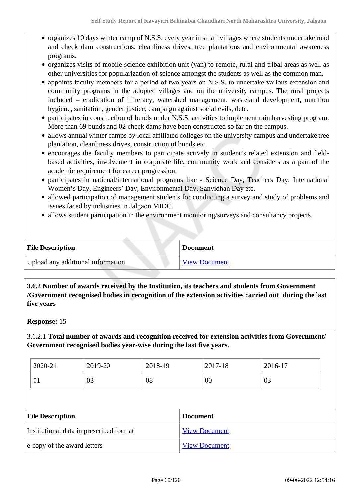- organizes 10 days winter camp of N.S.S. every year in small villages where students undertake road and check dam constructions, cleanliness drives, tree plantations and environmental awareness programs.
- organizes visits of mobile science exhibition unit (van) to remote, rural and tribal areas as well as other universities for popularization of science amongst the students as well as the common man.
- appoints faculty members for a period of two years on N.S.S. to undertake various extension and community programs in the adopted villages and on the university campus. The rural projects included – eradication of illiteracy, watershed management, wasteland development, nutrition hygiene, sanitation, gender justice, campaign against social evils, detc.
- participates in construction of bunds under N.S.S. activities to implement rain harvesting program. More than 69 bunds and 02 check dams have been constructed so far on the campus.
- allows annual winter camps by local affiliated colleges on the university campus and undertake tree plantation, cleanliness drives, construction of bunds etc.
- encourages the faculty members to participate actively in student's related extension and fieldbased activities, involvement in corporate life, community work and considers as a part of the academic requirement for career progression.
- participates in national/international programs like Science Day, Teachers Day, International Women's Day, Engineers' Day, Environmental Day, Sanvidhan Day etc.
- allowed participation of management students for conducting a survey and study of problems and issues faced by industries in Jalgaon MIDC.
- allows student participation in the environment monitoring/surveys and consultancy projects.

| <b>File Description</b>           | <b>Document</b>      |
|-----------------------------------|----------------------|
| Upload any additional information | <b>View Document</b> |

 **3.6.2 Number of awards received by the Institution, its teachers and students from Government /Government recognised bodies in recognition of the extension activities carried out during the last five years**

#### **Response:** 15

3.6.2.1 **Total number of awards and recognition received for extension activities from Government/ Government recognised bodies year-wise during the last five years.**

| 2020-21 | 2019-20        | 2018-19 | 2017-18 | 2016-17 |
|---------|----------------|---------|---------|---------|
| 01      | $\Omega$<br>US | 08      | $00\,$  | 03      |

| <b>File Description</b>                 | <b>Document</b>      |
|-----------------------------------------|----------------------|
| Institutional data in prescribed format | <b>View Document</b> |
| e-copy of the award letters             | <b>View Document</b> |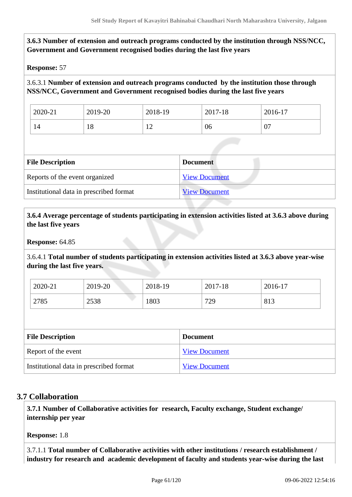# **3.6.3 Number of extension and outreach programs conducted by the institution through NSS/NCC, Government and Government recognised bodies during the last five years**

### **Response:** 57

# 3.6.3.1 **Number of extension and outreach programs conducted by the institution those through NSS/NCC, Government and Government recognised bodies during the last five years**

| 2020-21 | 2019-20  | 2018-19                        | 2017-18 | 2016-17      |
|---------|----------|--------------------------------|---------|--------------|
| 14      | ΙO<br>10 | $\sim$<br>$\overline{1}$<br>-- | 06      | $\mathbf{U}$ |

| <b>File Description</b>                 | <b>Document</b>      |
|-----------------------------------------|----------------------|
| Reports of the event organized          | <b>View Document</b> |
| Institutional data in prescribed format | <b>View Document</b> |

# **3.6.4 Average percentage of students participating in extension activities listed at 3.6.3 above during the last five years**

**Response:** 64.85

3.6.4.1 **Total number of students participating in extension activities listed at 3.6.3 above year-wise during the last five years.**

| 2020-21 | 2019-20 | 2018-19 | 2017-18 | 2016-17 |
|---------|---------|---------|---------|---------|
| 2785    | 2538    | 1803    | 729     | 813     |

| <b>File Description</b>                 | <b>Document</b>      |
|-----------------------------------------|----------------------|
| Report of the event                     | <b>View Document</b> |
| Institutional data in prescribed format | <b>View Document</b> |

# **3.7 Collaboration**

 **3.7.1 Number of Collaborative activities for research, Faculty exchange, Student exchange/ internship per year**

**Response:** 1.8

3.7.1.1 **Total number of Collaborative activities with other institutions / research establishment / industry for research and academic development of faculty and students year-wise during the last**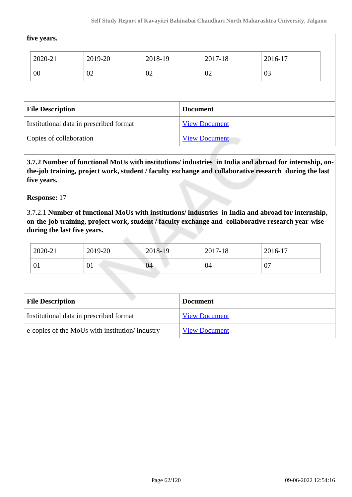### **five years.**

|  | 2020-21                                    | 2019-20 | 2018-19 |  | 2017-18              | 2016-17 |
|--|--------------------------------------------|---------|---------|--|----------------------|---------|
|  | 00                                         | 02      | 02      |  | 02                   | 03      |
|  |                                            |         |         |  |                      |         |
|  | <b>File Description</b><br><b>Document</b> |         |         |  |                      |         |
|  |                                            |         |         |  |                      |         |
|  | Institutional data in prescribed format    |         |         |  | <b>View Document</b> |         |

 **3.7.2 Number of functional MoUs with institutions/ industries in India and abroad for internship, onthe-job training, project work, student / faculty exchange and collaborative research during the last five years.**

#### **Response:** 17

3.7.2.1 **Number of functional MoUs with institutions/ industries in India and abroad for internship, on-the-job training, project work, student / faculty exchange and collaborative research year-wise during the last five years.**

| 2020-21 | 2019-20 | 2018-19             | 2017-18 | 2016-17           |
|---------|---------|---------------------|---------|-------------------|
| 01      | ົ∪⊥     | 04<br><b>Common</b> | 04      | ∩¬<br>$\mathbf U$ |

| <b>File Description</b>                         | <b>Document</b>      |
|-------------------------------------------------|----------------------|
| Institutional data in prescribed format         | <b>View Document</b> |
| e-copies of the MoUs with institution/ industry | <b>View Document</b> |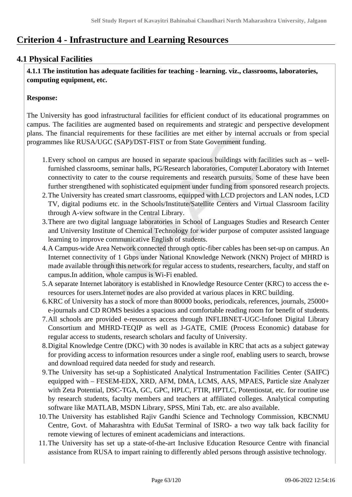# **Criterion 4 - Infrastructure and Learning Resources**

# **4.1 Physical Facilities**

 **4.1.1 The institution has adequate facilities for teaching - learning. viz., classrooms, laboratories, computing equipment, etc.**

# **Response:**

The University has good infrastructural facilities for efficient conduct of its educational programmes on campus. The facilities are augmented based on requirements and strategic and perspective development plans. The financial requirements for these facilities are met either by internal accruals or from special programmes like RUSA/UGC (SAP)/DST-FIST or from State Government funding.

- 1.Every school on campus are housed in separate spacious buildings with facilities such as wellfurnished classrooms, seminar halls, PG/Research laboratories, Computer Laboratory with Internet connectivity to cater to the course requirements and research pursuits. Some of these have been further strengthened with sophisticated equipment under funding from sponsored research projects.
- 2.The University has created smart classrooms, equipped with LCD projectors and LAN nodes, LCD TV, digital podiums etc. in the Schools/Institute/Satellite Centers and Virtual Classroom facility through A-view software in the Central Library.
- 3.There are two digital language laboratories in School of Languages Studies and Research Center and University Institute of Chemical Technology for wider purpose of computer assisted language learning to improve communicative English of students.
- 4.A Campus-wide Area Network connected through optic-fiber cables has been set-up on campus. An Internet connectivity of 1 Gbps under National Knowledge Network (NKN) Project of MHRD is made available through this network for regular access to students, researchers, faculty, and staff on campus.In addition, whole campus is Wi-Fi enabled.
- 5.A separate Internet laboratory is established in Knowledge Resource Center (KRC) to access the eresources for users.Internet nodes are also provided at various places in KRC building.
- 6.KRC of University has a stock of more than 80000 books, periodicals, references, journals, 25000+ e-journals and CD ROMS besides a spacious and comfortable reading room for benefit of students.
- 7.All schools are provided e-resources access through INFLIBNET-UGC-Infonet Digital Library Consortium and MHRD-TEQIP as well as J-GATE, CMIE (Process Economic) database for regular access to students, research scholars and faculty of University.
- 8.Digital Knowledge Centre (DKC) with 30 nodes is available in KRC that acts as a subject gateway for providing access to information resources under a single roof, enabling users to search, browse and download required data needed for study and research.
- 9.The University has set-up a Sophisticated Analytical Instrumentation Facilities Center (SAIFC) equipped with – FESEM-EDX, XRD, AFM, DMA, LCMS, AAS, MPAES, Particle size Analyzer with Zeta Potential, DSC-TGA, GC, GPC, HPLC, FTIR, HPTLC, Potentiostat, etc. for routine use by research students, faculty members and teachers at affiliated colleges. Analytical computing software like MATLAB, MSDN Library, SPSS, Mini Tab, etc. are also available.
- 10.The University has established Rajiv Gandhi Science and Technology Commission, KBCNMU Centre, Govt. of Maharashtra with EduSat Terminal of ISRO- a two way talk back facility for remote viewing of lectures of eminent academicians and interactions.
- 11.The University has set up a state-of-the-art Inclusive Education Resource Centre with financial assistance from RUSA to impart raining to differently abled persons through assistive technology.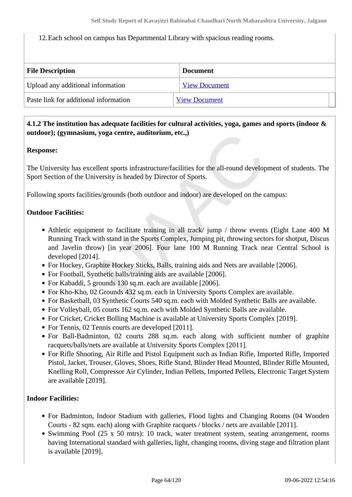12.Each school on campus has Departmental Library with spacious reading rooms.

| <b>File Description</b>               | <b>Document</b>      |
|---------------------------------------|----------------------|
| Upload any additional information     | <b>View Document</b> |
| Paste link for additional information | <b>View Document</b> |

# **4.1.2 The institution has adequate facilities for cultural activities, yoga, games and sports (indoor & outdoor); (gymnasium, yoga centre, auditorium, etc.,)**

### **Response:**

The University has excellent sports infrastructure/facilities for the all-round development of students. The Sport Section of the University is headed by Director of Sports.

Following sports facilities/grounds (both outdoor and indoor) are developed on the campus:

### **Outdoor Facilities:**

- Athletic equipment to facilitate training in all track/ jump / throw events (Eight Lane 400 M Running Track with stand in the Sports Complex, Jumping pit, throwing sectors for shotput, Discus and Javelin throw) [in year 2006]. Four lane 100 M Running Track near Central School is developed [2014].
- For Hockey, Graphite Hockey Sticks, Balls, training aids and Nets are available [2006].
- For Football, Synthetic balls/training aids are available [2006].
- For Kabaddi, 5 grounds 130 sq.m. each are available [2006].
- For Kho-Kho, 02 Grounds 432 sq.m. each in University Sports Complex are available.
- For Basketball, 03 Synthetic Courts 540 sq.m. each with Molded Synthetic Balls are available.
- For Volleyball, 05 courts 162 sq.m. each with Molded Synthetic Balls are available.
- For Cricket, Cricket Bolling Machine is available at University Sports Complex [2019].
- For Tennis, 02 Tennis courts are developed [2011].
- For Ball-Badminton, 02 courts 288 sq.m. each along with sufficient number of graphite racquets/balls/nets are available at University Sports Complex [2011].
- For Rifle Shooting, Air Rifle and Pistol Equipment such as Indian Rifle, Imported Rifle, Imported Pistol, Jacket, Trouser, Gloves, Shoes, Rifle Stand, Blinder Head Mounted, Blinder Rifle Mounted, Knelling Roll, Compressor Air Cylinder, Indian Pellets, Imported Pellets, Electronic Target System are available [2019].

### **Indoor Facilities:**

- For Badminton, Indoor Stadium with galleries, Flood lights and Changing Rooms (04 Wooden Courts - 82 sqm. each) along with Graphite racquets / blocks / nets are available [2011].
- Swimming Pool (25 x 50 mtrs): 10 track, water treatment system, seating arrangement, rooms having International standard with galleries, light, changing rooms, diving stage and filtration plant is available [2019].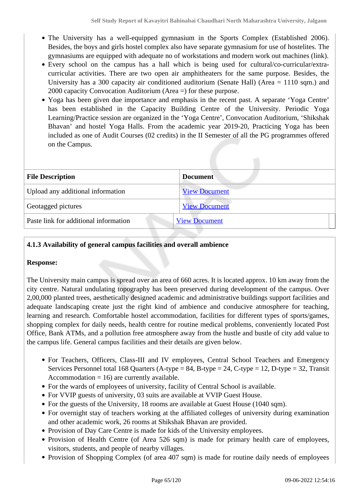- The University has a well-equipped gymnasium in the Sports Complex (Established 2006). Besides, the boys and girls hostel complex also have separate gymnasium for use of hostelites. The gymnasiums are equipped with adequate no of workstations and modern work out machines (link).
- Every school on the campus has a hall which is being used for cultural/co-curricular/extracurricular activities. There are two open air amphitheaters for the same purpose. Besides, the University has a 300 capacity air conditioned auditorium (Senate Hall) (Area = 1110 sqm.) and 2000 capacity Convocation Auditorium (Area =) for these purpose.
- Yoga has been given due importance and emphasis in the recent past. A separate 'Yoga Centre' has been established in the Capacity Building Centre of the University. Periodic Yoga Learning/Practice session are organized in the 'Yoga Centre', Convocation Auditorium, 'Shikshak Bhavan' and hostel Yoga Halls. From the academic year 2019-20, Practicing Yoga has been included as one of Audit Courses (02 credits) in the II Semester of all the PG programmes offered on the Campus.

| <b>File Description</b>               | <b>Document</b>      |  |
|---------------------------------------|----------------------|--|
| Upload any additional information     | <b>View Document</b> |  |
| Geotagged pictures                    | <b>View Document</b> |  |
| Paste link for additional information | <b>View Document</b> |  |

# **4.1.3 Availability of general campus facilities and overall ambience**

### **Response:**

The University main campus is spread over an area of 660 acres. It is located approx. 10 km away from the city centre. Natural undulating topography has been preserved during development of the campus. Over 2,00,000 planted trees, aesthetically designed academic and administrative buildings support facilities and adequate landscaping create just the right kind of ambience and conducive atmosphere for teaching, learning and research. Comfortable hostel accommodation, facilities for different types of sports/games, shopping complex for daily needs, health centre for routine medical problems, conveniently located Post Office, Bank ATMs, and a pollution free atmosphere away from the hustle and bustle of city add value to the campus life. General campus facilities and their details are given below.

- For Teachers, Officers, Class-III and IV employees, Central School Teachers and Emergency Services Personnel total 168 Quarters (A-type =  $84$ , B-type =  $24$ , C-type = 12, D-type = 32, Transit Accommodation  $= 16$ ) are currently available.
- For the wards of employees of university, facility of Central School is available.
- For VVIP guests of university, 03 suits are available at VVIP Guest House.
- For the guests of the University, 18 rooms are available at Guest House (1040 sqm).
- For overnight stay of teachers working at the affiliated colleges of university during examination and other academic work, 26 rooms at Shikshak Bhavan are provided.
- Provision of Day Care Centre is made for kids of the University employees.
- Provision of Health Centre (of Area 526 sqm) is made for primary health care of employees, visitors, students, and people of nearby villages.
- Provision of Shopping Complex (of area 407 sqm) is made for routine daily needs of employees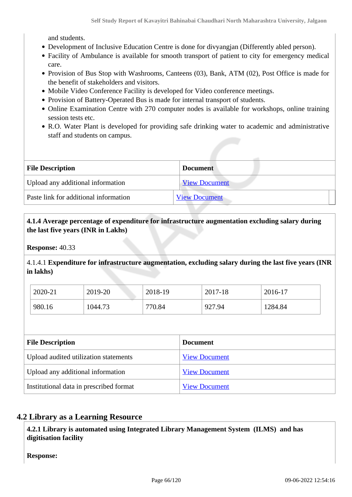and students.

- Development of Inclusive Education Centre is done for divyangjan (Differently abled person).
- Facility of Ambulance is available for smooth transport of patient to city for emergency medical care.
- Provision of Bus Stop with Washrooms, Canteens (03), Bank, ATM (02), Post Office is made for the benefit of stakeholders and visitors.
- Mobile Video Conference Facility is developed for Video conference meetings.
- Provision of Battery-Operated Bus is made for internal transport of students.
- Online Examination Centre with 270 computer nodes is available for workshops, online training session tests etc.
- R.O. Water Plant is developed for providing safe drinking water to academic and administrative staff and students on campus.

| <b>File Description</b>               | <b>Document</b>      |  |
|---------------------------------------|----------------------|--|
| Upload any additional information     | <b>View Document</b> |  |
| Paste link for additional information | <b>View Document</b> |  |

### **4.1.4 Average percentage of expenditure for infrastructure augmentation excluding salary during the last five years (INR in Lakhs)**

**Response:** 40.33

4.1.4.1 **Expenditure for infrastructure augmentation, excluding salary during the last five years (INR in lakhs)** 

| 2020-21 | 2019-20 | 2018-19 | 2017-18 | 2016-17 |
|---------|---------|---------|---------|---------|
| 980.16  | 1044.73 | 770.84  | 927.94  | 1284.84 |

| <b>File Description</b>                 | <b>Document</b>      |  |
|-----------------------------------------|----------------------|--|
| Upload audited utilization statements   | <b>View Document</b> |  |
| Upload any additional information       | <b>View Document</b> |  |
| Institutional data in prescribed format | <b>View Document</b> |  |

# **4.2 Library as a Learning Resource**

 **4.2.1 Library is automated using Integrated Library Management System (ILMS) and has digitisation facility**

**Response:**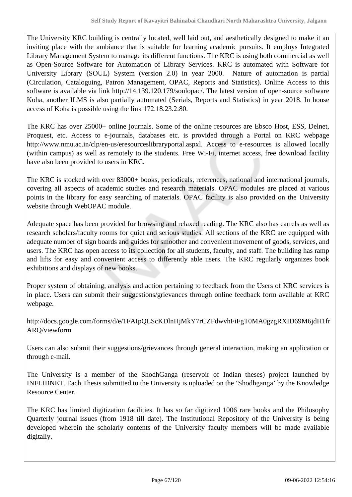The University KRC building is centrally located, well laid out, and aesthetically designed to make it an inviting place with the ambiance that is suitable for learning academic pursuits. It employs Integrated Library Management System to manage its different functions. The KRC is using both commercial as well as Open-Source Software for Automation of Library Services. KRC is automated with Software for University Library (SOUL) System (version 2.0) in year 2000. Nature of automation is partial (Circulation, Cataloguing, Patron Management, OPAC, Reports and Statistics). Online Access to this software is available via link http://14.139.120.179/soulopac/. The latest version of open-source software Koha, another ILMS is also partially automated (Serials, Reports and Statistics) in year 2018. In house access of Koha is possible using the link 172.18.23.2:80.

The KRC has over 25000+ online journals. Some of the online resources are Ebsco Host, ESS, Delnet, Proquest, etc. Access to e-journals, databases etc. is provided through a Portal on KRC webpage http://www.nmu.ac.in/clp/en-us/eresourceslibraryportal.aspxl. Access to e-resources is allowed locally (within campus) as well as remotely to the students. Free Wi-Fi, internet access, free download facility have also been provided to users in KRC.

The KRC is stocked with over 83000+ books, periodicals, references, national and international journals, covering all aspects of academic studies and research materials. OPAC modules are placed at various points in the library for easy searching of materials. OPAC facility is also provided on the University website through WebOPAC module.

Adequate space has been provided for browsing and relaxed reading. The KRC also has carrels as well as research scholars/faculty rooms for quiet and serious studies. All sections of the KRC are equipped with adequate number of sign boards and guides for smoother and convenient movement of goods, services, and users. The KRC has open access to its collection for all students, faculty, and staff. The building has ramp and lifts for easy and convenient access to differently able users. The KRC regularly organizes book exhibitions and displays of new books.

Proper system of obtaining, analysis and action pertaining to feedback from the Users of KRC services is in place. Users can submit their suggestions/grievances through online feedback form available at KRC webpage.

http://docs.google.com/forms/d/e/1FAIpQLScKDlnHjMkY7rCZFdwvhFiFgT0MA0gzgRXID69M6jdH1fr ARQ/viewform

Users can also submit their suggestions/grievances through general interaction, making an application or through e-mail.

The University is a member of the ShodhGanga (reservoir of Indian theses) project launched by INFLIBNET. Each Thesis submitted to the University is uploaded on the 'Shodhganga' by the Knowledge Resource Center.

The KRC has limited digitization facilities. It has so far digitized 1006 rare books and the Philosophy Quarterly journal issues (from 1918 till date). The Institutional Repository of the University is being developed wherein the scholarly contents of the University faculty members will be made available digitally.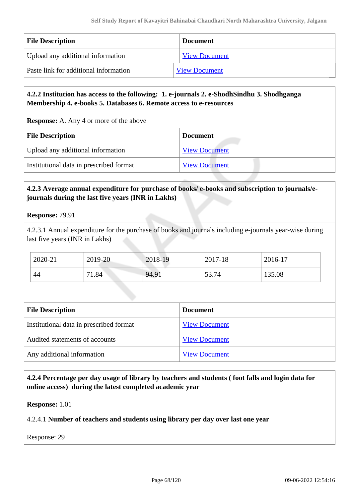| <b>File Description</b>               | <b>Document</b>      |
|---------------------------------------|----------------------|
| Upload any additional information     | <b>View Document</b> |
| Paste link for additional information | <b>View Document</b> |

# **4.2.2 Institution has access to the following: 1. e-journals 2. e-ShodhSindhu 3. Shodhganga Membership 4. e-books 5. Databases 6. Remote access to e-resources**

**Response:** A. Any 4 or more of the above

| <b>File Description</b>                 | <b>Document</b>      |  |
|-----------------------------------------|----------------------|--|
| Upload any additional information       | <b>View Document</b> |  |
| Institutional data in prescribed format | <b>View Document</b> |  |

# **4.2.3 Average annual expenditure for purchase of books/ e-books and subscription to journals/ejournals during the last five years (INR in Lakhs)**

**Response:** 79.91

4.2.3.1 Annual expenditure for the purchase of books and journals including e-journals year-wise during last five years (INR in Lakhs)

| 2020-21 | 2019-20    | 2018-19 | 2017-18 | 2016-17 |
|---------|------------|---------|---------|---------|
| 44      | 1.84<br>71 | 94.91   | 53.74   | 135.08  |

| <b>Document</b>      |  |  |
|----------------------|--|--|
| <b>View Document</b> |  |  |
| <b>View Document</b> |  |  |
| <b>View Document</b> |  |  |
|                      |  |  |

 **4.2.4 Percentage per day usage of library by teachers and students ( foot falls and login data for online access) during the latest completed academic year**

**Response:** 1.01

4.2.4.1 **Number of teachers and students using library per day over last one year**

Response: 29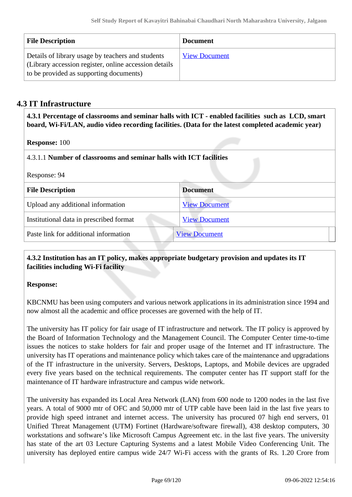| <b>File Description</b>                                                                                                                               | <b>Document</b>      |
|-------------------------------------------------------------------------------------------------------------------------------------------------------|----------------------|
| Details of library usage by teachers and students<br>(Library accession register, online accession details<br>to be provided as supporting documents) | <b>View Document</b> |

# **4.3 IT Infrastructure**

 **4.3.1 Percentage of classrooms and seminar halls with ICT - enabled facilities such as LCD, smart board, Wi-Fi/LAN, audio video recording facilities. (Data for the latest completed academic year)**

**Response:** 100

4.3.1.1 **Number of classrooms and seminar halls with ICT facilities**

| Response: 94 |  |
|--------------|--|
|--------------|--|

| <b>File Description</b>                 | <b>Document</b>      |
|-----------------------------------------|----------------------|
| Upload any additional information       | <b>View Document</b> |
| Institutional data in prescribed format | <b>View Document</b> |
| Paste link for additional information   | <b>View Document</b> |

# **4.3.2 Institution has an IT policy, makes appropriate budgetary provision and updates its IT facilities including Wi-Fi facility**

### **Response:**

KBCNMU has been using computers and various network applications in its administration since 1994 and now almost all the academic and office processes are governed with the help of IT.

The university has IT policy for fair usage of IT infrastructure and network. The IT policy is approved by the Board of Information Technology and the Management Council. The Computer Center time-to-time issues the notices to stake holders for fair and proper usage of the Internet and IT infrastructure. The university has IT operations and maintenance policy which takes care of the maintenance and upgradations of the IT infrastructure in the university. Servers, Desktops, Laptops, and Mobile devices are upgraded every five years based on the technical requirements. The computer center has IT support staff for the maintenance of IT hardware infrastructure and campus wide network.

The university has expanded its Local Area Network (LAN) from 600 node to 1200 nodes in the last five years. A total of 9000 mtr of OFC and 50,000 mtr of UTP cable have been laid in the last five years to provide high speed intranet and internet access. The university has procured 07 high end servers, 01 Unified Threat Management (UTM) Fortinet (Hardware/software firewall), 438 desktop computers, 30 workstations and software's like Microsoft Campus Agreement etc. in the last five years. The university has state of the art 03 Lecture Capturing Systems and a latest Mobile Video Conferencing Unit. The university has deployed entire campus wide 24/7 Wi-Fi access with the grants of Rs. 1.20 Crore from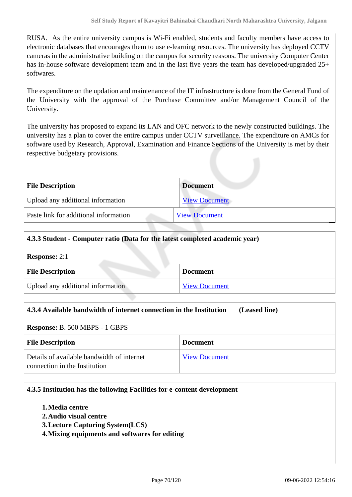RUSA. As the entire university campus is Wi-Fi enabled, students and faculty members have access to electronic databases that encourages them to use e-learning resources. The university has deployed CCTV cameras in the administrative building on the campus for security reasons. The university Computer Center has in-house software development team and in the last five years the team has developed/upgraded 25+ softwares.

The expenditure on the updation and maintenance of the IT infrastructure is done from the General Fund of the University with the approval of the Purchase Committee and/or Management Council of the University.

The university has proposed to expand its LAN and OFC network to the newly constructed buildings. The university has a plan to cover the entire campus under CCTV surveillance. The expenditure on AMCs for software used by Research, Approval, Examination and Finance Sections of the University is met by their respective budgetary provisions.

| <b>File Description</b>               | <b>Document</b>      |  |
|---------------------------------------|----------------------|--|
| Upload any additional information     | <b>View Document</b> |  |
| Paste link for additional information | <b>View Document</b> |  |

| 4.3.3 Student - Computer ratio (Data for the latest completed academic year) |                      |
|------------------------------------------------------------------------------|----------------------|
| <b>Response: 2:1</b>                                                         |                      |
| <b>File Description</b>                                                      | <b>Document</b>      |
| Upload any additional information                                            | <b>View Document</b> |

| 4.3.4 Available bandwidth of internet connection in the Institution<br>(Leased line) |                      |  |
|--------------------------------------------------------------------------------------|----------------------|--|
| <b>Response:</b> B. 500 MBPS - 1 GBPS                                                |                      |  |
| <b>File Description</b>                                                              | <b>Document</b>      |  |
| Details of available bandwidth of internet<br>connection in the Institution          | <b>View Document</b> |  |

### **4.3.5 Institution has the following Facilities for e-content development**

- **1.Media centre**
- **2.Audio visual centre**
- **3.Lecture Capturing System(LCS)**
- **4.Mixing equipments and softwares for editing**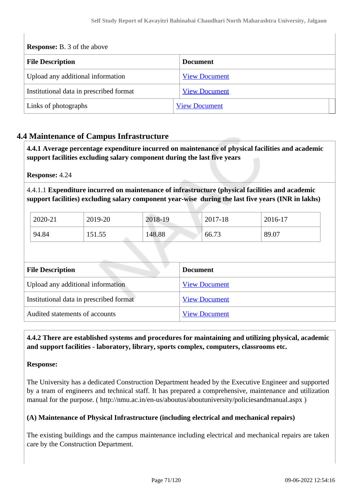**Response:** B. 3 of the above

| <b>File Description</b>                 | <b>Document</b>      |
|-----------------------------------------|----------------------|
| Upload any additional information       | <b>View Document</b> |
| Institutional data in prescribed format | <b>View Document</b> |
| Links of photographs                    | <b>View Document</b> |

# **4.4 Maintenance of Campus Infrastructure**

 **4.4.1 Average percentage expenditure incurred on maintenance of physical facilities and academic support facilities excluding salary component during the last five years**

**Response:** 4.24

4.4.1.1 **Expenditure incurred on maintenance of infrastructure (physical facilities and academic support facilities) excluding salary component year-wise during the last five years (INR in lakhs)**

| 2020-21 | 2019-20 | 2018-19 | 2017-18 | 2016-17 |
|---------|---------|---------|---------|---------|
| 94.84   | 151.55  | 148.88  | 66.73   | 89.07   |

| <b>File Description</b>                 | <b>Document</b>      |  |
|-----------------------------------------|----------------------|--|
| Upload any additional information       | <b>View Document</b> |  |
| Institutional data in prescribed format | <b>View Document</b> |  |
| Audited statements of accounts          | <b>View Document</b> |  |

 **4.4.2 There are established systems and procedures for maintaining and utilizing physical, academic and support facilities - laboratory, library, sports complex, computers, classrooms etc.**

### **Response:**

The University has a dedicated Construction Department headed by the Executive Engineer and supported by a team of engineers and technical staff. It has prepared a comprehensive, maintenance and utilization manual for the purpose. ( http://nmu.ac.in/en-us/aboutus/aboutuniversity/policiesandmanual.aspx )

### **(A) Maintenance of Physical Infrastructure (including electrical and mechanical repairs)**

The existing buildings and the campus maintenance including electrical and mechanical repairs are taken care by the Construction Department.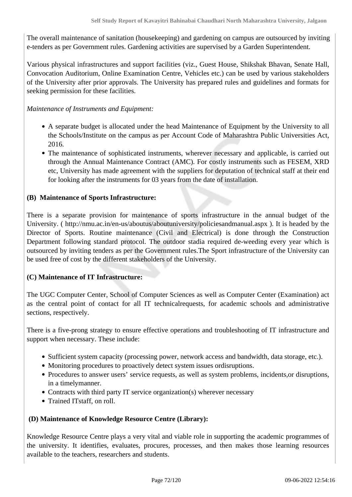The overall maintenance of sanitation (housekeeping) and gardening on campus are outsourced by inviting e-tenders as per Government rules. Gardening activities are supervised by a Garden Superintendent.

Various physical infrastructures and support facilities (viz., Guest House, Shikshak Bhavan, Senate Hall, Convocation Auditorium, Online Examination Centre, Vehicles etc.) can be used by various stakeholders of the University after prior approvals. The University has prepared rules and guidelines and formats for seeking permission for these facilities.

### *Maintenance of Instruments and Equipment:*

- A separate budget is allocated under the head Maintenance of Equipment by the University to all the Schools/Institute on the campus as per Account Code of Maharashtra Public Universities Act, 2016.
- The maintenance of sophisticated instruments, wherever necessary and applicable, is carried out through the Annual Maintenance Contract (AMC). For costly instruments such as FESEM, XRD etc, University has made agreement with the suppliers for deputation of technical staff at their end for looking after the instruments for 03 years from the date of installation.

# **(B) Maintenance of Sports Infrastructure:**

There is a separate provision for maintenance of sports infrastructure in the annual budget of the University. ( http://nmu.ac.in/en-us/aboutus/aboutuniversity/policiesandmanual.aspx ). It is headed by the Director of Sports. Routine maintenance (Civil and Electrical) is done through the Construction Department following standard protocol. The outdoor stadia required de-weeding every year which is outsourced by inviting tenders as per the Government rules.The Sport infrastructure of the University can be used free of cost by the different stakeholders of the University.

### **(C) Maintenance of IT Infrastructure:**

The UGC Computer Center, School of Computer Sciences as well as Computer Center (Examination) act as the central point of contact for all IT technicalrequests, for academic schools and administrative sections, respectively.

There is a five-prong strategy to ensure effective operations and troubleshooting of IT infrastructure and support when necessary. These include:

- Sufficient system capacity (processing power, network access and bandwidth, data storage, etc.).
- Monitoring procedures to proactively detect system issues ordisruptions.
- Procedures to answer users' service requests, as well as system problems, incidents,or disruptions, in a timelymanner.
- Contracts with third party IT service organization(s) wherever necessary
- Trained ITstaff, on roll.

### **(D) Maintenance of Knowledge Resource Centre (Library):**

Knowledge Resource Centre plays a very vital and viable role in supporting the academic programmes of the university. It identifies, evaluates, procures, processes, and then makes those learning resources available to the teachers, researchers and students.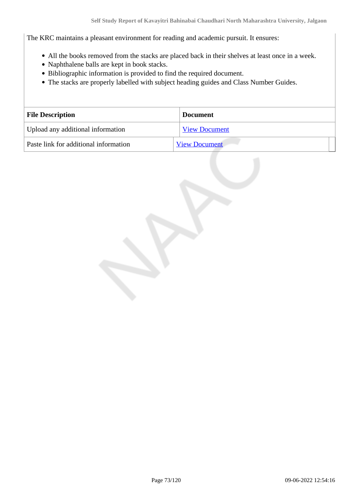The KRC maintains a pleasant environment for reading and academic pursuit. It ensures:

- All the books removed from the stacks are placed back in their shelves at least once in a week.
- Naphthalene balls are kept in book stacks.
- Bibliographic information is provided to find the required document.
- The stacks are properly labelled with subject heading guides and Class Number Guides.

| <b>File Description</b>               | <b>Document</b>      |  |
|---------------------------------------|----------------------|--|
| Upload any additional information     | <b>View Document</b> |  |
| Paste link for additional information | <b>View Document</b> |  |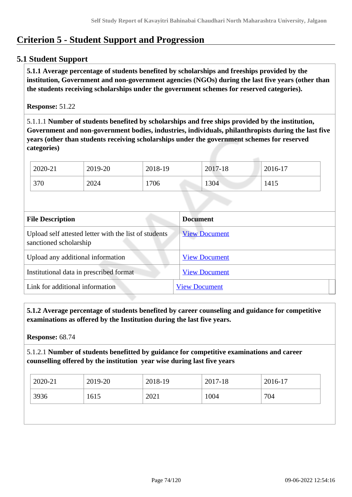# **Criterion 5 - Student Support and Progression**

## **5.1 Student Support**

 **5.1.1 Average percentage of students benefited by scholarships and freeships provided by the institution, Government and non-government agencies (NGOs) during the last five years (other than the students receiving scholarships under the government schemes for reserved categories).**

#### **Response:** 51.22

5.1.1.1 **Number of students benefited by scholarships and free ships provided by the institution, Government and non-government bodies, industries, individuals, philanthropists during the last five years (other than students receiving scholarships under the government schemes for reserved categories)** 

| 2020-21 | 2019-20 | 2018-19 | 2017-18 | 2016-17 |
|---------|---------|---------|---------|---------|
| 370     | 2024    | 706     | 1304    | 1415    |

| <b>File Description</b>                                                         | <b>Document</b>      |
|---------------------------------------------------------------------------------|----------------------|
| Upload self attested letter with the list of students<br>sanctioned scholarship | <b>View Document</b> |
| Upload any additional information                                               | <b>View Document</b> |
| Institutional data in prescribed format                                         | <b>View Document</b> |
| Link for additional information                                                 | <b>View Document</b> |

 **5.1.2 Average percentage of students benefited by career counseling and guidance for competitive examinations as offered by the Institution during the last five years.**

**Response:** 68.74

5.1.2.1 **Number of students benefitted by guidance for competitive examinations and career counselling offered by the institution year wise during last five years**

| 2020-21 | 2019-20 | 2018-19 | 2017-18 | 2016-17 |
|---------|---------|---------|---------|---------|
| 3936    | 1615    | 2021    | 1004    | 704     |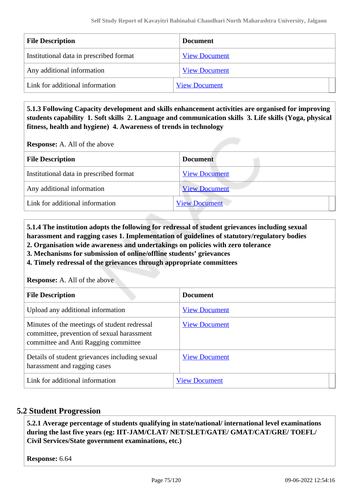| <b>File Description</b>                 | <b>Document</b>      |
|-----------------------------------------|----------------------|
| Institutional data in prescribed format | <b>View Document</b> |
| Any additional information              | <b>View Document</b> |
| Link for additional information         | <b>View Document</b> |

 **5.1.3 Following Capacity development and skills enhancement activities are organised for improving students capability 1. Soft skills 2. Language and communication skills 3. Life skills (Yoga, physical fitness, health and hygiene) 4. Awareness of trends in technology**

**Response:** A. All of the above

| <b>File Description</b>                 | <b>Document</b>      |
|-----------------------------------------|----------------------|
| Institutional data in prescribed format | <b>View Document</b> |
| Any additional information              | <b>View Document</b> |
| Link for additional information         | <b>View Document</b> |
|                                         |                      |

 **5.1.4 The institution adopts the following for redressal of student grievances including sexual harassment and ragging cases 1. Implementation of guidelines of statutory/regulatory bodies**

**2. Organisation wide awareness and undertakings on policies with zero tolerance**

**3. Mechanisms for submission of online/offline students' grievances**

**4. Timely redressal of the grievances through appropriate committees**

**Response:** A. All of the above

| <b>File Description</b>                                                                                                            | <b>Document</b>      |
|------------------------------------------------------------------------------------------------------------------------------------|----------------------|
| Upload any additional information                                                                                                  | <b>View Document</b> |
| Minutes of the meetings of student redressal<br>committee, prevention of sexual harassment<br>committee and Anti Ragging committee | <b>View Document</b> |
| Details of student grievances including sexual<br>harassment and ragging cases                                                     | <b>View Document</b> |
| Link for additional information                                                                                                    | <b>View Document</b> |

# **5.2 Student Progression**

 **5.2.1 Average percentage of students qualifying in state/national/ international level examinations during the last five years (eg: IIT-JAM/CLAT/ NET/SLET/GATE/ GMAT/CAT/GRE/ TOEFL/ Civil Services/State government examinations, etc.)**

**Response:** 6.64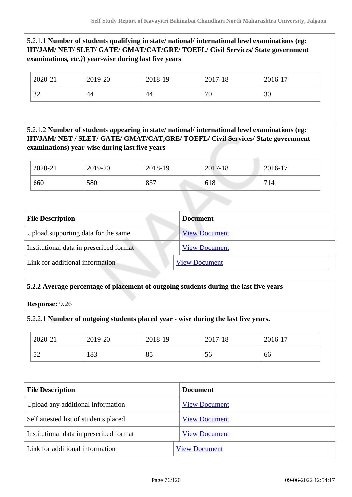## 5.2.1.1 **Number of students qualifying in state/ national/ international level examinations (eg: IIT/JAM/ NET/ SLET/ GATE/ GMAT/CAT/GRE/ TOEFL/ Civil Services/ State government examinations***, etc.)***) year-wise during last five years**

| 2020-21              | 2019-20 | 2018-19 | 2017-18 | 2016-17 |
|----------------------|---------|---------|---------|---------|
| $\mathcal{L}$<br>ے ر | 44      | 44      | 70      | 30      |

5.2.1.2 **Number of students appearing in state/ national/ international level examinations (eg: IIT/JAM/ NET / SLET/ GATE/ GMAT/CAT,GRE/ TOEFL/ Civil Services/ State government examinations) year-wise during last five years**

| 2020-21 | 2019-20 | 2018-19 | 2017-18 | 2016-17 |
|---------|---------|---------|---------|---------|
| 660     | 580     | 837     | 618     | 714     |

| <b>Document</b>      |
|----------------------|
| <b>View Document</b> |
| <b>View Document</b> |
| <b>View Document</b> |
|                      |

# **5.2.2 Average percentage of placement of outgoing students during the last five years**

**Response:** 9.26

#### 5.2.2.1 **Number of outgoing students placed year - wise during the last five years.**

| 2020-21 | 2019-20 | 2018-19 | 2017-18 | $2016-17$ |
|---------|---------|---------|---------|-----------|
| 52      | 183     | 85      | 56      | 66        |

| <b>File Description</b>                 | <b>Document</b>      |
|-----------------------------------------|----------------------|
| Upload any additional information       | <b>View Document</b> |
| Self attested list of students placed   | <b>View Document</b> |
| Institutional data in prescribed format | <b>View Document</b> |
| Link for additional information         | <b>View Document</b> |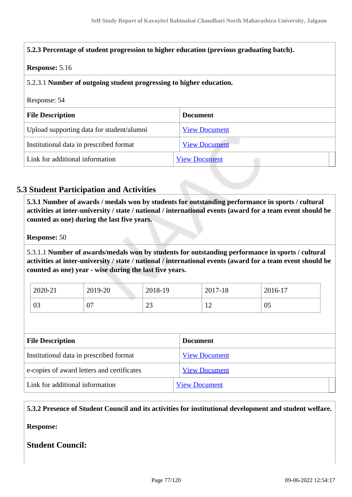| 5.2.3 Percentage of student progression to higher education (previous graduating batch). |                      |  |
|------------------------------------------------------------------------------------------|----------------------|--|
| <b>Response: 5.16</b>                                                                    |                      |  |
| 5.2.3.1 Number of outgoing student progressing to higher education.                      |                      |  |
|                                                                                          |                      |  |
| Response: 54                                                                             |                      |  |
| <b>File Description</b>                                                                  | <b>Document</b>      |  |
| Upload supporting data for student/alumni                                                | <b>View Document</b> |  |
| Institutional data in prescribed format                                                  | <b>View Document</b> |  |

# **5.3 Student Participation and Activities**

 **5.3.1 Number of awards / medals won by students for outstanding performance in sports / cultural activities at inter-university / state / national / international events (award for a team event should be counted as one) during the last five years.**

**Response:** 50

5.3.1.1 **Number of awards/medals won by students for outstanding performance in sports / cultural activities at inter-university / state / national / international events (award for a team event should be counted as one) year - wise during the last five years.**

| 2020-21      | 2019-20 | 2018-19      | 2017-18 | 2016-17 |
|--------------|---------|--------------|---------|---------|
| $\cap$<br>U3 | v,      | $\cap$<br>رے | ┸       | 05      |

| <b>File Description</b>                    | <b>Document</b>      |
|--------------------------------------------|----------------------|
| Institutional data in prescribed format    | <b>View Document</b> |
| e-copies of award letters and certificates | <b>View Document</b> |
| Link for additional information            | <b>View Document</b> |

**5.3.2 Presence of Student Council and its activities for institutional development and student welfare.**

**Response:** 

**Student Council:**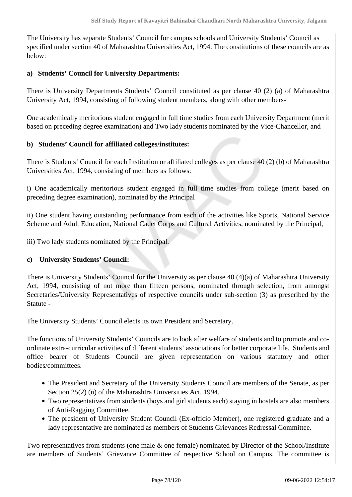The University has separate Students' Council for campus schools and University Students' Council as specified under section 40 of Maharashtra Universities Act, 1994. The constitutions of these councils are as below:

### **a) Students' Council for University Departments:**

There is University Departments Students' Council constituted as per clause 40 (2) (a) of Maharashtra University Act, 1994, consisting of following student members, along with other members-

One academically meritorious student engaged in full time studies from each University Department (merit based on preceding degree examination) and Two lady students nominated by the Vice-Chancellor, and

### **b) Students' Council for affiliated colleges/institutes:**

There is Students' Council for each Institution or affiliated colleges as per clause 40 (2) (b) of Maharashtra Universities Act, 1994, consisting of members as follows:

i) One academically meritorious student engaged in full time studies from college (merit based on preceding degree examination), nominated by the Principal

ii) One student having outstanding performance from each of the activities like Sports, National Service Scheme and Adult Education, National Cadet Corps and Cultural Activities, nominated by the Principal,

iii) Two lady students nominated by the Principal.

### **c) University Students' Council:**

There is University Students' Council for the University as per clause 40 (4)(a) of Maharashtra University Act, 1994, consisting of not more than fifteen persons, nominated through selection, from amongst Secretaries/University Representatives of respective councils under sub-section (3) as prescribed by the Statute -

The University Students' Council elects its own President and Secretary.

The functions of University Students' Councils are to look after welfare of students and to promote and coordinate extra-curricular activities of different students' associations for better corporate life. Students and office bearer of Students Council are given representation on various statutory and other bodies/committees.

- The President and Secretary of the University Students Council are members of the Senate, as per Section 25(2) (n) of the Maharashtra Universities Act, 1994.
- Two representatives from students (boys and girl students each) staying in hostels are also members of Anti-Ragging Committee.
- The president of University Student Council (Ex-officio Member), one registered graduate and a lady representative are nominated as members of Students Grievances Redressal Committee.

Two representatives from students (one male & one female) nominated by Director of the School/Institute are members of Students' Grievance Committee of respective School on Campus. The committee is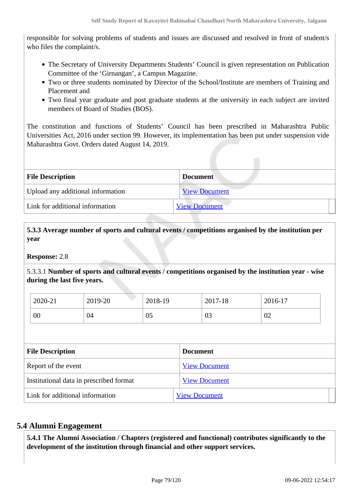responsible for solving problems of students and issues are discussed and resolved in front of student/s who files the complaint/s.

- The Secretary of University Departments Students' Council is given representation on Publication Committee of the 'Girnangan', a Campus Magazine.
- Two or three students nominated by Director of the School/Institute are members of Training and Placement and
- Two final year graduate and post graduate students at the university in each subject are invited members of Board of Studies (BOS).

The constitution and functions of Students' Council has been prescribed in Maharashtra Public Universities Act, 2016 under section 99. However, its implementation has been put under suspension vide Maharashtra Govt. Orders dated August 14, 2019.

| <b>File Description</b>           | <b>Document</b>      |  |
|-----------------------------------|----------------------|--|
| Upload any additional information | <b>View Document</b> |  |
| Link for additional information   | <b>View Document</b> |  |

 **5.3.3 Average number of sports and cultural events / competitions organised by the institution per year**

**Response:** 2.8

5.3.3.1 **Number of sports and cultural events / competitions organised by the institution year - wise during the last five years.**

| 2020-21 | 2019-20 | 2018-19 | 2017-18 | 2016-17 |
|---------|---------|---------|---------|---------|
| 00      | 04      | 05      | 03      | 02      |

| <b>File Description</b>                 | <b>Document</b>      |
|-----------------------------------------|----------------------|
| Report of the event                     | <b>View Document</b> |
| Institutional data in prescribed format | <b>View Document</b> |
| Link for additional information         | <b>View Document</b> |

# **5.4 Alumni Engagement**

 **5.4.1 The Alumni Association / Chapters (registered and functional) contributes significantly to the development of the institution through financial and other support services.**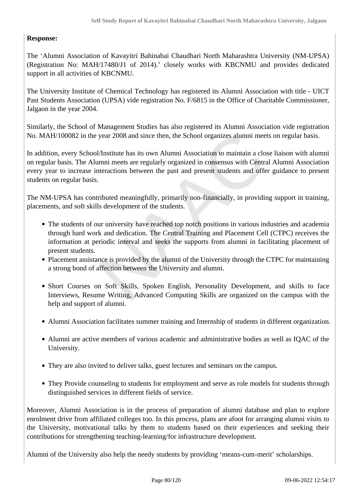### **Response:**

The 'Alumni Association of Kavayitri Bahinabai Chaudhari North Maharashtra University (NM-UPSA) (Registration No: MAH/17480/J1 of 2014).' closely works with KBCNMU and provides dedicated support in all activities of KBCNMU.

The University Institute of Chemical Technology has registered its Alumni Association with title - UICT Past Students Association (UPSA) vide registration No. F/6815 in the Office of Charitable Commissioner, Jalgaon in the year 2004.

Similarly, the School of Management Studies has also registered its Alumni Association vide registration No. MAH/100082 in the year 2008 and since then, the School organizes alumni meets on regular basis.

In addition, every School/Institute has its own Alumni Association to maintain a close liaison with alumni on regular basis. The Alumni meets are regularly organized in consensus with Central Alumni Association every year to increase interactions between the past and present students and offer guidance to present students on regular basis.

The NM-UPSA has contributed meaningfully, primarily non-financially, in providing support in training, placements, and soft skills development of the students.

- The students of our university have reached top notch positions in various industries and academia through hard work and dedication. The Central Training and Placement Cell (CTPC) receives the information at periodic interval and seeks the supports from alumni in facilitating placement of present students.
- Placement assistance is provided by the alumni of the University through the CTPC for maintaining a strong bond of affection between the University and alumni.
- Short Courses on Soft Skills, Spoken English, Personality Development, and skills to face Interviews, Resume Writing, Advanced Computing Skills are organized on the campus with the help and support of alumni.
- Alumni Association facilitates summer training and Internship of students in different organization.
- Alumni are active members of various academic and administrative bodies as well as IQAC of the University.
- They are also invited to deliver talks, guest lectures and seminars on the campus.
- They Provide counseling to students for employment and serve as role models for students through distinguished services in different fields of service.

Moreover, Alumni Association is in the process of preparation of alumni database and plan to explore enrolment drive from affiliated colleges too. In this process, plans are afoot for arranging alumni visits to the University, motivational talks by them to students based on their experiences and seeking their contributions for strengthening teaching-learning/for infrastructure development.

Alumni of the University also help the needy students by providing 'means-cum-merit' scholarships.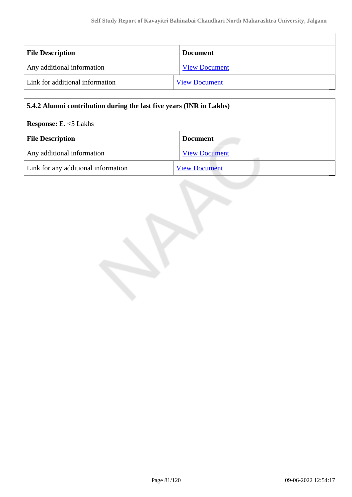| <b>File Description</b>         | <b>Document</b>      |
|---------------------------------|----------------------|
| Any additional information      | <b>View Document</b> |
| Link for additional information | <b>View Document</b> |

### **5.4.2 Alumni contribution during the last five years (INR in Lakhs)**

## **Response:** E. <5 Lakhs

| <b>File Description</b>             | <b>Document</b>      |  |
|-------------------------------------|----------------------|--|
| Any additional information          | <b>View Document</b> |  |
| Link for any additional information | <b>View Document</b> |  |

 $\begin{array}{c} \hline \end{array}$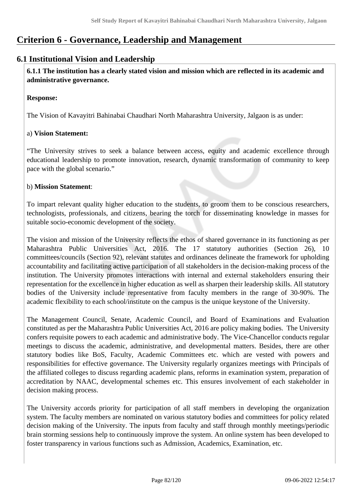# **Criterion 6 - Governance, Leadership and Management**

# **6.1 Institutional Vision and Leadership**

 **6.1.1 The institution has a clearly stated vision and mission which are reflected in its academic and administrative governance.**

#### **Response:**

The Vision of Kavayitri Bahinabai Chaudhari North Maharashtra University, Jalgaon is as under:

### a) **Vision Statement:**

"The University strives to seek a balance between access, equity and academic excellence through educational leadership to promote innovation, research, dynamic transformation of community to keep pace with the global scenario."

#### b) **Mission Statement**:

To impart relevant quality higher education to the students, to groom them to be conscious researchers, technologists, professionals, and citizens, bearing the torch for disseminating knowledge in masses for suitable socio-economic development of the society.

The vision and mission of the University reflects the ethos of shared governance in its functioning as per Maharashtra Public Universities Act, 2016. The 17 statutory authorities (Section 26), 10 committees/councils (Section 92), relevant statutes and ordinances delineate the framework for upholding accountability and facilitating active participation of all stakeholders in the decision-making process of the institution. The University promotes interactions with internal and external stakeholders ensuring their representation for the excellence in higher education as well as sharpen their leadership skills. All statutory bodies of the University include representative from faculty members in the range of 30-90%. The academic flexibility to each school/institute on the campus is the unique keystone of the University.

The Management Council, Senate, Academic Council, and Board of Examinations and Evaluation constituted as per the Maharashtra Public Universities Act, 2016 are policy making bodies. The University confers requisite powers to each academic and administrative body. The Vice-Chancellor conducts regular meetings to discuss the academic, administrative, and developmental matters. Besides, there are other statutory bodies like BoS, Faculty, Academic Committees etc. which are vested with powers and responsibilities for effective governance. The University regularly organizes meetings with Principals of the affiliated colleges to discuss regarding academic plans, reforms in examination system, preparation of accreditation by NAAC, developmental schemes etc. This ensures involvement of each stakeholder in decision making process.

The University accords priority for participation of all staff members in developing the organization system. The faculty members are nominated on various statutory bodies and committees for policy related decision making of the University. The inputs from faculty and staff through monthly meetings/periodic brain storming sessions help to continuously improve the system. An online system has been developed to foster transparency in various functions such as Admission, Academics, Examination, etc.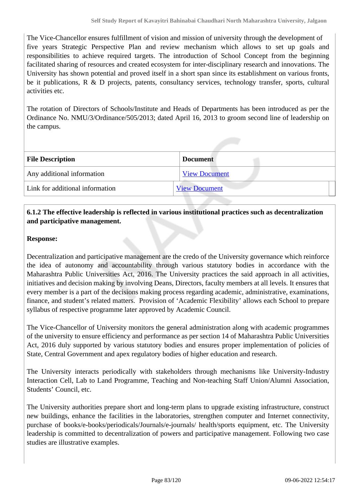The Vice-Chancellor ensures fulfillment of vision and mission of university through the development of five years Strategic Perspective Plan and review mechanism which allows to set up goals and responsibilities to achieve required targets. The introduction of School Concept from the beginning facilitated sharing of resources and created ecosystem for inter-disciplinary research and innovations. The University has shown potential and proved itself in a short span since its establishment on various fronts, be it publications, R & D projects, patents, consultancy services, technology transfer, sports, cultural activities etc.

The rotation of Directors of Schools/Institute and Heads of Departments has been introduced as per the Ordinance No. NMU/3/Ordinance/505/2013; dated April 16, 2013 to groom second line of leadership on the campus.

| <b>File Description</b>         | <b>Document</b>      |  |
|---------------------------------|----------------------|--|
| Any additional information      | <b>View Document</b> |  |
| Link for additional information | <b>View Document</b> |  |

## **6.1.2 The effective leadership is reflected in various institutional practices such as decentralization and participative management.**

#### **Response:**

Decentralization and participative management are the credo of the University governance which reinforce the idea of autonomy and accountability through various statutory bodies in accordance with the Maharashtra Public Universities Act, 2016. The University practices the said approach in all activities, initiatives and decision making by involving Deans, Directors, faculty members at all levels. It ensures that every member is a part of the decisions making process regarding academic, administrative, examinations, finance, and student's related matters. Provision of 'Academic Flexibility' allows each School to prepare syllabus of respective programme later approved by Academic Council.

The Vice-Chancellor of University monitors the general administration along with academic programmes of the university to ensure efficiency and performance as per section 14 of Maharashtra Public Universities Act, 2016 duly supported by various statutory bodies and ensures proper implementation of policies of State, Central Government and apex regulatory bodies of higher education and research.

The University interacts periodically with stakeholders through mechanisms like University-Industry Interaction Cell, Lab to Land Programme, Teaching and Non-teaching Staff Union/Alumni Association, Students' Council, etc.

The University authorities prepare short and long-term plans to upgrade existing infrastructure, construct new buildings, enhance the facilities in the laboratories, strengthen computer and Internet connectivity, purchase of books/e-books/periodicals/Journals/e-journals/ health/sports equipment, etc. The University leadership is committed to decentralization of powers and participative management. Following two case studies are illustrative examples.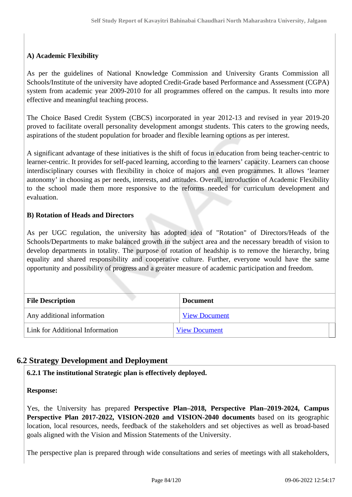### **A) Academic Flexibility**

As per the guidelines of National Knowledge Commission and University Grants Commission all Schools/Institute of the university have adopted Credit-Grade based Performance and Assessment (CGPA) system from academic year 2009-2010 for all programmes offered on the campus. It results into more effective and meaningful teaching process.

The Choice Based Credit System (CBCS) incorporated in year 2012-13 and revised in year 2019-20 proved to facilitate overall personality development amongst students. This caters to the growing needs, aspirations of the student population for broader and flexible learning options as per interest.

A significant advantage of these initiatives is the shift of focus in education from being teacher-centric to learner-centric. It provides for self-paced learning, according to the learners' capacity. Learners can choose interdisciplinary courses with flexibility in choice of majors and even programmes. It allows 'learner autonomy' in choosing as per needs, interests, and attitudes. Overall, introduction of Academic Flexibility to the school made them more responsive to the reforms needed for curriculum development and evaluation.

### **B) Rotation of Heads and Directors**

As per UGC regulation, the university has adopted idea of "Rotation" of Directors/Heads of the Schools/Departments to make balanced growth in the subject area and the necessary breadth of vision to develop departments in totality. The purpose of rotation of headship is to remove the hierarchy, bring equality and shared responsibility and cooperative culture. Further, everyone would have the same opportunity and possibility of progress and a greater measure of academic participation and freedom.

| <b>File Description</b>         | <b>Document</b>      |
|---------------------------------|----------------------|
| Any additional information      | <b>View Document</b> |
| Link for Additional Information | <b>View Document</b> |

# **6.2 Strategy Development and Deployment**

**6.2.1 The institutional Strategic plan is effectively deployed.**

#### **Response:**

Yes, the University has prepared **Perspective Plan–2018, Perspective Plan–2019-2024, Campus Perspective Plan 2017-2022, VISION-2020 and VISION-2040 documents** based on its geographic location, local resources, needs, feedback of the stakeholders and set objectives as well as broad-based goals aligned with the Vision and Mission Statements of the University.

The perspective plan is prepared through wide consultations and series of meetings with all stakeholders,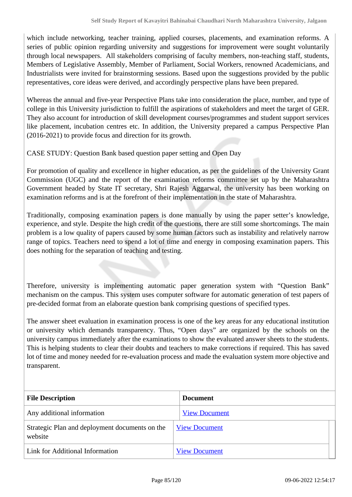which include networking, teacher training, applied courses, placements, and examination reforms. A series of public opinion regarding university and suggestions for improvement were sought voluntarily through local newspapers. All stakeholders comprising of faculty members, non-teaching staff, students, Members of Legislative Assembly, Member of Parliament, Social Workers, renowned Academicians, and Industrialists were invited for brainstorming sessions. Based upon the suggestions provided by the public representatives, core ideas were derived, and accordingly perspective plans have been prepared.

Whereas the annual and five-year Perspective Plans take into consideration the place, number, and type of college in this University jurisdiction to fulfill the aspirations of stakeholders and meet the target of GER. They also account for introduction of skill development courses/programmes and student support services like placement, incubation centres etc. In addition, the University prepared a campus Perspective Plan (2016-2021) to provide focus and direction for its growth.

CASE STUDY: Question Bank based question paper setting and Open Day

For promotion of quality and excellence in higher education, as per the guidelines of the University Grant Commission (UGC) and the report of the examination reforms committee set up by the Maharashtra Government headed by State IT secretary, Shri Rajesh Aggarwal, the university has been working on examination reforms and is at the forefront of their implementation in the state of Maharashtra.

Traditionally, composing examination papers is done manually by using the paper setter's knowledge, experience, and style. Despite the high credit of the questions, there are still some shortcomings. The main problem is a low quality of papers caused by some human factors such as instability and relatively narrow range of topics. Teachers need to spend a lot of time and energy in composing examination papers. This does nothing for the separation of teaching and testing.

Therefore, university is implementing automatic paper generation system with "Question Bank" mechanism on the campus. This system uses computer software for automatic generation of test papers of pre-decided format from an elaborate question bank comprising questions of specified types.

The answer sheet evaluation in examination process is one of the key areas for any educational institution or university which demands transparency. Thus, "Open days" are organized by the schools on the university campus immediately after the examinations to show the evaluated answer sheets to the students. This is helping students to clear their doubts and teachers to make corrections if required. This has saved lot of time and money needed for re-evaluation process and made the evaluation system more objective and transparent.

| <b>File Description</b>                                   | <b>Document</b>      |
|-----------------------------------------------------------|----------------------|
| Any additional information                                | <b>View Document</b> |
| Strategic Plan and deployment documents on the<br>website | <b>View Document</b> |
| Link for Additional Information                           | <b>View Document</b> |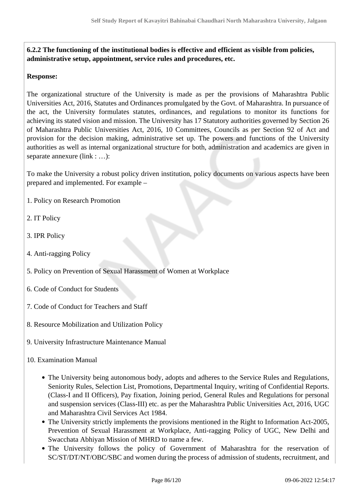**6.2.2 The functioning of the institutional bodies is effective and efficient as visible from policies, administrative setup, appointment, service rules and procedures, etc.**

#### **Response:**

The organizational structure of the University is made as per the provisions of Maharashtra Public Universities Act, 2016, Statutes and Ordinances promulgated by the Govt. of Maharashtra. In pursuance of the act, the University formulates statutes, ordinances, and regulations to monitor its functions for achieving its stated vision and mission. The University has 17 Statutory authorities governed by Section 26 of Maharashtra Public Universities Act, 2016, 10 Committees, Councils as per Section 92 of Act and provision for the decision making, administrative set up. The powers and functions of the University authorities as well as internal organizational structure for both, administration and academics are given in separate annexure (link : …):

To make the University a robust policy driven institution, policy documents on various aspects have been prepared and implemented. For example –

- 1. Policy on Research Promotion
- 2. IT Policy
- 3. IPR Policy
- 4. Anti-ragging Policy
- 5. Policy on Prevention of Sexual Harassment of Women at Workplace
- 6. Code of Conduct for Students
- 7. Code of Conduct for Teachers and Staff
- 8. Resource Mobilization and Utilization Policy
- 9. University Infrastructure Maintenance Manual
- 10. Examination Manual
	- The University being autonomous body, adopts and adheres to the Service Rules and Regulations, Seniority Rules, Selection List, Promotions, Departmental Inquiry, writing of Confidential Reports. (Class-I and II Officers), Pay fixation, Joining period, General Rules and Regulations for personal and suspension services (Class-III) etc. as per the Maharashtra Public Universities Act, 2016, UGC and Maharashtra Civil Services Act 1984.
	- The University strictly implements the provisions mentioned in the Right to Information Act-2005, Prevention of Sexual Harassment at Workplace, Anti-ragging Policy of UGC, New Delhi and Swacchata Abhiyan Mission of MHRD to name a few.
	- The University follows the policy of Government of Maharashtra for the reservation of SC/ST/DT/NT/OBC/SBC and women during the process of admission of students, recruitment, and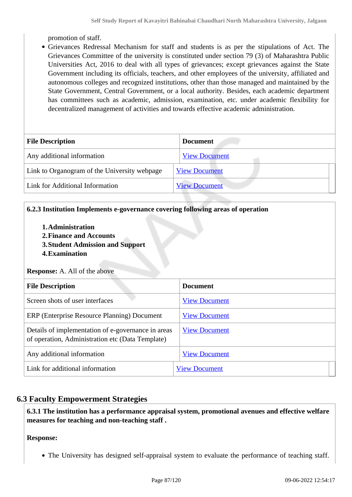promotion of staff.

Grievances Redressal Mechanism for staff and students is as per the stipulations of Act. The Grievances Committee of the university is constituted under section 79 (3) of Maharashtra Public Universities Act, 2016 to deal with all types of grievances; except grievances against the State Government including its officials, teachers, and other employees of the university, affiliated and autonomous colleges and recognized institutions, other than those managed and maintained by the State Government, Central Government, or a local authority. Besides, each academic department has committees such as academic, admission, examination, etc. under academic flexibility for decentralized management of activities and towards effective academic administration.

| <b>File Description</b>                      | <b>Document</b>      |
|----------------------------------------------|----------------------|
| Any additional information                   | <b>View Document</b> |
| Link to Organogram of the University webpage | <b>View Document</b> |
| Link for Additional Information              | <b>View Document</b> |

### **6.2.3 Institution Implements e-governance covering following areas of operation**

- **1.Administration**
- **2.Finance and Accounts**
- **3.Student Admission and Support**
- **4.Examination**

**Response:** A. All of the above

| <b>File Description</b>                                                                                | <b>Document</b>      |
|--------------------------------------------------------------------------------------------------------|----------------------|
| Screen shots of user interfaces                                                                        | <b>View Document</b> |
| ERP (Enterprise Resource Planning) Document                                                            | <b>View Document</b> |
| Details of implementation of e-governance in areas<br>of operation, Administration etc (Data Template) | <b>View Document</b> |
| Any additional information                                                                             | <b>View Document</b> |
| Link for additional information                                                                        | <b>View Document</b> |

### **6.3 Faculty Empowerment Strategies**

 **6.3.1 The institution has a performance appraisal system, promotional avenues and effective welfare measures for teaching and non-teaching staff .**

**Response:** 

The University has designed self-appraisal system to evaluate the performance of teaching staff.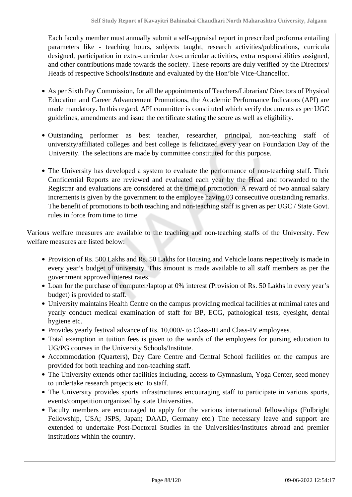Each faculty member must annually submit a self-appraisal report in prescribed proforma entailing parameters like - teaching hours, subjects taught, research activities/publications, curricula designed, participation in extra-curricular /co-curricular activities, extra responsibilities assigned, and other contributions made towards the society. These reports are duly verified by the Directors/ Heads of respective Schools/Institute and evaluated by the Hon'ble Vice-Chancellor.

- As per Sixth Pay Commission, for all the appointments of Teachers/Librarian/ Directors of Physical Education and Career Advancement Promotions, the Academic Performance Indicators (API) are made mandatory. In this regard, API committee is constituted which verify documents as per UGC guidelines, amendments and issue the certificate stating the score as well as eligibility.
- Outstanding performer as best teacher, researcher, principal, non-teaching staff of university/affiliated colleges and best college is felicitated every year on Foundation Day of the University. The selections are made by committee constituted for this purpose.
- The University has developed a system to evaluate the performance of non-teaching staff. Their Confidential Reports are reviewed and evaluated each year by the Head and forwarded to the Registrar and evaluations are considered at the time of promotion. A reward of two annual salary increments is given by the government to the employee having 03 consecutive outstanding remarks. The benefit of promotions to both teaching and non-teaching staff is given as per UGC / State Govt. rules in force from time to time.

Various welfare measures are available to the teaching and non-teaching staffs of the University. Few welfare measures are listed below:

- Provision of Rs. 500 Lakhs and Rs. 50 Lakhs for Housing and Vehicle loans respectively is made in every year's budget of university. This amount is made available to all staff members as per the government approved interest rates.
- Loan for the purchase of computer/laptop at 0% interest (Provision of Rs. 50 Lakhs in every year's budget) is provided to staff.
- University maintains Health Centre on the campus providing medical facilities at minimal rates and yearly conduct medical examination of staff for BP, ECG, pathological tests, eyesight, dental hygiene etc.
- Provides yearly festival advance of Rs. 10,000/- to Class-III and Class-IV employees.
- Total exemption in tuition fees is given to the wards of the employees for pursing education to UG/PG courses in the University Schools/Institute.
- Accommodation (Quarters), Day Care Centre and Central School facilities on the campus are provided for both teaching and non-teaching staff.
- The University extends other facilities including, access to Gymnasium, Yoga Center, seed money to undertake research projects etc. to staff.
- The University provides sports infrastructures encouraging staff to participate in various sports, events/competition organized by state Universities.
- Faculty members are encouraged to apply for the various international fellowships (Fulbright Fellowship, USA; JSPS, Japan; DAAD, Germany etc.) The necessary leave and support are extended to undertake Post-Doctoral Studies in the Universities/Institutes abroad and premier institutions within the country.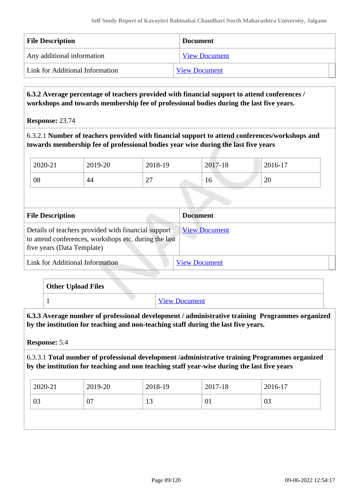| <b>File Description</b>         | <b>Document</b>      |
|---------------------------------|----------------------|
| Any additional information      | <b>View Document</b> |
| Link for Additional Information | <b>View Document</b> |

 **6.3.2 Average percentage of teachers provided with financial support to attend conferences / workshops and towards membership fee of professional bodies during the last five years.**

**Response:** 23.74

6.3.2.1 **Number of teachers provided with financial support to attend conferences/workshops and towards membership fee of professional bodies year wise during the last five years**

| 2020-21 | 2019-20 | 2018-19                            | 2017-18 | 2016-17 |
|---------|---------|------------------------------------|---------|---------|
| 08      | 44      | $\sim$<br>$\overline{\phantom{0}}$ | 10      | 20      |

| <b>File Description</b>                                                                                                                    | <b>Document</b>      |
|--------------------------------------------------------------------------------------------------------------------------------------------|----------------------|
| Details of teachers provided with financial support<br>to attend conferences, workshops etc. during the last<br>five years (Data Template) | <b>View Document</b> |
| Link for Additional Information                                                                                                            | <b>View Document</b> |

| Other Upload Files |                      |
|--------------------|----------------------|
|                    | <b>View Document</b> |

 **6.3.3 Average number of professional development / administrative training Programmes organized by the institution for teaching and non-teaching staff during the last five years.**

**Response:** 5.4

6.3.3.1 **Total number of professional development /administrative training Programmes organized by the institution for teaching and non teaching staff year-wise during the last five years**

| 2020-21 | 2019-20  | 2018-19       | 2017-18          | 2016-17 |
|---------|----------|---------------|------------------|---------|
| 03      | ∩−<br>v, | $\sim$<br>1 J | $\mathbf{0}_{1}$ | 03      |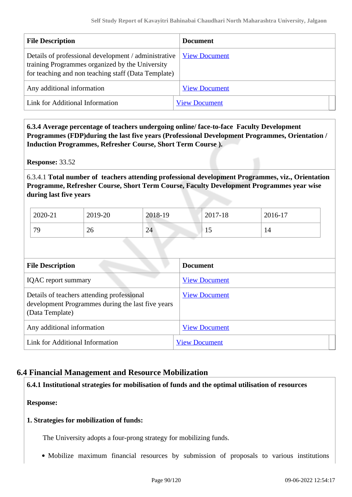| <b>File Description</b>                                                                                                                                        | <b>Document</b>      |
|----------------------------------------------------------------------------------------------------------------------------------------------------------------|----------------------|
| Details of professional development / administrative<br>training Programmes organized by the University<br>for teaching and non teaching staff (Data Template) | <b>View Document</b> |
| Any additional information                                                                                                                                     | <b>View Document</b> |
| Link for Additional Information                                                                                                                                | <b>View Document</b> |

 **6.3.4 Average percentage of teachers undergoing online/ face-to-face Faculty Development Programmes (FDP)during the last five years (Professional Development Programmes, Orientation / Induction Programmes, Refresher Course, Short Term Course ).**

**Response:** 33.52

6.3.4.1 **Total number of teachers attending professional development Programmes, viz., Orientation Programme, Refresher Course, Short Term Course, Faculty Development Programmes year wise during last five years**

| 2020-21 | 2019-20 | 2018-19 | 2017-18 | 2016-17 |
|---------|---------|---------|---------|---------|
| 79      | 26      | 24      | ⊥J      | 14      |

| <b>File Description</b>                                                                                            | <b>Document</b>      |
|--------------------------------------------------------------------------------------------------------------------|----------------------|
| <b>IQAC</b> report summary                                                                                         | <b>View Document</b> |
| Details of teachers attending professional<br>development Programmes during the last five years<br>(Data Template) | <b>View Document</b> |
| Any additional information                                                                                         | <b>View Document</b> |
| Link for Additional Information                                                                                    | <b>View Document</b> |

### **6.4 Financial Management and Resource Mobilization**

**6.4.1 Institutional strategies for mobilisation of funds and the optimal utilisation of resources**

**Response:** 

#### **1. Strategies for mobilization of funds:**

The University adopts a four-prong strategy for mobilizing funds.

Mobilize maximum financial resources by submission of proposals to various institutions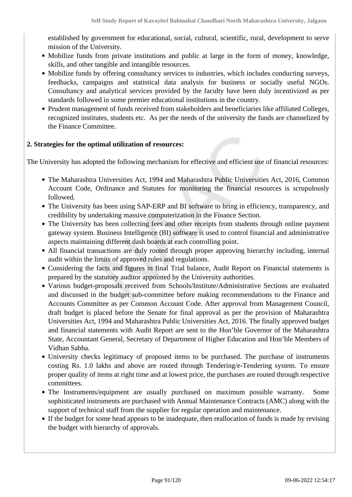established by government for educational, social, cultural, scientific, rural, development to serve mission of the University.

- Mobilize funds from private institutions and public at large in the form of money, knowledge, skills, and other tangible and intangible resources.
- Mobilize funds by offering consultancy services to industries, which includes conducting surveys, feedbacks, campaigns and statistical data analysis for business or socially useful NGOs. Consultancy and analytical services provided by the faculty have been duly incentivized as per standards followed in some premier educational institutions in the country.
- Prudent management of funds received from stakeholders and beneficiaries like affiliated Colleges, recognized institutes, students etc. As per the needs of the university the funds are channelized by the Finance Committee.

### **2. Strategies for the optimal utilization of resources:**

The University has adopted the following mechanism for effective and efficient use of financial resources:

- The Maharashtra Universities Act, 1994 and Maharashtra Public Universities Act, 2016, Common Account Code, Ordinance and Statutes for monitoring the financial resources is scrupulously followed.
- The University has been using SAP-ERP and BI software to bring in efficiency, transparency, and credibility by undertaking massive computerization in the Finance Section.
- The University has been collecting fees and other receipts from students through online payment gateway system. Business Intelligence (BI) software is used to control financial and administrative aspects maintaining different dash boards at each controlling point.
- All financial transactions are duly routed through proper approving hierarchy including, internal audit within the limits of approved rules and regulations.
- Considering the facts and figures in final Trial balance, Audit Report on Financial statements is prepared by the statutory auditor appointed by the University authorities.
- Various budget-proposals received from Schools/Institute/Administrative Sections are evaluated and discussed in the budget sub-committee before making recommendations to the Finance and Accounts Committee as per Common Account Code. After approval from Management Council, draft budget is placed before the Senate for final approval as per the provision of Maharashtra Universities Act, 1994 and Maharashtra Public Universities Act, 2016. The finally approved budget and financial statements with Audit Report are sent to the Hon'ble Governor of the Maharashtra State, Accountant General, Secretary of Department of Higher Education and Hon'ble Members of Vidhan Sabha.
- University checks legitimacy of proposed items to be purchased. The purchase of instruments costing Rs. 1.0 lakhs and above are routed through Tendering/e-Tendering system. To ensure proper quality of items at right time and at lowest price, the purchases are routed through respective committees.
- The Instruments/equipment are usually purchased on maximum possible warranty. Some sophisticated instruments are purchased with Annual Maintenance Contracts (AMC) along with the support of technical staff from the supplier for regular operation and maintenance.
- If the budget for some head appears to be inadequate, then reallocation of funds is made by revising the budget with hierarchy of approvals.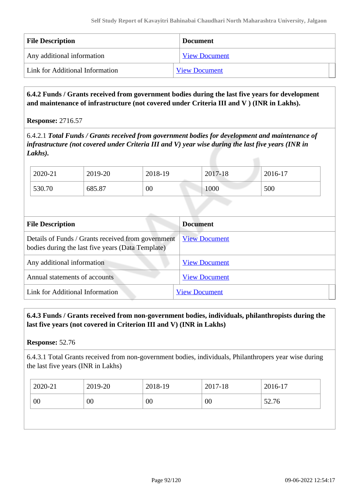| <b>File Description</b>         | <b>Document</b>      |
|---------------------------------|----------------------|
| Any additional information      | <b>View Document</b> |
| Link for Additional Information | <b>View Document</b> |

 **6.4.2 Funds / Grants received from government bodies during the last five years for development and maintenance of infrastructure (not covered under Criteria III and V ) (INR in Lakhs).**

#### **Response:** 2716.57

6.4.2.1 *Total Funds / Grants received from government bodies for development and maintenance of infrastructure (not covered under Criteria III and V) year wise during the last five years (INR in Lakhs).*

| 2020-21 | 2019-20 | 2018-19 | 2017-18 | 2016-17 |
|---------|---------|---------|---------|---------|
| 530.70  | 685.87  | 00      | 1000    | 500     |

| <b>File Description</b>                                                                                 | <b>Document</b>      |
|---------------------------------------------------------------------------------------------------------|----------------------|
| Details of Funds / Grants received from government<br>bodies during the last five years (Data Template) | <b>View Document</b> |
| Any additional information                                                                              | <b>View Document</b> |
| Annual statements of accounts                                                                           | <b>View Document</b> |
| Link for Additional Information                                                                         | <b>View Document</b> |

### **6.4.3 Funds / Grants received from non-government bodies, individuals, philanthropists during the last five years (not covered in Criterion III and V) (INR in Lakhs)**

#### **Response:** 52.76

6.4.3.1 Total Grants received from non-government bodies, individuals, Philanthropers year wise during the last five years (INR in Lakhs)

| 2020-21 | 2019-20 | 2018-19 | 2017-18 | 2016-17 |
|---------|---------|---------|---------|---------|
| 00      | 00      | 00      | 00      | 52.76   |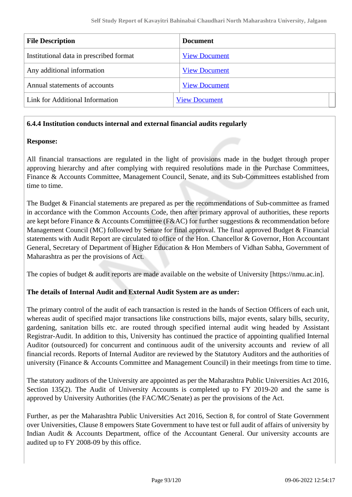| <b>File Description</b>                 | <b>Document</b>      |
|-----------------------------------------|----------------------|
| Institutional data in prescribed format | <b>View Document</b> |
| Any additional information              | <b>View Document</b> |
| Annual statements of accounts           | <b>View Document</b> |
| Link for Additional Information         | <b>View Document</b> |

#### **6.4.4 Institution conducts internal and external financial audits regularly**

#### **Response:**

All financial transactions are regulated in the light of provisions made in the budget through proper approving hierarchy and after complying with required resolutions made in the Purchase Committees, Finance & Accounts Committee, Management Council, Senate, and its Sub-Committees established from time to time.

The Budget & Financial statements are prepared as per the recommendations of Sub-committee as framed in accordance with the Common Accounts Code, then after primary approval of authorities, these reports are kept before Finance & Accounts Committee (F&AC) for further suggestions & recommendation before Management Council (MC) followed by Senate for final approval. The final approved Budget & Financial statements with Audit Report are circulated to office of the Hon. Chancellor & Governor, Hon Accountant General, Secretary of Department of Higher Education & Hon Members of Vidhan Sabha, Government of Maharashtra as per the provisions of Act.

The copies of budget & audit reports are made available on the website of University [https://nmu.ac.in].

#### **The details of Internal Audit and External Audit System are as under:**

The primary control of the audit of each transaction is rested in the hands of Section Officers of each unit, whereas audit of specified major transactions like constructions bills, major events, salary bills, security, gardening, sanitation bills etc. are routed through specified internal audit wing headed by Assistant Registrar-Audit. In addition to this, University has continued the practice of appointing qualified Internal Auditor (outsourced) for concurrent and continuous audit of the university accounts and review of all financial records. Reports of Internal Auditor are reviewed by the Statutory Auditors and the authorities of university (Finance & Accounts Committee and Management Council) in their meetings from time to time.

The statutory auditors of the University are appointed as per the Maharashtra Public Universities Act 2016, Section 135(2). The Audit of University Accounts is completed up to FY 2019-20 and the same is approved by University Authorities (the FAC/MC/Senate) as per the provisions of the Act.

Further, as per the Maharashtra Public Universities Act 2016, Section 8, for control of State Government over Universities, Clause 8 empowers State Government to have test or full audit of affairs of university by Indian Audit & Accounts Department, office of the Accountant General. Our university accounts are audited up to FY 2008-09 by this office.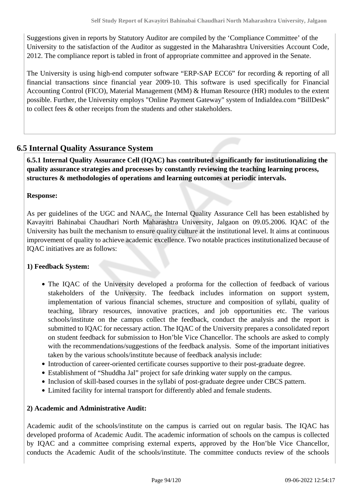Suggestions given in reports by Statutory Auditor are compiled by the 'Compliance Committee' of the University to the satisfaction of the Auditor as suggested in the Maharashtra Universities Account Code, 2012. The compliance report is tabled in front of appropriate committee and approved in the Senate.

The University is using high-end computer software "ERP-SAP ECC6" for recording & reporting of all financial transactions since financial year 2009-10. This software is used specifically for Financial Accounting Control (FICO), Material Management (MM) & Human Resource (HR) modules to the extent possible. Further, the University employs "Online Payment Gateway" system of IndiaIdea.com "BillDesk" to collect fees & other receipts from the students and other stakeholders.

## **6.5 Internal Quality Assurance System**

 **6.5.1 Internal Quality Assurance Cell (IQAC) has contributed significantly for institutionalizing the quality assurance strategies and processes by constantly reviewing the teaching learning process, structures & methodologies of operations and learning outcomes at periodic intervals.**

### **Response:**

As per guidelines of the UGC and NAAC, the Internal Quality Assurance Cell has been established by Kavayitri Bahinabai Chaudhari North Maharashtra University, Jalgaon on 09.05.2006. IQAC of the University has built the mechanism to ensure quality culture at the institutional level. It aims at continuous improvement of quality to achieve academic excellence. Two notable practices institutionalized because of IQAC initiatives are as follows:

#### **1) Feedback System:**

- The IQAC of the University developed a proforma for the collection of feedback of various stakeholders of the University. The feedback includes information on support system, implementation of various financial schemes, structure and composition of syllabi, quality of teaching, library resources, innovative practices, and job opportunities etc. The various schools/institute on the campus collect the feedback, conduct the analysis and the report is submitted to IQAC for necessary action. The IQAC of the University prepares a consolidated report on student feedback for submission to Hon'ble Vice Chancellor. The schools are asked to comply with the recommendations/suggestions of the feedback analysis. Some of the important initiatives taken by the various schools/institute because of feedback analysis include:
- Introduction of career-oriented certificate courses supportive to their post-graduate degree.
- Establishment of "Shuddha Jal" project for safe drinking water supply on the campus.
- Inclusion of skill-based courses in the syllabi of post-graduate degree under CBCS pattern.
- Limited facility for internal transport for differently abled and female students.

#### **2) Academic and Administrative Audit:**

Academic audit of the schools/institute on the campus is carried out on regular basis. The IQAC has developed proforma of Academic Audit. The academic information of schools on the campus is collected by IQAC and a committee comprising external experts, approved by the Hon'ble Vice Chancellor, conducts the Academic Audit of the schools/institute. The committee conducts review of the schools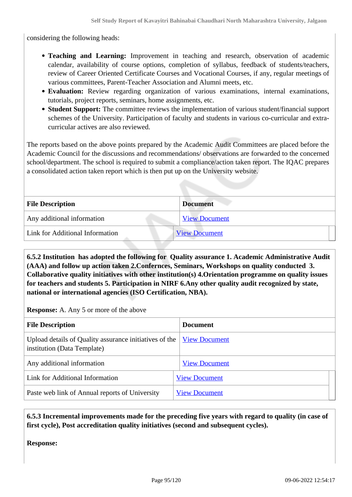considering the following heads:

- **Teaching and Learning:** Improvement in teaching and research, observation of academic calendar, availability of course options, completion of syllabus, feedback of students/teachers, review of Career Oriented Certificate Courses and Vocational Courses, if any, regular meetings of various committees, Parent-Teacher Association and Alumni meets, etc.
- **Evaluation:** Review regarding organization of various examinations, internal examinations, tutorials, project reports, seminars, home assignments, etc.
- **Student Support:** The committee reviews the implementation of various student/financial support schemes of the University. Participation of faculty and students in various co-curricular and extracurricular actives are also reviewed.

The reports based on the above points prepared by the Academic Audit Committees are placed before the Academic Council for the discussions and recommendations/ observations are forwarded to the concerned school/department. The school is required to submit a compliance/action taken report. The IQAC prepares a consolidated action taken report which is then put up on the University website.

| <b>File Description</b>         | <b>Document</b>      |
|---------------------------------|----------------------|
| Any additional information      | <b>View Document</b> |
| Link for Additional Information | <b>View Document</b> |

 **6.5.2 Institution has adopted the following for Quality assurance 1. Academic Administrative Audit (AAA) and follow up action taken 2.Confernces, Seminars, Workshops on quality conducted 3. Collaborative quality initiatives with other institution(s) 4.Orientation programme on quality issues for teachers and students 5. Participation in NIRF 6.Any other quality audit recognized by state, national or international agencies (ISO Certification, NBA).**

**Response:** A. Any 5 or more of the above

| <b>File Description</b>                                                               | <b>Document</b>      |
|---------------------------------------------------------------------------------------|----------------------|
| Upload details of Quality assurance initiatives of the<br>institution (Data Template) | <b>View Document</b> |
| Any additional information                                                            | <b>View Document</b> |
| Link for Additional Information                                                       | <b>View Document</b> |
| Paste web link of Annual reports of University                                        | <b>View Document</b> |

 **6.5.3 Incremental improvements made for the preceding five years with regard to quality (in case of first cycle), Post accreditation quality initiatives (second and subsequent cycles).**

**Response:**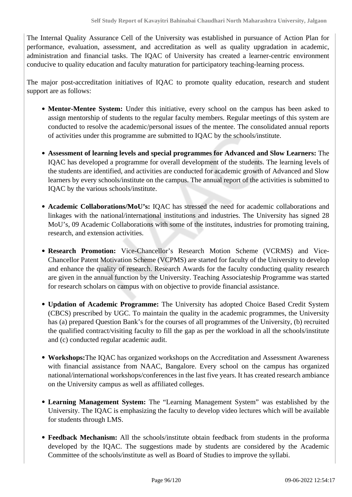The Internal Quality Assurance Cell of the University was established in pursuance of Action Plan for performance, evaluation, assessment, and accreditation as well as quality upgradation in academic, administration and financial tasks. The IQAC of University has created a learner-centric environment conducive to quality education and faculty maturation for participatory teaching-learning process.

The major post-accreditation initiatives of IQAC to promote quality education, research and student support are as follows:

- **Mentor-Mentee System:** Under this initiative, every school on the campus has been asked to assign mentorship of students to the regular faculty members. Regular meetings of this system are conducted to resolve the academic/personal issues of the mentee. The consolidated annual reports of activities under this programme are submitted to IQAC by the schools/institute.
- **Assessment of learning levels and special programmes for Advanced and Slow Learners:** The IQAC has developed a programme for overall development of the students. The learning levels of the students are identified, and activities are conducted for academic growth of Advanced and Slow learners by every schools/institute on the campus. The annual report of the activities is submitted to IQAC by the various schools/institute.
- **Academic Collaborations/MoU's:** IQAC has stressed the need for academic collaborations and linkages with the national/international institutions and industries. The University has signed 28 MoU's, 09 Academic Collaborations with some of the institutes, industries for promoting training, research, and extension activities.
- **Research Promotion:** Vice-Chancellor's Research Motion Scheme (VCRMS) and Vice-Chancellor Patent Motivation Scheme (VCPMS) are started for faculty of the University to develop and enhance the quality of research. Research Awards for the faculty conducting quality research are given in the annual function by the University. Teaching Associateship Programme was started for research scholars on campus with on objective to provide financial assistance.
- **Updation of Academic Programme:** The University has adopted Choice Based Credit System (CBCS) prescribed by UGC. To maintain the quality in the academic programmes, the University has (a) prepared Question Bank's for the courses of all programmes of the University, (b) recruited the qualified contract/visiting faculty to fill the gap as per the workload in all the schools/institute and (c) conducted regular academic audit.
- **Workshops:**The IQAC has organized workshops on the Accreditation and Assessment Awareness with financial assistance from NAAC, Bangalore. Every school on the campus has organized national/international workshops/conferences in the last five years. It has created research ambiance on the University campus as well as affiliated colleges.
- **Learning Management System:** The "Learning Management System" was established by the University. The IQAC is emphasizing the faculty to develop video lectures which will be available for students through LMS.
- **Feedback Mechanism:** All the schools/institute obtain feedback from students in the proforma developed by the IQAC. The suggestions made by students are considered by the Academic Committee of the schools/institute as well as Board of Studies to improve the syllabi.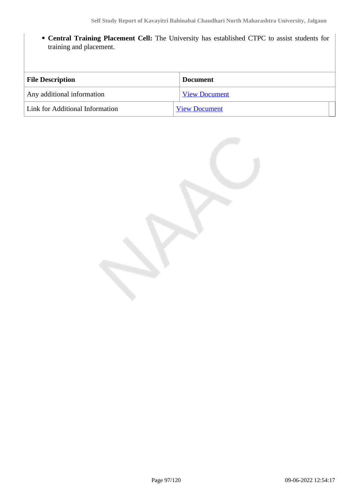**Central Training Placement Cell:** The University has established CTPC to assist students for training and placement.

| <b>File Description</b>         | <b>Document</b>      |
|---------------------------------|----------------------|
| Any additional information      | <b>View Document</b> |
| Link for Additional Information | <b>View Document</b> |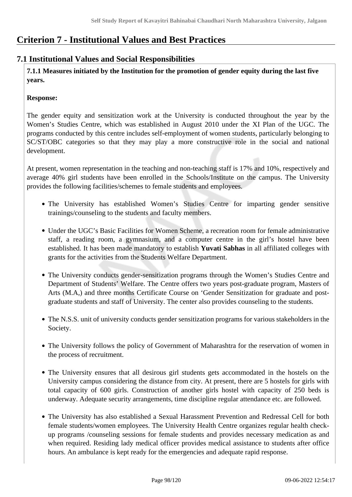# **Criterion 7 - Institutional Values and Best Practices**

# **7.1 Institutional Values and Social Responsibilities**

 **7.1.1 Measures initiated by the Institution for the promotion of gender equity during the last five years.**

### **Response:**

The gender equity and sensitization work at the University is conducted throughout the year by the Women's Studies Centre, which was established in August 2010 under the XI Plan of the UGC. The programs conducted by this centre includes self-employment of women students, particularly belonging to SC/ST/OBC categories so that they may play a more constructive role in the social and national development.

At present, women representation in the teaching and non-teaching staff is 17% and 10%, respectively and average 40% girl students have been enrolled in the Schools/Institute on the campus. The University provides the following facilities/schemes to female students and employees.

- The University has established Women's Studies Centre for imparting gender sensitive trainings/counseling to the students and faculty members.
- Under the UGC's Basic Facilities for Women Scheme, a recreation room for female administrative staff, a reading room, a gymnasium, and a computer centre in the girl's hostel have been established. It has been made mandatory to establish **Yuvati Sabhas** in all affiliated colleges with grants for the activities from the Students Welfare Department.
- The University conducts gender-sensitization programs through the Women's Studies Centre and Department of Students' Welfare. The Centre offers two years post-graduate program, Masters of Arts (M.A,) and three months Certificate Course on 'Gender Sensitization for graduate and postgraduate students and staff of University. The center also provides counseling to the students.
- The N.S.S. unit of university conducts gender sensitization programs for various stakeholders in the Society.
- The University follows the policy of Government of Maharashtra for the reservation of women in the process of recruitment.
- The University ensures that all desirous girl students gets accommodated in the hostels on the University campus considering the distance from city. At present, there are 5 hostels for girls with total capacity of 600 girls. Construction of another girls hostel with capacity of 250 beds is underway. Adequate security arrangements, time discipline regular attendance etc. are followed.
- The University has also established a Sexual Harassment Prevention and Redressal Cell for both female students/women employees. The University Health Centre organizes regular health checkup programs /counseling sessions for female students and provides necessary medication as and when required. Residing lady medical officer provides medical assistance to students after office hours. An ambulance is kept ready for the emergencies and adequate rapid response.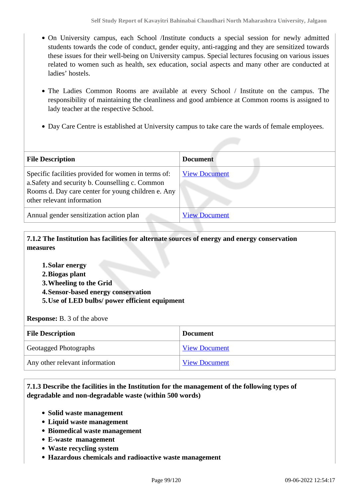- On University campus, each School /Institute conducts a special session for newly admitted students towards the code of conduct, gender equity, anti-ragging and they are sensitized towards these issues for their well-being on University campus. Special lectures focusing on various issues related to women such as health, sex education, social aspects and many other are conducted at ladies' hostels.
- The Ladies Common Rooms are available at every School / Institute on the campus. The responsibility of maintaining the cleanliness and good ambience at Common rooms is assigned to lady teacher at the respective School.
- Day Care Centre is established at University campus to take care the wards of female employees.

| <b>File Description</b>                                                                                                                                                                    | <b>Document</b>      |
|--------------------------------------------------------------------------------------------------------------------------------------------------------------------------------------------|----------------------|
| Specific facilities provided for women in terms of:<br>a. Safety and security b. Counselling c. Common<br>Rooms d. Day care center for young children e. Any<br>other relevant information | <b>View Document</b> |
| Annual gender sensitization action plan                                                                                                                                                    | <b>View Document</b> |

 **7.1.2 The Institution has facilities for alternate sources of energy and energy conservation measures** 

- **1.Solar energy**
- **2.Biogas plant**
- **3.Wheeling to the Grid**
- **4.Sensor-based energy conservation**
- **5.Use of LED bulbs/ power efficient equipment**

**Response:** B. 3 of the above

| <b>File Description</b>        | <b>Document</b>      |
|--------------------------------|----------------------|
| Geotagged Photographs          | <b>View Document</b> |
| Any other relevant information | <b>View Document</b> |

 **7.1.3 Describe the facilities in the Institution for the management of the following types of degradable and non-degradable waste (within 500 words)**

- **Solid waste management**
- **Liquid waste management**
- **Biomedical waste management**
- **E-waste management**
- **Waste recycling system**
- **Hazardous chemicals and radioactive waste management**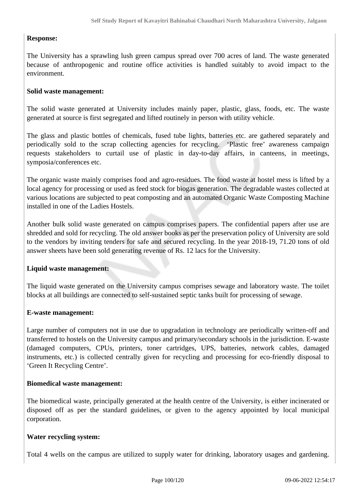#### **Response:**

The University has a sprawling lush green campus spread over 700 acres of land. The waste generated because of anthropogenic and routine office activities is handled suitably to avoid impact to the environment.

#### **Solid waste management:**

The solid waste generated at University includes mainly paper, plastic, glass, foods, etc. The waste generated at source is first segregated and lifted routinely in person with utility vehicle.

The glass and plastic bottles of chemicals, fused tube lights, batteries etc. are gathered separately and periodically sold to the scrap collecting agencies for recycling. 'Plastic free' awareness campaign requests stakeholders to curtail use of plastic in day-to-day affairs, in canteens, in meetings, symposia/conferences etc.

The organic waste mainly comprises food and agro-residues. The food waste at hostel mess is lifted by a local agency for processing or used as feed stock for biogas generation. The degradable wastes collected at various locations are subjected to peat composting and an automated Organic Waste Composting Machine installed in one of the Ladies Hostels.

Another bulk solid waste generated on campus comprises papers. The confidential papers after use are shredded and sold for recycling. The old answer books as per the preservation policy of University are sold to the vendors by inviting tenders for safe and secured recycling. In the year 2018-19, 71.20 tons of old answer sheets have been sold generating revenue of Rs. 12 lacs for the University.

#### **Liquid waste management:**

The liquid waste generated on the University campus comprises sewage and laboratory waste. The toilet blocks at all buildings are connected to self-sustained septic tanks built for processing of sewage.

#### **E-waste management:**

Large number of computers not in use due to upgradation in technology are periodically written-off and transferred to hostels on the University campus and primary/secondary schools in the jurisdiction. E-waste (damaged computers, CPUs, printers, toner cartridges, UPS, batteries, network cables, damaged instruments, etc.) is collected centrally given for recycling and processing for eco-friendly disposal to 'Green It Recycling Centre'.

#### **Biomedical waste management:**

The biomedical waste, principally generated at the health centre of the University, is either incinerated or disposed off as per the standard guidelines, or given to the agency appointed by local municipal corporation.

#### **Water recycling system:**

Total 4 wells on the campus are utilized to supply water for drinking, laboratory usages and gardening.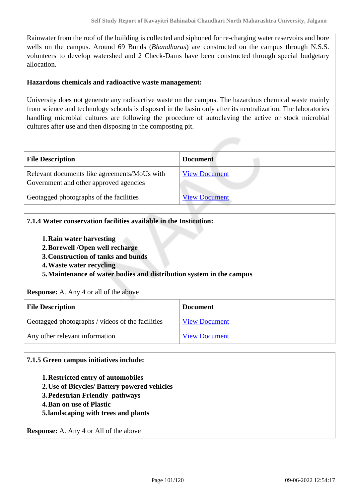Rainwater from the roof of the building is collected and siphoned for re-charging water reservoirs and bore wells on the campus. Around 69 Bunds (*Bhandharas*) are constructed on the campus through N.S.S. volunteers to develop watershed and 2 Check-Dams have been constructed through special budgetary allocation.

#### **Hazardous chemicals and radioactive waste management:**

University does not generate any radioactive waste on the campus. The hazardous chemical waste mainly from science and technology schools is disposed in the basin only after its neutralization. The laboratories handling microbial cultures are following the procedure of autoclaving the active or stock microbial cultures after use and then disposing in the composting pit.

| <b>File Description</b>                                                                | <b>Document</b>      |  |
|----------------------------------------------------------------------------------------|----------------------|--|
| Relevant documents like agreements/MoUs with<br>Government and other approved agencies | <b>View Document</b> |  |
| Geotagged photographs of the facilities                                                | <b>View Document</b> |  |

#### **7.1.4 Water conservation facilities available in the Institution:**

- **1.Rain water harvesting**
- **2.Borewell /Open well recharge**
- **3.Construction of tanks and bunds**
- **4.Waste water recycling**

**5.Maintenance of water bodies and distribution system in the campus**

#### **Response:** A. Any 4 or all of the above

| <b>File Description</b>                          | <b>Document</b>      |
|--------------------------------------------------|----------------------|
| Geotagged photographs / videos of the facilities | <b>View Document</b> |
| Any other relevant information                   | <b>View Document</b> |

#### **7.1.5 Green campus initiatives include:**

- **1.Restricted entry of automobiles**
- **2.Use of Bicycles/ Battery powered vehicles**
- **3.Pedestrian Friendly pathways**
- **4.Ban on use of Plastic**
- **5.landscaping with trees and plants**

**Response:** A. Any 4 or All of the above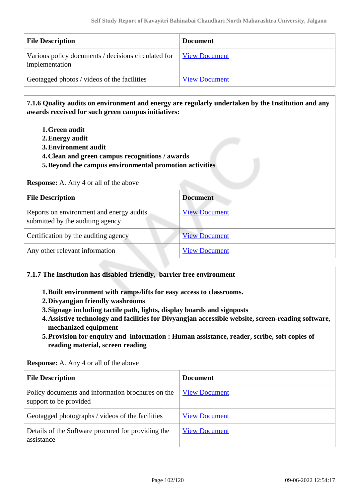| <b>File Description</b>                                               | <b>Document</b>      |
|-----------------------------------------------------------------------|----------------------|
| Various policy documents / decisions circulated for<br>implementation | View Document        |
| Geotagged photos / videos of the facilities                           | <b>View Document</b> |

 **7.1.6 Quality audits on environment and energy are regularly undertaken by the Institution and any awards received for such green campus initiatives:**

- **1.Green audit**
- **2.Energy audit**
- **3.Environment audit**
- **4.Clean and green campus recognitions / awards**
- **5.Beyond the campus environmental promotion activities**

**Response:** A. Any 4 or all of the above

| <b>File Description</b>                                                      | <b>Document</b>      |
|------------------------------------------------------------------------------|----------------------|
| Reports on environment and energy audits<br>submitted by the auditing agency | <b>View Document</b> |
| Certification by the auditing agency                                         | <b>View Document</b> |
| Any other relevant information                                               | <b>View Document</b> |

#### **7.1.7 The Institution has disabled-friendly, barrier free environment**

**1.Built environment with ramps/lifts for easy access to classrooms.**

- **2.Divyangjan friendly washrooms**
- **3.Signage including tactile path, lights, display boards and signposts**
- **4.Assistive technology and facilities for Divyangjan accessible website, screen-reading software, mechanized equipment**
- **5.Provision for enquiry and information : Human assistance, reader, scribe, soft copies of reading material, screen reading**

**Response:** A. Any 4 or all of the above

| <b>File Description</b>                                                     | <b>Document</b>      |
|-----------------------------------------------------------------------------|----------------------|
| Policy documents and information brochures on the<br>support to be provided | <b>View Document</b> |
| Geotagged photographs / videos of the facilities                            | <b>View Document</b> |
| Details of the Software procured for providing the<br>assistance            | <b>View Document</b> |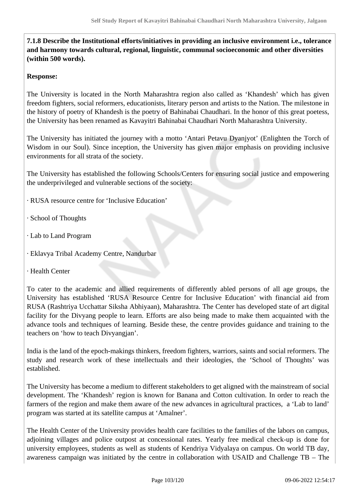**7.1.8 Describe the Institutional efforts/initiatives in providing an inclusive environment i.e., tolerance and harmony towards cultural, regional, linguistic, communal socioeconomic and other diversities (within 500 words).**

#### **Response:**

The University is located in the North Maharashtra region also called as 'Khandesh' which has given freedom fighters, social reformers, educationists, literary person and artists to the Nation. The milestone in the history of poetry of Khandesh is the poetry of Bahinabai Chaudhari. In the honor of this great poetess, the University has been renamed as Kavayitri Bahinabai Chaudhari North Maharashtra University.

The University has initiated the journey with a motto 'Antari Petavu Dyanjyot' (Enlighten the Torch of Wisdom in our Soul). Since inception, the University has given major emphasis on providing inclusive environments for all strata of the society.

The University has established the following Schools/Centers for ensuring social justice and empowering the underprivileged and vulnerable sections of the society:

- · RUSA resource centre for 'Inclusive Education'
- · School of Thoughts
- · Lab to Land Program
- · Eklavya Tribal Academy Centre, Nandurbar
- · Health Center

To cater to the academic and allied requirements of differently abled persons of all age groups, the University has established 'RUSA Resource Centre for Inclusive Education' with financial aid from RUSA (Rashtriya Ucchattar Siksha Abhiyaan), Maharashtra. The Center has developed state of art digital facility for the Divyang people to learn. Efforts are also being made to make them acquainted with the advance tools and techniques of learning. Beside these, the centre provides guidance and training to the teachers on 'how to teach Divyangjan'.

India is the land of the epoch-makings thinkers, freedom fighters, warriors, saints and social reformers. The study and research work of these intellectuals and their ideologies, the 'School of Thoughts' was established.

The University has become a medium to different stakeholders to get aligned with the mainstream of social development. The 'Khandesh' region is known for Banana and Cotton cultivation. In order to reach the farmers of the region and make them aware of the new advances in agricultural practices, a 'Lab to land' program was started at its satellite campus at 'Amalner'.

The Health Center of the University provides health care facilities to the families of the labors on campus, adjoining villages and police outpost at concessional rates. Yearly free medical check-up is done for university employees, students as well as students of Kendriya Vidyalaya on campus. On world TB day, awareness campaign was initiated by the centre in collaboration with USAID and Challenge TB – The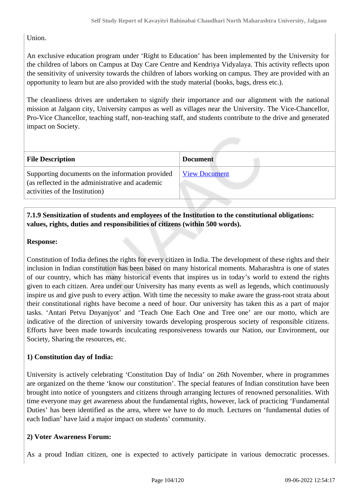## Union.

An exclusive education program under 'Right to Education' has been implemented by the University for the children of labors on Campus at Day Care Centre and Kendriya Vidyalaya. This activity reflects upon the sensitivity of university towards the children of labors working on campus. They are provided with an opportunity to learn but are also provided with the study material (books, bags, dress etc.).

The cleanliness drives are undertaken to signify their importance and our alignment with the national mission at Jalgaon city, University campus as well as villages near the University. The Vice-Chancellor, Pro-Vice Chancellor, teaching staff, non-teaching staff, and students contribute to the drive and generated impact on Society.

| <b>File Description</b>                                                                                                                | <b>Document</b>      |
|----------------------------------------------------------------------------------------------------------------------------------------|----------------------|
| Supporting documents on the information provided<br>(as reflected in the administrative and academic<br>activities of the Institution) | <b>View Document</b> |

### **7.1.9 Sensitization of students and employees of the Institution to the constitutional obligations: values, rights, duties and responsibilities of citizens (within 500 words).**

#### **Response:**

Constitution of India defines the rights for every citizen in India. The development of these rights and their inclusion in Indian constitution has been based on many historical moments. Maharashtra is one of states of our country, which has many historical events that inspires us in today's world to extend the rights given to each citizen. Area under our University has many events as well as legends, which continuously inspire us and give push to every action. With time the necessity to make aware the grass-root strata about their constitutional rights have become a need of hour. Our university has taken this as a part of major tasks. 'Antari Petvu Dnyanjyot' and 'Teach One Each One and Tree one' are our motto, which are indicative of the direction of university towards developing prosperous society of responsible citizens. Efforts have been made towards inculcating responsiveness towards our Nation, our Environment, our Society, Sharing the resources, etc.

#### **1) Constitution day of India:**

University is actively celebrating 'Constitution Day of India' on 26th November, where in programmes are organized on the theme 'know our constitution'. The special features of Indian constitution have been brought into notice of youngsters and citizens through arranging lectures of renowned personalities. With time everyone may get awareness about the fundamental rights, however, lack of practicing 'Fundamental Duties' has been identified as the area, where we have to do much. Lectures on 'fundamental duties of each Indian' have laid a major impact on students' community.

#### **2) Voter Awareness Forum:**

As a proud Indian citizen, one is expected to actively participate in various democratic processes.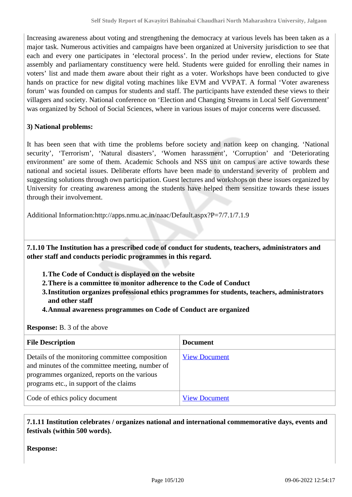Increasing awareness about voting and strengthening the democracy at various levels has been taken as a major task. Numerous activities and campaigns have been organized at University jurisdiction to see that each and every one participates in 'electoral process'. In the period under review, elections for State assembly and parliamentary constituency were held. Students were guided for enrolling their names in voters' list and made them aware about their right as a voter. Workshops have been conducted to give hands on practice for new digital voting machines like EVM and VVPAT. A formal 'Voter awareness forum' was founded on campus for students and staff. The participants have extended these views to their villagers and society. National conference on 'Election and Changing Streams in Local Self Government' was organized by School of Social Sciences, where in various issues of major concerns were discussed.

### **3) National problems:**

It has been seen that with time the problems before society and nation keep on changing. 'National security', 'Terrorism', 'Natural disasters', 'Women harassment', 'Corruption' and 'Deteriorating environment' are some of them. Academic Schools and NSS unit on campus are active towards these national and societal issues. Deliberate efforts have been made to understand severity of problem and suggesting solutions through own participation. Guest lectures and workshops on these issues organized by University for creating awareness among the students have helped them sensitize towards these issues through their involvement.

Additional Information:http://apps.nmu.ac.in/naac/Default.aspx?P=7/7.1/7.1.9

 **7.1.10 The Institution has a prescribed code of conduct for students, teachers, administrators and other staff and conducts periodic programmes in this regard.** 

- **1.The Code of Conduct is displayed on the website**
- **2.There is a committee to monitor adherence to the Code of Conduct**
- **3.Institution organizes professional ethics programmes for students, teachers, administrators and other staff**
- **4.Annual awareness programmes on Code of Conduct are organized**

| <b>Response:</b> B. 3 of the above |  |  |  |  |  |
|------------------------------------|--|--|--|--|--|
|------------------------------------|--|--|--|--|--|

| <b>File Description</b>                                                                                                                                                                       | <b>Document</b>      |
|-----------------------------------------------------------------------------------------------------------------------------------------------------------------------------------------------|----------------------|
| Details of the monitoring committee composition<br>and minutes of the committee meeting, number of<br>programmes organized, reports on the various<br>programs etc., in support of the claims | <b>View Document</b> |
| Code of ethics policy document                                                                                                                                                                | <b>View Document</b> |

### **7.1.11 Institution celebrates / organizes national and international commemorative days, events and festivals (within 500 words).**

**Response:**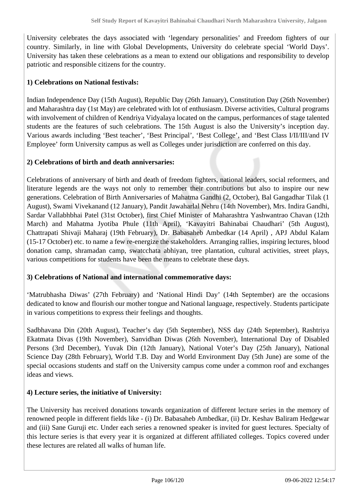University celebrates the days associated with 'legendary personalities' and Freedom fighters of our country. Similarly, in line with Global Developments, University do celebrate special 'World Days'. University has taken these celebrations as a mean to extend our obligations and responsibility to develop patriotic and responsible citizens for the country.

### **1) Celebrations on National festivals:**

Indian Independence Day (15th August), Republic Day (26th January), Constitution Day (26th November) and Maharashtra day (1st May) are celebrated with lot of enthusiasm. Diverse activities, Cultural programs with involvement of children of Kendriya Vidyalaya located on the campus, performances of stage talented students are the features of such celebrations. The 15th August is also the University's inception day. Various awards including 'Best teacher', 'Best Principal', 'Best College', and 'Best Class I/II/III/and IV Employee' form University campus as well as Colleges under jurisdiction are conferred on this day.

#### **2) Celebrations of birth and death anniversaries:**

Celebrations of anniversary of birth and death of freedom fighters, national leaders, social reformers, and literature legends are the ways not only to remember their contributions but also to inspire our new generations. Celebration of Birth Anniversaries of Mahatma Gandhi (2, October), Bal Gangadhar Tilak (1 August), Swami Vivekanand (12 January), Pandit Jawaharlal Nehru (14th November), Mrs. Indira Gandhi, Sardar Vallabhbhai Patel (31st October), first Chief Minister of Maharashtra Yashwantrao Chavan (12th March) and Mahatma Jyotiba Phule (11th April), 'Kavayitri Bahinabai Chaudhari' (5th August), Chattrapati Shivaji Maharaj (19th February), Dr. Babasaheb Ambedkar (14 April) , APJ Abdul Kalam (15-17 October) etc. to name a few re-energize the stakeholders. Arranging rallies, inspiring lectures, blood donation camp, shramadan camp, swatcchata abhiyan, tree plantation, cultural activities, street plays, various competitions for students have been the means to celebrate these days.

#### **3) Celebrations of National and international commemorative days:**

'Matrubhasha Diwas' (27th February) and 'National Hindi Day' (14th September) are the occasions dedicated to know and flourish our mother tongue and National language, respectively. Students participate in various competitions to express their feelings and thoughts.

Sadbhavana Din (20th August), Teacher's day (5th September), NSS day (24th September), Rashtriya Ekatmata Divas (19th November), Sanvidhan Diwas (26th November), International Day of Disabled Persons (3rd December), Yuvak Din (12th January), National Voter's Day (25th January), National Science Day (28th February), World T.B. Day and World Environment Day (5th June) are some of the special occasions students and staff on the University campus come under a common roof and exchanges ideas and views.

#### **4) Lecture series, the initiative of University:**

The University has received donations towards organization of different lecture series in the memory of renowned people in different fields like - (i) Dr. Babasaheb Ambedkar, (ii) Dr. Keshav Baliram Hedgewar and (iii) Sane Guruji etc. Under each series a renowned speaker is invited for guest lectures. Specialty of this lecture series is that every year it is organized at different affiliated colleges. Topics covered under these lectures are related all walks of human life.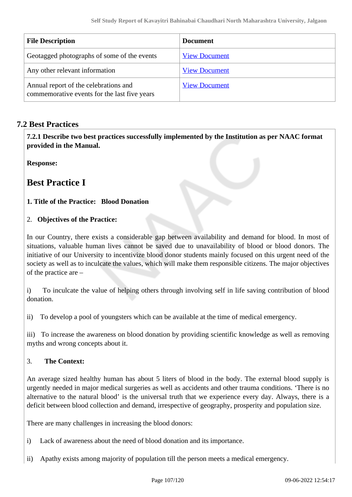| <b>File Description</b>                                                               | <b>Document</b>      |
|---------------------------------------------------------------------------------------|----------------------|
| Geotagged photographs of some of the events                                           | <b>View Document</b> |
| Any other relevant information                                                        | <b>View Document</b> |
| Annual report of the celebrations and<br>commemorative events for the last five years | <b>View Document</b> |

# **7.2 Best Practices**

 **7.2.1 Describe two best practices successfully implemented by the Institution as per NAAC format provided in the Manual.**

**Response:** 

# **Best Practice I**

**1. Title of the Practice: Blood Donation** 

### 2. **Objectives of the Practice:**

In our Country, there exists a considerable gap between availability and demand for blood. In most of situations, valuable human lives cannot be saved due to unavailability of blood or blood donors. The initiative of our University to incentivize blood donor students mainly focused on this urgent need of the society as well as to inculcate the values, which will make them responsible citizens. The major objectives of the practice are –

i) To inculcate the value of helping others through involving self in life saving contribution of blood donation.

ii) To develop a pool of youngsters which can be available at the time of medical emergency.

iii) To increase the awareness on blood donation by providing scientific knowledge as well as removing myths and wrong concepts about it.

### 3. **The Context:**

An average sized healthy human has about 5 liters of blood in the body. The external blood supply is urgently needed in major medical surgeries as well as accidents and other trauma conditions. 'There is no alternative to the natural blood' is the universal truth that we experience every day. Always, there is a deficit between blood collection and demand, irrespective of geography, prosperity and population size.

There are many challenges in increasing the blood donors:

- i) Lack of awareness about the need of blood donation and its importance.
- ii) Apathy exists among majority of population till the person meets a medical emergency.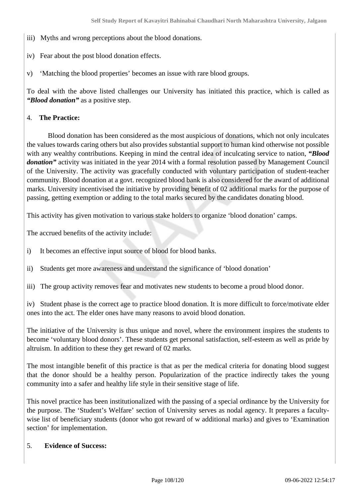- iii) Myths and wrong perceptions about the blood donations.
- iv) Fear about the post blood donation effects.
- v) 'Matching the blood properties' becomes an issue with rare blood groups.

To deal with the above listed challenges our University has initiated this practice, which is called as *"Blood donation"* as a positive step.

#### 4. **The Practice:**

 Blood donation has been considered as the most auspicious of donations, which not only inculcates the values towards caring others but also provides substantial support to human kind otherwise not possible with any wealthy contributions. Keeping in mind the central idea of inculcating service to nation, *"Blood donation*" activity was initiated in the year 2014 with a formal resolution passed by Management Council of the University. The activity was gracefully conducted with voluntary participation of student-teacher community. Blood donation at a govt. recognized blood bank is also considered for the award of additional marks. University incentivised the initiative by providing benefit of 02 additional marks for the purpose of passing, getting exemption or adding to the total marks secured by the candidates donating blood.

This activity has given motivation to various stake holders to organize 'blood donation' camps.

The accrued benefits of the activity include:

- i) It becomes an effective input source of blood for blood banks.
- ii) Students get more awareness and understand the significance of 'blood donation'
- iii) The group activity removes fear and motivates new students to become a proud blood donor.

iv) Student phase is the correct age to practice blood donation. It is more difficult to force/motivate elder ones into the act. The elder ones have many reasons to avoid blood donation.

The initiative of the University is thus unique and novel, where the environment inspires the students to become 'voluntary blood donors'. These students get personal satisfaction, self-esteem as well as pride by altruism. In addition to these they get reward of 02 marks.

The most intangible benefit of this practice is that as per the medical criteria for donating blood suggest that the donor should be a healthy person. Popularization of the practice indirectly takes the young community into a safer and healthy life style in their sensitive stage of life.

This novel practice has been institutionalized with the passing of a special ordinance by the University for the purpose. The 'Student's Welfare' section of University serves as nodal agency. It prepares a facultywise list of beneficiary students (donor who got reward of w additional marks) and gives to 'Examination section' for implementation.

#### 5. **Evidence of Success:**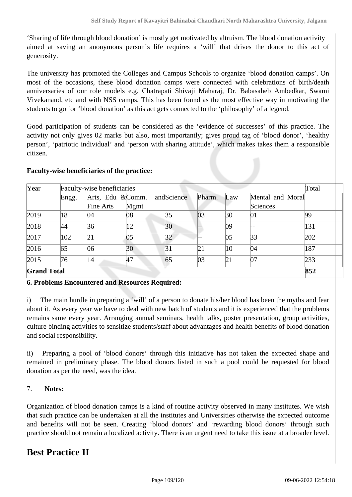'Sharing of life through blood donation' is mostly get motivated by altruism. The blood donation activity aimed at saving an anonymous person's life requires a 'will' that drives the donor to this act of generosity.

The university has promoted the Colleges and Campus Schools to organize 'blood donation camps'. On most of the occasions, these blood donation camps were connected with celebrations of birth/death anniversaries of our role models e.g. Chatrapati Shivaji Maharaj, Dr. Babasaheb Ambedkar, Swami Vivekanand, etc and with NSS camps. This has been found as the most effective way in motivating the students to go for 'blood donation' as this act gets connected to the 'philosophy' of a legend.

Good participation of students can be considered as the 'evidence of successes' of this practice. The activity not only gives 02 marks but also, most importantly; gives proud tag of 'blood donor', 'healthy person', 'patriotic individual' and 'person with sharing attitude', which makes takes them a responsible citizen.

#### **Faculty-wise beneficiaries of the practice:**

| Year               |       | Faculty-wise beneficiaries |      |                 |        |     |                  | Total |
|--------------------|-------|----------------------------|------|-----------------|--------|-----|------------------|-------|
|                    | Engg. | Arts, Edu &Comm.           |      | andScience      | Pharm. | Law | Mental and Moral |       |
|                    |       | Fine Arts                  | Mgmt |                 |        |     | Sciences         |       |
| 2019               | 18    | 04                         | 08   | 35              | 03     | 30  | 01               | 99    |
| 2018               | 44    | 36                         | 12   | 30              |        | 09  |                  | 131   |
| 2017               | 102   | 21                         | 05   | 32              |        | 05  | 33               | 202   |
| 2016               | 65    | 06                         | 30   | $\overline{31}$ | 21     | 10  | 04               | 187   |
| 2015               | 76    | 14                         | 47   | 65              | 03     | 21  | 07               | 233   |
| <b>Grand Total</b> |       |                            |      |                 |        |     |                  | 852   |

#### **6. Problems Encountered and Resources Required:**

i) The main hurdle in preparing a 'will' of a person to donate his/her blood has been the myths and fear about it. As every year we have to deal with new batch of students and it is experienced that the problems remains same every year. Arranging annual seminars, health talks, poster presentation, group activities, culture binding activities to sensitize students/staff about advantages and health benefits of blood donation and social responsibility.

ii) Preparing a pool of 'blood donors' through this initiative has not taken the expected shape and remained in preliminary phase. The blood donors listed in such a pool could be requested for blood donation as per the need, was the idea.

#### 7. **Notes:**

Organization of blood donation camps is a kind of routine activity observed in many institutes. We wish that such practice can be undertaken at all the institutes and Universities otherwise the expected outcome and benefits will not be seen. Creating 'blood donors' and 'rewarding blood donors' through such practice should not remain a localized activity. There is an urgent need to take this issue at a broader level.

# **Best Practice II**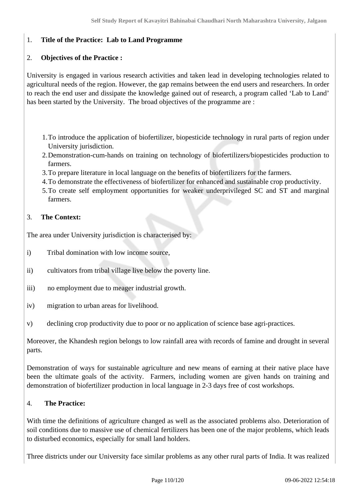# 1. **Title of the Practice: Lab to Land Programme**

### 2. **Objectives of the Practice :**

University is engaged in various research activities and taken lead in developing technologies related to agricultural needs of the region. However, the gap remains between the end users and researchers. In order to reach the end user and dissipate the knowledge gained out of research, a program called 'Lab to Land' has been started by the University. The broad objectives of the programme are :

- 1.To introduce the application of biofertilizer, biopesticide technology in rural parts of region under University jurisdiction.
- 2.Demonstration-cum-hands on training on technology of biofertilizers/biopesticides production to farmers.
- 3.To prepare literature in local language on the benefits of biofertilizers for the farmers.
- 4.To demonstrate the effectiveness of biofertilizer for enhanced and sustainable crop productivity.
- 5.To create self employment opportunities for weaker underprivileged SC and ST and marginal farmers.

#### 3. **The Context:**

The area under University jurisdiction is characterised by:

- i) Tribal domination with low income source,
- ii) cultivators from tribal village live below the poverty line.
- iii) no employment due to meager industrial growth.
- iv) migration to urban areas for livelihood.
- v) declining crop productivity due to poor or no application of science base agri-practices.

Moreover, the Khandesh region belongs to low rainfall area with records of famine and drought in several parts.

Demonstration of ways for sustainable agriculture and new means of earning at their native place have been the ultimate goals of the activity. Farmers, including women are given hands on training and demonstration of biofertilizer production in local language in 2-3 days free of cost workshops.

#### 4. **The Practice:**

With time the definitions of agriculture changed as well as the associated problems also. Deterioration of soil conditions due to massive use of chemical fertilizers has been one of the major problems, which leads to disturbed economics, especially for small land holders.

Three districts under our University face similar problems as any other rural parts of India. It was realized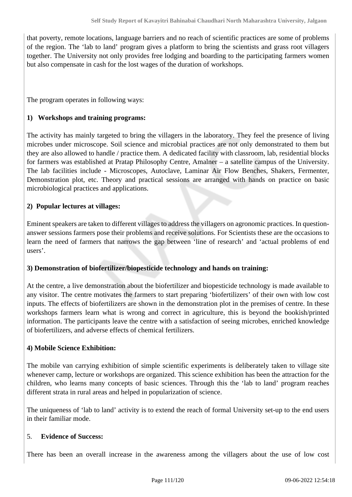that poverty, remote locations, language barriers and no reach of scientific practices are some of problems of the region. The 'lab to land' program gives a platform to bring the scientists and grass root villagers together. The University not only provides free lodging and boarding to the participating farmers women but also compensate in cash for the lost wages of the duration of workshops.

The program operates in following ways:

### **1) Workshops and training programs:**

The activity has mainly targeted to bring the villagers in the laboratory. They feel the presence of living microbes under microscope. Soil science and microbial practices are not only demonstrated to them but they are also allowed to handle / practice them. A dedicated facility with classroom, lab, residential blocks for farmers was established at Pratap Philosophy Centre, Amalner – a satellite campus of the University. The lab facilities include - Microscopes, Autoclave, Laminar Air Flow Benches, Shakers, Fermenter, Demonstration plot, etc. Theory and practical sessions are arranged with hands on practice on basic microbiological practices and applications.

### **2) Popular lectures at villages:**

Eminent speakers are taken to different villages to address the villagers on agronomic practices. In questionanswer sessions farmers pose their problems and receive solutions. For Scientists these are the occasions to learn the need of farmers that narrows the gap between 'line of research' and 'actual problems of end users'.

#### **3) Demonstration of biofertilizer/biopesticide technology and hands on training:**

At the centre, a live demonstration about the biofertilizer and biopesticide technology is made available to any visitor. The centre motivates the farmers to start preparing 'biofertilizers' of their own with low cost inputs. The effects of biofertilizers are shown in the demonstration plot in the premises of centre. In these workshops farmers learn what is wrong and correct in agriculture, this is beyond the bookish/printed information. The participants leave the centre with a satisfaction of seeing microbes, enriched knowledge of biofertilizers, and adverse effects of chemical fertilizers.

#### **4) Mobile Science Exhibition:**

The mobile van carrying exhibition of simple scientific experiments is deliberately taken to village site whenever camp, lecture or workshops are organized. This science exhibition has been the attraction for the children, who learns many concepts of basic sciences. Through this the 'lab to land' program reaches different strata in rural areas and helped in popularization of science.

The uniqueness of 'lab to land' activity is to extend the reach of formal University set-up to the end users in their familiar mode.

#### 5. **Evidence of Success:**

There has been an overall increase in the awareness among the villagers about the use of low cost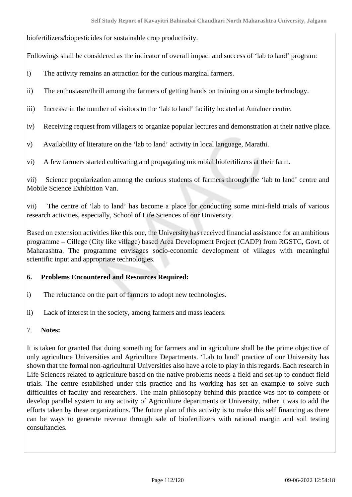biofertilizers/biopesticides for sustainable crop productivity.

Followings shall be considered as the indicator of overall impact and success of 'lab to land' program:

- i) The activity remains an attraction for the curious marginal farmers.
- ii) The enthusiasm/thrill among the farmers of getting hands on training on a simple technology.
- iii) Increase in the number of visitors to the 'lab to land' facility located at Amalner centre.
- iv) Receiving request from villagers to organize popular lectures and demonstration at their native place.
- v) Availability of literature on the 'lab to land' activity in local language, Marathi.
- vi) A few farmers started cultivating and propagating microbial biofertilizers at their farm.

vii) Science popularization among the curious students of farmers through the 'lab to land' centre and Mobile Science Exhibition Van.

vii) The centre of 'lab to land' has become a place for conducting some mini-field trials of various research activities, especially, School of Life Sciences of our University.

Based on extension activities like this one, the University has received financial assistance for an ambitious programme – Cillege (City like village) based Area Development Project (CADP) from RGSTC, Govt. of Maharashtra. The programme envisages socio-economic development of villages with meaningful scientific input and appropriate technologies.

# **6. Problems Encountered and Resources Required:**

- i) The reluctance on the part of farmers to adopt new technologies.
- ii) Lack of interest in the society, among farmers and mass leaders.
- 7. **Notes:**

It is taken for granted that doing something for farmers and in agriculture shall be the prime objective of only agriculture Universities and Agriculture Departments. 'Lab to land' practice of our University has shown that the formal non-agricultural Universities also have a role to play in this regards. Each research in Life Sciences related to agriculture based on the native problems needs a field and set-up to conduct field trials. The centre established under this practice and its working has set an example to solve such difficulties of faculty and researchers. The main philosophy behind this practice was not to compete or develop parallel system to any activity of Agriculture departments or University, rather it was to add the efforts taken by these organizations. The future plan of this activity is to make this self financing as there can be ways to generate revenue through sale of biofertilizers with rational margin and soil testing consultancies.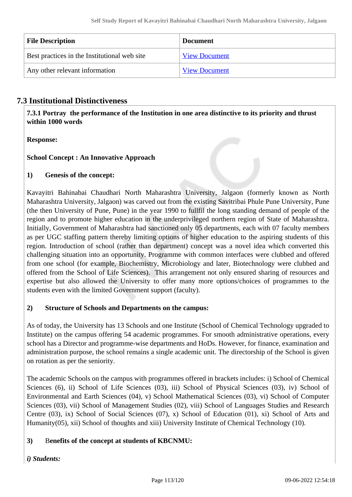| <b>File Description</b>                      | <b>Document</b>      |
|----------------------------------------------|----------------------|
| Best practices in the Institutional web site | <b>View Document</b> |
| Any other relevant information               | <b>View Document</b> |

# **7.3 Institutional Distinctiveness**

 **7.3.1 Portray the performance of the Institution in one area distinctive to its priority and thrust within 1000 words**

**Response:** 

# **School Concept : An Innovative Approach**

# **1) Genesis of the concept:**

Kavayitri Bahinabai Chaudhari North Maharashtra University, Jalgaon (formerly known as North Maharashtra University, Jalgaon) was carved out from the existing Savitribai Phule Pune University, Pune (the then University of Pune, Pune) in the year 1990 to fullfil the long standing demand of people of the region and to promote higher education in the underprivileged northern region of State of Maharashtra. Initially, Government of Maharashtra had sanctioned only 05 departments, each with 07 faculty members as per UGC staffing pattern thereby limiting options of higher education to the aspiring students of this region. Introduction of school (rather than department) concept was a novel idea which converted this challenging situation into an opportunity. Programme with common interfaces were clubbed and offered from one school (for example, Biochemistry, Microbiology and later, Biotechnology were clubbed and offered from the School of Life Sciences). This arrangement not only ensured sharing of resources and expertise but also allowed the University to offer many more options/choices of programmes to the students even with the limited Government support (faculty).

# **2) Structure of Schools and Departments on the campus:**

As of today, the University has 13 Schools and one Institute (School of Chemical Technology upgraded to Institute) on the campus offering 54 academic programmes. For smooth administrative operations, every school has a Director and programme-wise departments and HoDs. However, for finance, examination and administration purpose, the school remains a single academic unit. The directorship of the School is given on rotation as per the seniority.

The academic Schools on the campus with programmes offered in brackets includes: i) School of Chemical Sciences (6), ii) School of Life Sciences (03), iii) School of Physical Sciences (03), iv) School of Environmental and Earth Sciences (04), v) School Mathematical Sciences (03), vi) School of Computer Sciences (03), vii) School of Management Studies (02), viii) School of Languages Studies and Research Centre (03), ix) School of Social Sciences (07), x) School of Education (01), xi) School of Arts and Humanity(05), xii) School of thoughts and xiii) University Institute of Chemical Technology (10).

# **3)** B**enefits of the concept at students of KBCNMU:**

# *i) Students:*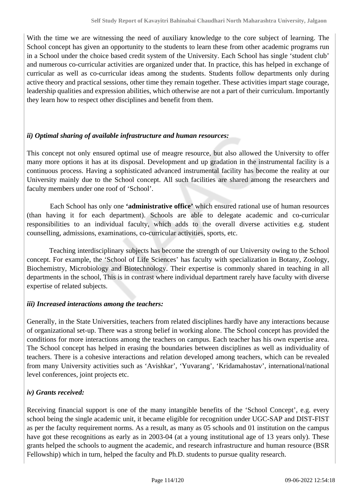With the time we are witnessing the need of auxiliary knowledge to the core subject of learning. The School concept has given an opportunity to the students to learn these from other academic programs run in a School under the choice based credit system of the University. Each School has single 'student club' and numerous co-curricular activities are organized under that. In practice, this has helped in exchange of curricular as well as co-curricular ideas among the students. Students follow departments only during active theory and practical sessions, other time they remain together. These activities impart stage courage, leadership qualities and expression abilities, which otherwise are not a part of their curriculum. Importantly they learn how to respect other disciplines and benefit from them.

# *ii) Optimal sharing of available infrastructure and human resources:*

This concept not only ensured optimal use of meagre resource, but also allowed the University to offer many more options it has at its disposal. Development and up gradation in the instrumental facility is a continuous process. Having a sophisticated advanced instrumental facility has become the reality at our University mainly due to the School concept. All such facilities are shared among the researchers and faculty members under one roof of 'School'.

 Each School has only one **'administrative office'** which ensured rational use of human resources (than having it for each department). Schools are able to delegate academic and co-curricular responsibilities to an individual faculty, which adds to the overall diverse activities e.g. student counselling, admissions, examinations, co-curricular activities, sports, etc.

 Teaching interdisciplinary subjects has become the strength of our University owing to the School concept. For example, the 'School of Life Sciences' has faculty with specialization in Botany, Zoology, Biochemistry, Microbiology and Biotechnology. Their expertise is commonly shared in teaching in all departments in the school, This is in contrast where individual department rarely have faculty with diverse expertise of related subjects.

#### *iii) Increased interactions among the teachers:*

Generally, in the State Universities, teachers from related disciplines hardly have any interactions because of organizational set-up. There was a strong belief in working alone. The School concept has provided the conditions for more interactions among the teachers on campus. Each teacher has his own expertise area. The School concept has helped in erasing the boundaries between disciplines as well as individuality of teachers. There is a cohesive interactions and relation developed among teachers, which can be revealed from many University activities such as 'Avishkar', 'Yuvarang', 'Kridamahostav', international/national level conferences, joint projects etc.

# *iv) Grants received:*

Receiving financial support is one of the many intangible benefits of the 'School Concept', e.g. every school being the single academic unit, it became eligible for recognition under UGC-SAP and DIST-FIST as per the faculty requirement norms. As a result, as many as 05 schools and 01 institution on the campus have got these recognitions as early as in 2003-04 (at a young institutional age of 13 years only). These grants helped the schools to augment the academic, and research infrastructure and human resource (BSR Fellowship) which in turn, helped the faculty and Ph.D. students to pursue quality research.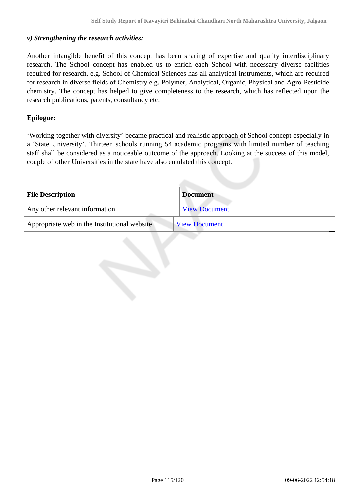### *v) Strengthening the research activities:*

Another intangible benefit of this concept has been sharing of expertise and quality interdisciplinary research. The School concept has enabled us to enrich each School with necessary diverse facilities required for research, e.g. School of Chemical Sciences has all analytical instruments, which are required for research in diverse fields of Chemistry e.g. Polymer, Analytical, Organic, Physical and Agro-Pesticide chemistry. The concept has helped to give completeness to the research, which has reflected upon the research publications, patents, consultancy etc.

### **Epilogue:**

'Working together with diversity' became practical and realistic approach of School concept especially in a 'State University'. Thirteen schools running 54 academic programs with limited number of teaching staff shall be considered as a noticeable outcome of the approach. Looking at the success of this model, couple of other Universities in the state have also emulated this concept.

| <b>File Description</b>                      | <b>Document</b>      |
|----------------------------------------------|----------------------|
| Any other relevant information               | <b>View Document</b> |
| Appropriate web in the Institutional website | <b>View Document</b> |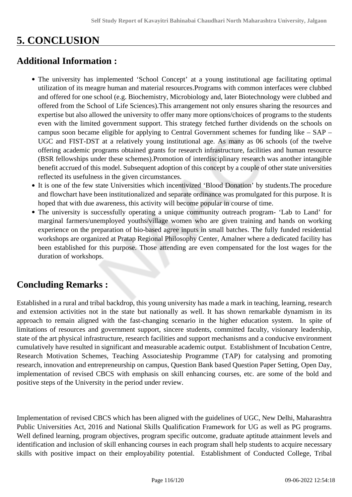# **5. CONCLUSION**

# **Additional Information :**

- The university has implemented 'School Concept' at a young institutional age facilitating optimal utilization of its meagre human and material resources.Programs with common interfaces were clubbed and offered for one school (e.g. Biochemistry, Microbiology and, later Biotechnology were clubbed and offered from the School of Life Sciences).This arrangement not only ensures sharing the resources and expertise but also allowed the university to offer many more options/choices of programs to the students even with the limited government support. This strategy fetched further dividends on the schools on campus soon became eligible for applying to Central Government schemes for funding like – SAP – UGC and FIST-DST at a relatively young institutional age. As many as 06 schools (of the twelve offering academic programs obtained grants for research infrastructure, facilities and human resource (BSR fellowships under these schemes).Promotion of interdisciplinary research was another intangible benefit accrued of this model. Subsequent adoption of this concept by a couple of other state universities reflected its usefulness in the given circumstances.
- It is one of the few state Universities which incentivized 'Blood Donation' by students.The procedure and flowchart have been institutionalized and separate ordinance was promulgated for this purpose. It is hoped that with due awareness, this activity will become popular in course of time.
- The university is successfully operating a unique community outreach program- 'Lab to Land' for marginal farmers/unemployed youths/village women who are given training and hands on working experience on the preparation of bio-based agree inputs in small batches. The fully funded residential workshops are organized at Pratap Regional Philosophy Center, Amalner where a dedicated facility has been established for this purpose. Those attending are even compensated for the lost wages for the duration of workshops.

# **Concluding Remarks :**

Established in a rural and tribal backdrop, this young university has made a mark in teaching, learning, research and extension activities not in the state but nationally as well. It has shown remarkable dynamism in its approach to remain aligned with the fast-changing scenario in the higher education system. In spite of limitations of resources and government support, sincere students, committed faculty, visionary leadership, state of the art physical infrastructure, research facilities and support mechanisms and a conducive environment cumulatively have resulted in significant and measurable academic output. Establishment of Incubation Centre, Research Motivation Schemes, Teaching Associateship Programme (TAP) for catalysing and promoting research, innovation and entrepreneurship on campus, Question Bank based Question Paper Setting, Open Day, implementation of revised CBCS with emphasis on skill enhancing courses, etc. are some of the bold and positive steps of the University in the period under review.

Implementation of revised CBCS which has been aligned with the guidelines of UGC, New Delhi, Maharashtra Public Universities Act, 2016 and National Skills Qualification Framework for UG as well as PG programs. Well defined learning, program objectives, program specific outcome, graduate aptitude attainment levels and identification and inclusion of skill enhancing courses in each program shall help students to acquire necessary skills with positive impact on their employability potential. Establishment of Conducted College, Tribal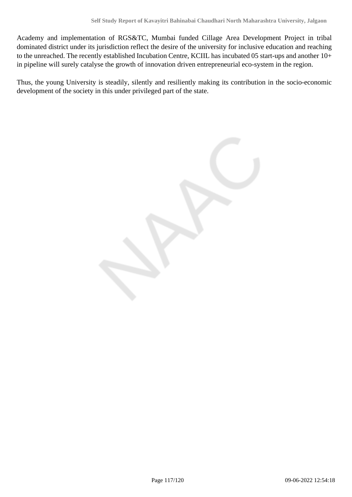Academy and implementation of RGS&TC, Mumbai funded Cillage Area Development Project in tribal dominated district under its jurisdiction reflect the desire of the university for inclusive education and reaching to the unreached. The recently established Incubation Centre, KCIIL has incubated 05 start-ups and another 10+ in pipeline will surely catalyse the growth of innovation driven entrepreneurial eco-system in the region.

Thus, the young University is steadily, silently and resiliently making its contribution in the socio-economic development of the society in this under privileged part of the state.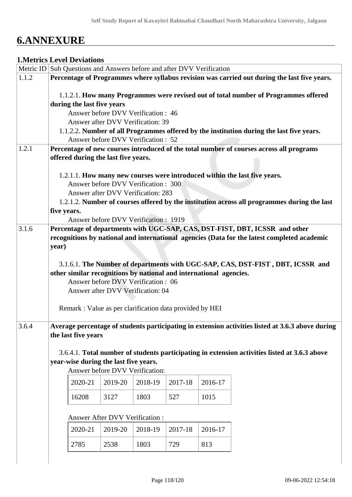# **6.ANNEXURE**

# **1.Metrics Level Deviations**

|       |             |                            |                                       |                                      |                                                          | Metric ID Sub Questions and Answers before and after DVV Verification |                                                                                                   |
|-------|-------------|----------------------------|---------------------------------------|--------------------------------------|----------------------------------------------------------|-----------------------------------------------------------------------|---------------------------------------------------------------------------------------------------|
| 1.1.2 |             |                            |                                       |                                      |                                                          |                                                                       | Percentage of Programmes where syllabus revision was carried out during the last five years.      |
|       |             |                            |                                       |                                      |                                                          |                                                                       |                                                                                                   |
|       |             |                            |                                       |                                      |                                                          |                                                                       | 1.1.2.1. How many Programmes were revised out of total number of Programmes offered               |
|       |             | during the last five years |                                       |                                      |                                                          |                                                                       |                                                                                                   |
|       |             |                            |                                       | Answer before DVV Verification: 46   |                                                          |                                                                       |                                                                                                   |
|       |             |                            |                                       | Answer after DVV Verification: 39    |                                                          |                                                                       |                                                                                                   |
|       |             |                            |                                       | Answer before DVV Verification : 52  |                                                          |                                                                       | 1.1.2.2. Number of all Programmes offered by the institution during the last five years.          |
| 1.2.1 |             |                            |                                       |                                      |                                                          |                                                                       | Percentage of new courses introduced of the total number of courses across all programs           |
|       |             |                            | offered during the last five years.   |                                      |                                                          |                                                                       |                                                                                                   |
|       |             |                            |                                       |                                      |                                                          |                                                                       |                                                                                                   |
|       |             |                            |                                       |                                      |                                                          |                                                                       | 1.2.1.1. How many new courses were introduced within the last five years.                         |
|       |             |                            |                                       | Answer before DVV Verification: 300  |                                                          |                                                                       |                                                                                                   |
|       |             |                            |                                       | Answer after DVV Verification: 283   |                                                          |                                                                       |                                                                                                   |
|       |             |                            |                                       |                                      |                                                          |                                                                       | 1.2.1.2. Number of courses offered by the institution across all programmes during the last       |
|       | five years. |                            |                                       |                                      |                                                          |                                                                       |                                                                                                   |
|       |             |                            |                                       | Answer before DVV Verification: 1919 |                                                          |                                                                       |                                                                                                   |
| 3.1.6 |             |                            |                                       |                                      |                                                          |                                                                       | Percentage of departments with UGC-SAP, CAS, DST-FIST, DBT, ICSSR and other                       |
|       |             |                            |                                       |                                      |                                                          |                                                                       | recognitions by national and international agencies (Data for the latest completed academic       |
|       | year)       |                            |                                       |                                      |                                                          |                                                                       |                                                                                                   |
|       |             |                            |                                       |                                      |                                                          |                                                                       |                                                                                                   |
|       |             |                            |                                       |                                      |                                                          | other similar recognitions by national and international agencies.    | 3.1.6.1. The Number of departments with UGC-SAP, CAS, DST-FIST, DBT, ICSSR and                    |
|       |             |                            |                                       | Answer before DVV Verification: 06   |                                                          |                                                                       |                                                                                                   |
|       |             |                            |                                       | Answer after DVV Verification: 04    |                                                          |                                                                       |                                                                                                   |
|       |             |                            |                                       |                                      |                                                          |                                                                       |                                                                                                   |
|       |             |                            |                                       |                                      | Remark : Value as per clarification data provided by HEI |                                                                       |                                                                                                   |
|       |             |                            |                                       |                                      |                                                          |                                                                       |                                                                                                   |
| 3.6.4 |             |                            |                                       |                                      |                                                          |                                                                       | Average percentage of students participating in extension activities listed at 3.6.3 above during |
|       |             | the last five years        |                                       |                                      |                                                          |                                                                       |                                                                                                   |
|       |             |                            |                                       |                                      |                                                          |                                                                       |                                                                                                   |
|       |             |                            |                                       |                                      |                                                          |                                                                       | 3.6.4.1. Total number of students participating in extension activities listed at 3.6.3 above     |
|       |             |                            | year-wise during the last five years. |                                      |                                                          |                                                                       |                                                                                                   |
|       |             |                            |                                       | Answer before DVV Verification:      |                                                          |                                                                       |                                                                                                   |
|       |             | 2020-21                    | 2019-20                               | 2018-19                              | 2017-18                                                  | 2016-17                                                               |                                                                                                   |
|       |             |                            |                                       |                                      |                                                          |                                                                       |                                                                                                   |
|       |             | 16208                      | 3127                                  | 1803                                 | 527                                                      | 1015                                                                  |                                                                                                   |
|       |             |                            |                                       |                                      |                                                          |                                                                       |                                                                                                   |
|       |             |                            | Answer After DVV Verification :       |                                      |                                                          |                                                                       |                                                                                                   |
|       |             | 2020-21                    | 2019-20                               | 2018-19                              | 2017-18                                                  | 2016-17                                                               |                                                                                                   |
|       |             |                            |                                       |                                      |                                                          |                                                                       |                                                                                                   |
|       |             | 2785                       | 2538                                  | 1803                                 | 729                                                      | 813                                                                   |                                                                                                   |
|       |             |                            |                                       |                                      |                                                          |                                                                       |                                                                                                   |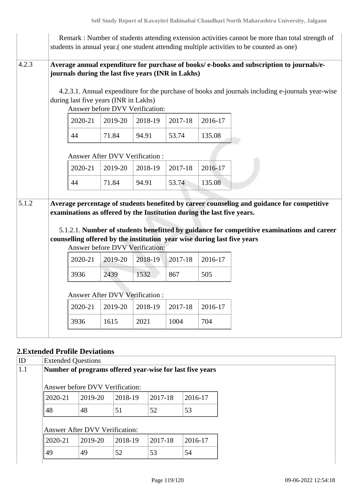|       |                                                                                                                                                   |                                 |         |         |         | Remark : Number of students attending extension activities cannot be more than total strength of<br>students in annual year. (one student attending multiple activities to be counted as one) |
|-------|---------------------------------------------------------------------------------------------------------------------------------------------------|---------------------------------|---------|---------|---------|-----------------------------------------------------------------------------------------------------------------------------------------------------------------------------------------------|
| 4.2.3 | journals during the last five years (INR in Lakhs)<br>during last five years (INR in Lakhs)                                                       | Answer before DVV Verification: |         |         |         | Average annual expenditure for purchase of books/e-books and subscription to journals/e-<br>4.2.3.1. Annual expenditure for the purchase of books and journals including e-journals year-wise |
|       | 2020-21                                                                                                                                           | 2019-20                         | 2018-19 | 2017-18 | 2016-17 |                                                                                                                                                                                               |
|       | 44                                                                                                                                                | 71.84                           | 94.91   | 53.74   | 135.08  |                                                                                                                                                                                               |
|       |                                                                                                                                                   | Answer After DVV Verification:  |         |         |         |                                                                                                                                                                                               |
|       | 2020-21                                                                                                                                           | 2019-20                         | 2018-19 | 2017-18 | 2016-17 |                                                                                                                                                                                               |
|       | 44                                                                                                                                                | 71.84                           | 94.91   | 53.74   | 135.08  |                                                                                                                                                                                               |
| 5.1.2 | examinations as offered by the Institution during the last five years.<br>counselling offered by the institution year wise during last five years | Answer before DVV Verification: |         |         |         | Average percentage of students benefited by career counseling and guidance for competitive<br>5.1.2.1. Number of students benefitted by guidance for competitive examinations and career      |
|       | 2020-21                                                                                                                                           | 2019-20                         | 2018-19 | 2017-18 | 2016-17 |                                                                                                                                                                                               |
|       | 3936                                                                                                                                              | 2439                            | 1532    | 867     | 505     |                                                                                                                                                                                               |
|       |                                                                                                                                                   | Answer After DVV Verification : |         |         |         |                                                                                                                                                                                               |
|       | 2020-21                                                                                                                                           | 2019-20                         | 2018-19 | 2017-18 | 2016-17 |                                                                                                                                                                                               |
|       | 3936                                                                                                                                              | 1615                            | 2021    | 1004    | 704     |                                                                                                                                                                                               |
|       |                                                                                                                                                   |                                 |         |         |         |                                                                                                                                                                                               |

# **2.Extended Profile Deviations**

| <b>Extended Questions</b>                                |         |         |         |         |  |  |  |  |
|----------------------------------------------------------|---------|---------|---------|---------|--|--|--|--|
| Number of programs offered year-wise for last five years |         |         |         |         |  |  |  |  |
| Answer before DVV Verification:                          |         |         |         |         |  |  |  |  |
|                                                          |         |         |         |         |  |  |  |  |
| 2020-21                                                  | 2019-20 | 2018-19 | 2017-18 | 2016-17 |  |  |  |  |
| 48                                                       | 48      | 51      | 52      | 53      |  |  |  |  |
|                                                          |         |         |         |         |  |  |  |  |
| <b>Answer After DVV Verification:</b>                    |         |         |         |         |  |  |  |  |
| 2020-21                                                  | 2019-20 | 2018-19 | 2017-18 | 2016-17 |  |  |  |  |
| 49                                                       | 49      | 52      | 53      | 54      |  |  |  |  |